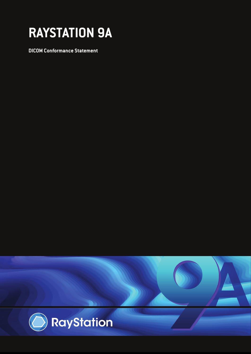# **RAYSTATION 9A**

**RAYSTATION 7 DICOM Conformance Statement**

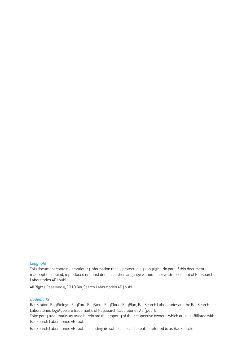#### *Copyright*

This document contains proprietary information that is protected by copyright. No part of this document maybephotocopied, reproduced or translated to another language without prior written consent of RaySearch Laboratories AB (publ).

All Rights Reserved.©2019 RaySearch Laboratories AB (publ).

#### *Trademarks*

RayStation, RayBiology, RayCare, RayStore, RayCloud, RayPlan, RaySearch Laboratoriesandthe RaySearch Laboratories logotype are trademarks of RaySearch Laboratories AB (publ).

Third party trademarks as used herein are the property of their respective owners, which are not affiliated with RaySearch Laboratories AB (publ).

RaySearch Laboratories AB (publ) including its subsidiaries is hereafter referred to as RaySearch.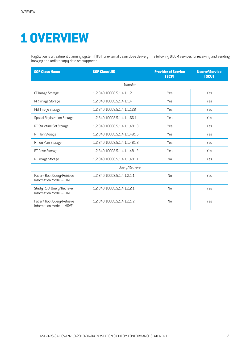# **1 OVERVIEW**

RayStation is a treatment planning system (TPS) for external beam dose delivery. The following DICOM services for receiving and sending imaging and radiotherapy data are supported.

| <b>SOP Class Name</b>                                   | <b>SOP Class UID</b>          | <b>Provider of Service</b><br>(SCP) | <b>User of Service</b><br>(SCU) |  |  |  |  |  |  |
|---------------------------------------------------------|-------------------------------|-------------------------------------|---------------------------------|--|--|--|--|--|--|
| Transfer                                                |                               |                                     |                                 |  |  |  |  |  |  |
| CT Image Storage                                        | 1.2.840.10008.5.1.4.1.1.2     | Yes                                 | Yes                             |  |  |  |  |  |  |
| MR Image Storage                                        | 1.2.840.10008.5.1.4.1.1.4     | Yes                                 | Yes                             |  |  |  |  |  |  |
| PET Image Storage                                       | 1.2.840.10008.5.1.4.1.1.128   | Yes                                 | Yes                             |  |  |  |  |  |  |
| <b>Spatial Registration Storage</b>                     | 1.2.840.10008.5.1.4.1.1.66.1  | <b>Yes</b>                          | Yes                             |  |  |  |  |  |  |
| RT Structure Set Storage                                | 1.2.840.10008.5.1.4.1.1.481.3 | Yes                                 | Yes                             |  |  |  |  |  |  |
| RT Plan Storage                                         | 1.2.840.10008.5.1.4.1.1.481.5 | Yes                                 | Yes                             |  |  |  |  |  |  |
| RT Ion Plan Storage                                     | 1.2.840.10008.5.1.4.1.1.481.8 | Yes                                 | Yes                             |  |  |  |  |  |  |
| RT Dose Storage                                         | 1.2.840.10008.5.1.4.1.1.481.2 | Yes                                 | Yes                             |  |  |  |  |  |  |
| RT Image Storage                                        | 1.2.840.10008.5.1.4.1.1.481.1 | No                                  | Yes                             |  |  |  |  |  |  |
|                                                         | Query/Retrieve                |                                     |                                 |  |  |  |  |  |  |
| Patient Root Query/Retrieve<br>Information Model - FIND | 1.2.840.10008.5.1.4.1.2.1.1   | No                                  | Yes                             |  |  |  |  |  |  |
| Study Root Query/Retrieve<br>Information Model - FIND   | 1.2.840.10008.5.1.4.1.2.2.1   | No                                  | Yes                             |  |  |  |  |  |  |
| Patient Root Query/Retrieve<br>Information Model - MOVE | 1.2.840.10008.5.1.4.1.2.1.2   | <b>No</b>                           | Yes                             |  |  |  |  |  |  |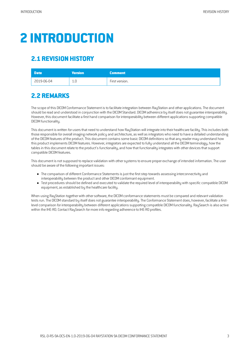# **2 INTRODUCTION**

# **2.1 REVISION HISTORY**

| Date <sup>'</sup> | <b>Wersion</b> | <b>Comment</b> |
|-------------------|----------------|----------------|
| 2019-06-04        | 1.0            | First version. |

# **2.2 REMARKS**

The scope of this DICOM Conformance Statement is to facilitate integration between RayStation and other applications. The document should be read and understood in conjunction with the DICOM Standard. DICOM adherence by itself does not guarantee interoperability. However, this document facilitate a first hand comparison for interoperability between different applications supporting compatible DICOM functionality.

This document is written for users that need to understand how RayStation will integrate into their healthcare facility. This includes both those responsible for overall imaging network policy and architecture, as well as integrators who need to have a detailed understanding of the DICOM features of the product. This document contains some basic DICOM definitions so that any reader may understand how this product implements DICOM features. However, integrators are expected to fully understand all the DICOM terminology, how the tables in this document relate to the product's functionality, and how that functionality integrates with other devices that support compatible DICOM features.

This document is not supposed to replace validation with other systems to ensure proper exchange of intended information. The user should be aware of the following important issues:

- The comparison of different Conformance Statements is just the first step towards assessing interconnectivity and interoperability between the product and other DICOM conformant equipment.
- Test proceduresshould be defined and executed to validate the required level of interoperability with specificcompatible DICOM equipment,as established by the healthcare facility.

When using RayStation together with other software, the DICOM conformance statements must be compared and relevant validation tests run. The DICOM standard by itself does not guarantee interoperability. The Conformance Statement does, however, facilitate a firstlevel comparison for interoperability between different applications supporting compatible DICOM functionality. RaySearch is also active within the IHE-RO. Contact RaySearch formore info regarding adherence to IHE-RO profiles.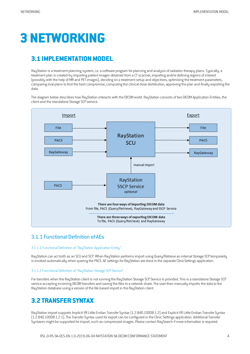# **3 NETWORKING**

# **3.1 IMPLEMENTATION MODEL**

RayStation is a treatment planning system, i.e. a software program for planning and analysis of radiation therapy plans. Typically, a treatment plan is created by importing patient images obtained from a CT scanner, importing and/or defining regions of interest (possibly with the help ofMR and PET-images), deciding on atreatmentsetup and objectives, optimizing the treatment parameters, comparing rival plans to find the best compromise, computing the clinical dose distribution, approving the plan and finally exporting the data.

The diagram below describes how RayStation interacts with the DICOMworld. RayStation consists of two DICOMApplication Entities, the client and the standalone Storage SCP service.



#### 3.1.1 Functional Definition of AEs

#### 3.1.1.1 Functional Definition of "RayStation Application Entity"

RayStation can act both as an SCU and SCP. When RayStation performs import using Query/Retrieve an internal Storage SCP temporarily is invoked automatically when quering the PACS. AE settings for RauStation are done in the separate ClinicSettings application.

#### 3.1.1.2 Functional Definition of "RayStation Storage SCP Service"

For transfers when the RayStation client is not running the RayStation Storage SCP Service is provided. This is a standalone Storage SCP service accepting incoming DICOM transfers and saving the files to a network share. The user then manually imports the data to the RayStation database using aversion of the file-based import in the RayStation client.

## **3.2 TRANSFER SYNTAX**

RayStation import supports Implicit VR Little Endian Transfer Syntax (1.2.840.10008.1.2) and Explicit VR Little Endian Transfer Syntax (1.2.840.10008.1.2.1).The Transfer Syntax used for exportcan be configured in the Clinic Settingsapplication. AdditionalTransfer Syntaxes might be supported for import, such as compressed images. Please contact RaySearch if more information is required.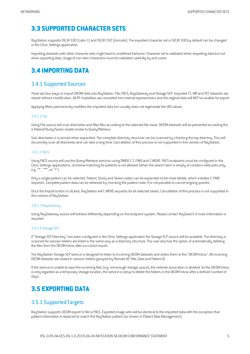# **3.3 SUPPORTED CHARACTER SETS**

RayStation supports ISO IR 100 (Latin-1) and ISO IR 192 (Unicode). The exported character set is ISO IR 100 by default can be changed in the Clinic Settings application.

Importing datasets with othercharactersetsmight lead to undefined behavior. Characterset isvalidated when importing data but not when exporting data. Usage of non-latin characters must be validated carefully by end users.

# **3.4 IMPORTING DATA**

#### 3.4.1 Supported Sources

There are four ways to import DICOM data into RayStation: File, PACS, RayGateway and Storage SCP. Imported CT, MR and PET datasets are stored without modification. All RT modalities are converted into internal representions and the original data will NOT be avaible for export.

Applying filters permanently modifies the imported data but usually does not regenerate the UID values.

#### 3.4.1.1 File

Using File source will scan directories and filter files according to the selected file mask. DICOM datasets will be presented according the a Patient/Study/Series model similar to Query/Retrieve.

Sub-directories is scanned when expanded. The complete directory structure can be scanned by checking the top directory. This will recursively scan all directories and can take a long time. Cancellation of this process is not supported in this version of RayStation.

#### 3.4.1.2 PACS

Using PACS source will use the Query/Retrieve services using DIMSE-C C-FIND and C-MOVE. PACS endpoints must be configured in the Clinic Settings applications. Universal matching for patients is not allowed (when the search term is empty or contains wildcards only, e.g. "\*", "\*\*", or "?").

Only a single patient can be selected. Patient, Study and Series nodes can be expanded to list more details, which initiates C-FIND requests. Complete patient datacan be retrieved by checking the patient node. It is not possible to cancel ongoing queries.

Once the Import button is clicked, RayStation will C-MOVE requests for all selected series. Cancellation of this process is not supported in this version of RayStation.

#### 3.4.1.3 RayGateway

Using RayGateway source will behave differently depending on the endpoint system. Please contact RaySearch if more information is required.

#### 3.4.1.4 Storage SCP

If "Storage SCP Directory" has been configured in the Clinic Settings application the Storage SCP source will be available. The directory is scanned for session folders are listed in the same way as a directory structure. The user also has the option of automatically deleting the files from the DICOM Inbox after succesful import.

The RayStation Storage SCP service is designed to listen to incoming DICOM datasets and writes them to the "DICOM Inbox". All incoming DICOM datasets are stored in session folders grouped by Remote AE Title, Date and Patient ID.

If the service is unable to save the incoming files (e.g. not enough storage space), the network assocation is aborted. As the DICOM Inbox is only regarded as a temporary storage location, the service is setup to delete the folders in the DICOM Inbox after a defined number of days.

## **3.5 EXPORTING DATA**

#### 3.5.1 Supported Targets

RayStation supports DICOMexport to file or PACS. Exported image sets will be identical to the imported data with the exception that patient information is replaced to match the RayStation patient (as shown in Patient Data Management).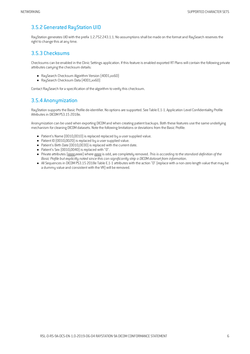#### 3.5.2 Generated RayStation UID

RayStation generates UID with the prefix 1.2.752.243.1.1. No assumptions shall be made on the format and RaySearch reserves the right to change this at any time.

#### 3.5.3 Checksums

Checksums can be enabled in the Clinic Settings application. If this feature is enabled exported RT Plans will contain the following private attributes carrying the checksum details:

- RaySearch Checksum Algorithm Version (4001,xx60)
- RaySearch Checksum Data (4001,xx60)

Contact RaySearch for a specification of the algorithm to verify this checksum.

#### 3.5.4 Anonymization

RayStation supports the Basic Profile de-identifier. No options are supported. See Table E.1-1. Application Level Confidentiality Profile Attributes in DICOM PS3.15 2018e.

Anonymization can be used when exporting DICOMand when creating patient backups. Both these features use the same underlying mechanism for cleaning DICOM datasets. Note the following limitations or deviations from the Basic Profile:

- Patient's Name (0010,0010) is replaced replaced by a user supplied value.
- $\bullet$  Patient ID (0010,0020) is replaced by a user supplied value.
- Patient's Birth Date (0010,0030) is replaced with the current date.
- Patient's Sex (0010,0040) is replaced with "0".
- Private attributes(gggg,eeee) where gggg is odd,are completely removed.*Thisis according to the standard definition of the Basic Profile but explicitly noted since thiscan significantly strip a DICOMdataset from information.*
- All Sequencesin DICOMPS3.15 2018e Table E.1-1 attributes with the action "D" (replace with a non-zero length value thatmay be a dummy value and consistent with the VR) will be removed.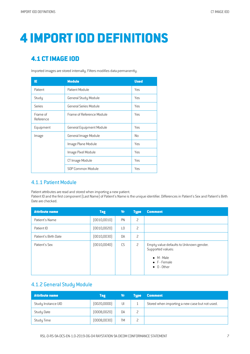# **4 IMPORTIOD DEFINITIONS**

# **4.1 CTIMAGE IOD**

Imported images are stored internally. Filters modifies data permanently.

| IE                    | <b>Module</b>             | <b>Used</b>    |
|-----------------------|---------------------------|----------------|
| Patient               | Patient Module            | Yes            |
| Study                 | General Study Module      | Yes            |
| Series                | General Series Module     | Yes            |
| Frame of<br>Reference | Frame of Reference Module | Yes            |
| Equipment             | General Equipment Module  | Yes            |
| Image                 | General Image Module      | N <sub>0</sub> |
|                       | Image Plane Module        | Yes            |
|                       | Image Pixel Module        | Yes            |
|                       | CT Image Module           | Yes            |
|                       | SOP Common Module         | Yes            |

#### 4.1.1 Patient Module

Patient attributes are read and stored when importing a new patient.

Patient ID and the first component (Last Name) of Patient's Name is the unique identifier. Differences in Patient's Sex and Patient's Birth Date are checked.

| <b>Attribute name</b> | <b>Tag</b>   | Vr | <b>Type</b>    | <b>Comment</b>                                                                                                            |
|-----------------------|--------------|----|----------------|---------------------------------------------------------------------------------------------------------------------------|
| Patient's Name        | (0010, 0010) | PN | 2              |                                                                                                                           |
| Patient ID            | (0010, 0020) | L0 | $\overline{c}$ |                                                                                                                           |
| Patient's Birth Date  | (0010, 0030) | DA | 2              |                                                                                                                           |
| Patient's Sex         | (0010, 0040) | CS | $\overline{c}$ | Empty value defaults to Unknown gender.<br>Supported values:<br>$\bullet$ M - Male<br>• F - Female<br>$\bullet$ 0 - Other |

#### 4.1.2 General Study Module

| <b>Attribute name</b> | <b>Tag</b>   | ۷r        | <b>Tupe</b> | <b>Comment</b>                                 |
|-----------------------|--------------|-----------|-------------|------------------------------------------------|
| Study Instance UID    | [0020,0000]  | UI        |             | Stored when importing a new case but not used. |
| Study Date            | (0008,0020)  | DA        |             |                                                |
| Study Time            | (0008, 0030) | <b>TM</b> |             |                                                |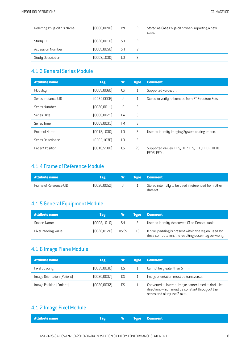| Referring Physician's Name | (0008,0090)  | PN        | Stored as Case Physician when importing a new<br>case. |
|----------------------------|--------------|-----------|--------------------------------------------------------|
| Study ID                   | (0020, 0010) | <b>SH</b> |                                                        |
| <b>Accession Number</b>    | (0008, 0050) | <b>SH</b> |                                                        |
| Study Description          | (0008, 1030) |           |                                                        |

### 4.1.3 General Series Module

| <b>Attribute name</b> | <b>Tag</b>   | <b>Vr</b>       | <b>Type</b>  | <b>Comment</b>                                                   |
|-----------------------|--------------|-----------------|--------------|------------------------------------------------------------------|
| Modality              | (0008,0060)  | CS              | $\mathbf{1}$ | Supported value: CT.                                             |
| Series Instance UID   | [0020,000E]  | $\mathsf{U}$    | $\mathbf{1}$ | Stored to verify references from RT Structure Sets.              |
| Series Number         | [0020,0011]  | IS.             | 2            |                                                                  |
| Series Date           | [0008,0021]  | <b>DA</b>       | 3            |                                                                  |
| Series Time           | (0008,0031)  | <b>TM</b>       | 3            |                                                                  |
| Protocol Name         | [0018, 1030] | $\overline{10}$ | 3            | Used to identify Imaging System during import.                   |
| Series Description    | (0008, 103E) | $\overline{10}$ | 3            |                                                                  |
| Patient Position      | [0018, 5100] | C.S             | SC.          | Supported values: HFS, HFP, FFS, FFP, HFDR, HFDL,<br>FFDR, FFDL. |

### 4.1.4 Frame of Reference Module

| Attribute name         | Tag          |    | <b>Type Comment</b>                                               |
|------------------------|--------------|----|-------------------------------------------------------------------|
| Frame of Reference UID | (0020, 0052) | UI | Stored internally to be used if referenced from other<br>dataset. |

### 4.1.5 General Equipment Module

| <b>Attribute name</b> | <b>Tag</b>   |           | <b>Tupe</b> | <b>Comment</b>                                                                                               |
|-----------------------|--------------|-----------|-------------|--------------------------------------------------------------------------------------------------------------|
| <b>Station Name</b>   | (0008, 1010) | <b>SH</b> |             | Used to identify the correct CT-to-Density table.                                                            |
| Pixel Padding Value   | [0028, 0120] | US SS     | 1C          | If pixel padding is present within the region used for<br>dose computation, the resulting dose may be wrong. |

# 4.1.6 Image Plane Module

| <b>Attribute name</b>       | <b>Tag</b>  | Vr             | Tupe | <b>Comment</b>                                                                                                                            |
|-----------------------------|-------------|----------------|------|-------------------------------------------------------------------------------------------------------------------------------------------|
| Pixel Spacing               | [0028,0030] | D <sub>S</sub> |      | Cannot be greater than 5 mm.                                                                                                              |
| Image Orientation (Patient) | [0020,0037] | D.S            |      | Image orientation must be transversal.                                                                                                    |
| Image Position (Patient)    | [0020,0032] | <b>DS</b>      |      | Converted to internal image corner. Used to find slice<br>direction, which must be constant througout the<br>series and along the Z-axis. |

### 4.1.7 Image Pixel Module

| <b>Attribute name</b><br><b>Example 2</b> Vr Type Comment |
|-----------------------------------------------------------|
|-----------------------------------------------------------|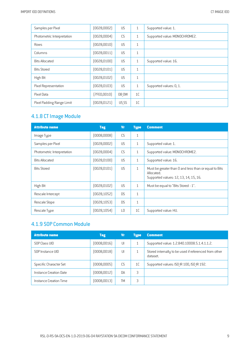| Samples per Pixel          | [0028,0002]  | <b>US</b> | $\mathbf{1}$ | Supported value: 1.           |
|----------------------------|--------------|-----------|--------------|-------------------------------|
| Photometric Interpretation | [0028,0004]  | CS        | 1            | Supported value: MONOCHROME2. |
| Rows                       | [0028,0010]  | <b>US</b> | $\mathbf{1}$ |                               |
| Columns                    | [0028, 0011] | <b>US</b> | $\mathbf{1}$ |                               |
| <b>Bits Allocated</b>      | [0028, 0100] | <b>US</b> | $\mathbf{1}$ | Supported value: 16.          |
| <b>Bits Stored</b>         | [0028, 0101] | <b>US</b> | $\mathbf{1}$ |                               |
| High Bit                   | [0028, 0102] | <b>US</b> | $\mathbf{1}$ |                               |
| Pixel Representation       | [0028, 0103] | <b>US</b> | $\mathbf{1}$ | Supported values: 0, 1.       |
| Pixel Data                 | [7FE0,0010]  | OB OW     | 1C           |                               |
| Pixel Padding Range Limit  | [0028, 0121] | US SS     | 1C           |                               |

### 4.1.8 CT Image Module

| <b>Attribute name</b>      | <b>Tag</b>   | <b>Vr</b> | <b>Type</b>  | <b>Comment</b>                                                                                               |
|----------------------------|--------------|-----------|--------------|--------------------------------------------------------------------------------------------------------------|
| Image Type                 | [0008,0008]  | <b>CS</b> | $\mathbf{1}$ |                                                                                                              |
| Samples per Pixel          | [0028,0002]  | <b>US</b> | $\mathbf{1}$ | Supported value: 1.                                                                                          |
| Photometric Interpretation | [0028,0004]  | CS        | 1            | Supported value: MONOCHROME2.                                                                                |
| <b>Bits Allocated</b>      | [0028, 0100] | <b>US</b> | $\mathbf{1}$ | Supported value: 16.                                                                                         |
| <b>Bits Stored</b>         | [0028, 0101] | <b>US</b> | $\mathbf{1}$ | Must be greater than 0 and less than or equal to Bits<br>Allocated.<br>Supported values: 12, 13, 14, 15, 16. |
| High Bit                   | [0028, 0102] | <b>US</b> | $\mathbf{1}$ | Must be equal to "Bits Stored - 1".                                                                          |
| Rescale Intercept          | [0028, 1052] | <b>DS</b> | $\mathbf{1}$ |                                                                                                              |
| Rescale Slope              | [0028, 1053] | <b>DS</b> | $\mathbf{1}$ |                                                                                                              |
| Rescale Type               | [0028, 1054] | L0        | 1C           | Supported value: HU.                                                                                         |

### 4.1.9 SOP Common Module

| <b>Attribute name</b>  | <b>Tag</b>   | Vr        | <b>Type</b>    | <b>Comment</b>                                                    |
|------------------------|--------------|-----------|----------------|-------------------------------------------------------------------|
| SOP Class UID          | (0008, 0016) | UI        |                | Supported value: 1.2.840.10008.5.1.4.1.1.2.                       |
| SOP Instance UID       | (0008, 0018) | UI        |                | Stored internally to be used if referenced from other<br>dataset. |
| Specific Character Set | (0008,0005)  | CS.       | 1 <sup>C</sup> | Supported values: ISO IR 100, ISO IR 192.                         |
| Instance Creation Date | (0008, 0012) | <b>DA</b> | 3              |                                                                   |
| Instance Creation Time | (0008, 0013) | TM        | 3              |                                                                   |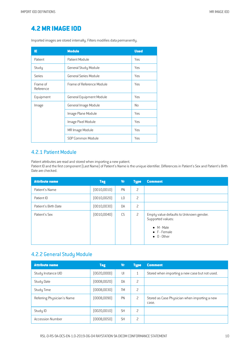# **4.2MR IMAGE IOD**

Imported images are stored internally. Filters modifies data permanently.

| ΙE                    | <b>Module</b>                   | <b>Used</b>    |
|-----------------------|---------------------------------|----------------|
| Patient               | Patient Module                  | Yes            |
| Study                 | General Study Module            | Yes            |
| Series                | General Series Module           | Yes            |
| Frame of<br>Reference | Frame of Reference Module       | Yes            |
| Equipment             | <b>General Equipment Module</b> | Yes            |
| Image                 | General Image Module            | N <sub>0</sub> |
|                       | Image Plane Module              | Yes            |
|                       | Image Pixel Module              | Yes            |
|                       | MR Image Module                 | Yes            |
|                       | SOP Common Module               | Yes            |

#### 4.2.1 Patient Module

Patient attributes are read and stored when importing a new patient.

Patient ID and the first component (Last Name) of Patient's Name is the unique identifier. Differences in Patient's Sex and Patient's Birth Date are checked.

| <b>Attribute name</b> | <b>Tag</b>   | Vr             | <b>Type</b>    | <b>Comment</b>                                                                                                            |
|-----------------------|--------------|----------------|----------------|---------------------------------------------------------------------------------------------------------------------------|
| Patient's Name        | [0010, 0010] | PN             | 2              |                                                                                                                           |
| Patient ID            | [0010, 0020] | L <sub>0</sub> | $\overline{c}$ |                                                                                                                           |
| Patient's Birth Date  | (0010, 0030) | DA             | 2              |                                                                                                                           |
| Patient's Sex         | (0010, 0040) | CS             | 2              | Empty value defaults to Unknown gender.<br>Supported values:<br>$\bullet$ M - Male<br>• F - Female<br>$\bullet$ 0 - Other |

#### 4.2.2 General Study Module

| <b>Attribute name</b>      | <b>Tag</b>   | <b>Vr</b> | <b>Type</b>              | <b>Comment</b>                                         |
|----------------------------|--------------|-----------|--------------------------|--------------------------------------------------------|
| Study Instance UID         | [0020,0000]  | UI        | $\mathbf{1}$             | Stored when importing a new case but not used.         |
| Study Date                 | (0008, 0020) | <b>DA</b> | 2                        |                                                        |
| Study Time                 | (0008, 0030) | <b>TM</b> | 2                        |                                                        |
| Referring Physician's Name | (0008,0090)  | PN        | $\overline{\phantom{0}}$ | Stored as Case Physician when importing a new<br>case. |
| Study ID                   | [0020, 0010] | <b>SH</b> | 2                        |                                                        |
| <b>Accession Number</b>    | (0008, 0050) | <b>SH</b> | 2                        |                                                        |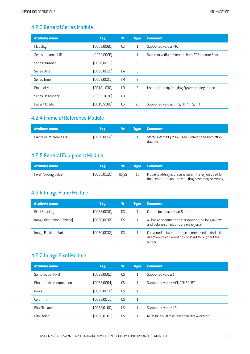#### 4.2.3 General Series Module

| <b>Attribute name</b> | <b>Tag</b>   | <b>Vr</b>       | <b>Type</b> | <b>Comment</b>                                      |
|-----------------------|--------------|-----------------|-------------|-----------------------------------------------------|
| Modality              | (0008,0060)  | <b>CS</b>       | 1           | Supported value: MR.                                |
| Series Instance UID   | (0020,000E)  | $  \cdot  $     | 1           | Stored to verify references from RT Structure Sets. |
| Series Number         | (0020, 0011) | IS.             | 2           |                                                     |
| Series Date           | (0008, 0021) | DA              | 3           |                                                     |
| Series Time           | (0008,0031)  | <b>TM</b>       | 3           |                                                     |
| <b>Protocol Name</b>  | (0018, 1030) | $\overline{10}$ | 3           | Used to identify Imaging System during import.      |
| Series Description    | (0008, 103E) | $\overline{10}$ | 3           |                                                     |
| Patient Position      | [0018, 5100] | CS              | SC          | Supported values: HFS, HFP, FFS, FFP.               |

## 4.2.4 Frame of Reference Module

| <b>Attribute name</b>  | Tag          | Vr i | <b>Type Comment</b>                                               |
|------------------------|--------------|------|-------------------------------------------------------------------|
| Frame of Reference UID | (0020, 0052) | UL   | Stored internally to be used if referenced from other<br>dataset. |

### 4.2.5 General Equipment Module

| <b>Attribute name</b> | <b>Tag</b>   | Vr    |    | <b>Type Comment</b>                                                                                          |
|-----------------------|--------------|-------|----|--------------------------------------------------------------------------------------------------------------|
| Pixel Padding Value   | [0028, 0120] | US SS | 1C | If pixel padding is present within the region used for<br>dose computation, the resulting dose may be wrong. |

### 4.2.6 Image Plane Module

| <b>Attribute name</b>       | <b>Tag</b>   | Vr        | Tupe | <b>Comment</b>                                                                                                        |
|-----------------------------|--------------|-----------|------|-----------------------------------------------------------------------------------------------------------------------|
| Pixel Spacing               | (0028,0030)  | D.S       |      | Cannot be greater than 5 mm.                                                                                          |
| Image Orientation (Patient) | (0020, 0037) | <b>DS</b> |      | All image orientations are supported, as long as row<br>and column directions are orthogonal.                         |
| Image Position (Patient)    | (0020,0032)  | D.S       |      | Converted to internal image corner. Used to find slice<br>direction, which must be constant throughout the<br>series. |

#### 4.2.7 Image Pixel Module

| <b>Attribute name</b>      | <b>Tag</b>   | Vr        | <b>Type</b>  | <b>Comment</b>                                |
|----------------------------|--------------|-----------|--------------|-----------------------------------------------|
| Samples per Pixel          | [0028,0002]  | <b>US</b> | $\mathbf{1}$ | Supported value: 1.                           |
| Photometric Interpretation | [0028,0004]  | CS        | 1            | Supported value: MONOCHROME2.                 |
| Rows                       | [0028,0010]  | <b>US</b> | $\mathbf{1}$ |                                               |
| Columns                    | [0028,0011]  | <b>US</b> | 1            |                                               |
| <b>Bits Allocated</b>      | [0028, 0100] | <b>US</b> | $\mathbf{1}$ | Supported value: 16.                          |
| <b>Bits Stored</b>         | [0028, 0101] | <b>US</b> |              | Must be equal to or less than Bits Allocated. |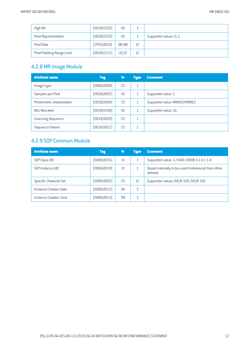| High Bit                  | (0028, 0102) | <b>US</b> | ᅩ  |                         |
|---------------------------|--------------|-----------|----|-------------------------|
| Pixel Representation      | [0028, 0103] | <b>US</b> |    | Supported values: 0, 1. |
| Pixel Data                | [7FE0,0010]  | OB OW     | 1C |                         |
| Pixel Padding Range Limit | [0028, 0121] | US SS     | 1C |                         |

# 4.2.8 MR Image Module

| <b>Attribute name</b>      | <b>Tag</b>   | Vr        | <b>Type</b>  | <b>Comment</b>                |
|----------------------------|--------------|-----------|--------------|-------------------------------|
| Image Type                 | (0008,0008)  | CS        | $\mathbf{1}$ |                               |
| Samples per Pixel          | (0028,0002)  | <b>US</b> | 1            | Supported value: 1.           |
| Photometric Interpretation | (0028,0004)  | CS        | $\mathbf{1}$ | Supported value: MONOCHROME2. |
| <b>Bits Allocated</b>      | (0028, 0100) | <b>US</b> |              | Supported value: 16.          |
| Scanning Sequence          | (0018, 0020) | CS        | 1            |                               |
| Sequence Variant           | (0018, 0021) | CS.       | $\mathbf{1}$ |                               |

# 4.2.9 SOP Common Module

| <b>Attribute name</b>  | <b>Tag</b>   | ۷r            | <b>Type</b> | <b>Comment</b>                                                    |
|------------------------|--------------|---------------|-------------|-------------------------------------------------------------------|
| SOP Class UID          | (0008, 0016) | $  \rfloor  $ |             | Supported value: 1.2.840.10008.5.1.4.1.1.4.                       |
| SOP Instance UID       | [0008,0018]  | UI            |             | Stored internally to be used if referenced from other<br>dataset. |
| Specific Character Set | (0008,0005)  | C.S           | 1C          | Supported values: ISO IR 100, ISO IR 192.                         |
| Instance Creation Date | (0008, 0012) | <b>DA</b>     | 3           |                                                                   |
| Instance Creation Time | (0008,0013)  | TM            | 3           |                                                                   |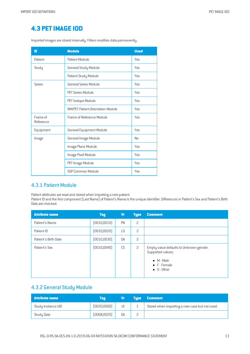# **4.3 PETIMAGE IOD**

Imported images are stored internally. Filters modifies data permanently.

| ΙE                    | <b>Module</b>                     | <b>Used</b>    |
|-----------------------|-----------------------------------|----------------|
| Patient               | Patient Module                    | Yes            |
| Study                 | General Study Module              | Yes            |
|                       | Patient Study Module              | Yes            |
| Series                | General Series Module             | Yes            |
|                       | PET Series Module                 | Yes            |
|                       | PET Isotope Module                | Yes            |
|                       | NM/PFT Patient Orientation Module | Yes            |
| Frame of<br>Reference | Frame of Reference Module         | Yes            |
| Equipment             | General Equipment Module          | Yes            |
| Image                 | General Image Module              | N <sub>0</sub> |
|                       | Image Plane Module                | Yes            |
|                       | Image Pixel Module                | Yes            |
|                       | PET Image Module                  | Yes            |
|                       | SOP Common Module                 | <b>Yes</b>     |

#### 4.3.1 Patient Module

Patient attributes are read and stored when importing a new patient.

Patient ID and the first component (Last Name) of Patient's Name is the unique identifier. Differences in Patient's Sex and Patient's Birth Date are checked.

| <b>Attribute name</b> | <b>Tag</b>   | Vr        | <b>Type</b>    | <b>Comment</b>                                                                                                                    |
|-----------------------|--------------|-----------|----------------|-----------------------------------------------------------------------------------------------------------------------------------|
| Patient's Name        | (0010, 0010) | PN        | 2              |                                                                                                                                   |
| Patient ID            | (0010, 0020) | L0        | 2              |                                                                                                                                   |
| Patient's Birth Date  | (0010, 0030) | DA        | 2              |                                                                                                                                   |
| Patient's Sex         | (0010, 0040) | <b>CS</b> | $\overline{c}$ | Empty value defaults to Unknown gender.<br>Supported values:<br>$\bullet$ M - Male<br>$\bullet$ F - Female<br>$\bullet$ 0 - Other |

#### 4.3.2 General Study Module

| <b>Attribute name</b> | Tag          | Vr | <b>Tupe</b> | <b>Comment</b>                                 |
|-----------------------|--------------|----|-------------|------------------------------------------------|
| Study Instance UID    | [0020,0000]  | UI |             | Stored when importing a new case but not used. |
| Study Date            | (0008, 0020) | DA |             |                                                |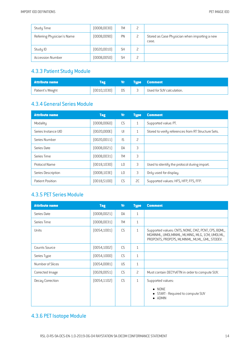| Study Time                 | (0008, 0030) | <b>TM</b> | L |                                                        |
|----------------------------|--------------|-----------|---|--------------------------------------------------------|
| Referring Physician's Name | (0008,0090)  | PN        |   | Stored as Case Physician when importing a new<br>case. |
| Study ID                   | (0020, 0010) | <b>SH</b> |   |                                                        |
| <b>Accession Number</b>    | (0008, 0050) | <b>SH</b> |   |                                                        |

### 4.3.3 Patient Study Module

| Attribute name   |              | Vr . | <b>Type Comment</b>       |
|------------------|--------------|------|---------------------------|
| Patient's Weight | [0010, 1030] | DS   | Used for SUV calculation. |

## 4.3.4 General Series Module

| <b>Attribute name</b> | <b>Tag</b>   | <b>Vr</b>       | <b>Type</b>    | <b>Comment</b>                                      |
|-----------------------|--------------|-----------------|----------------|-----------------------------------------------------|
| Modality              | (0008,0060)  | CS              | 1              | Supported value: PT.                                |
| Series Instance UID   | [0020,000E]  | $  \cdot  $     | $\mathbf{1}$   | Stored to verify references from RT Structure Sets. |
| Series Number         | [0020, 0011] | IS              | $\overline{c}$ |                                                     |
| Series Date           | [0008,0021]  | DA              | 3              |                                                     |
| Series Time           | (0008, 0031) | <b>TM</b>       | 3              |                                                     |
| Protocol Name         | [0018, 1030] | $\overline{10}$ | 3              | Used to identify the protocol during import.        |
| Series Description    | [0008, 103E] | $\overline{10}$ | 3              | Only used for display.                              |
| Patient Position      | [0018, 5100] | CS.             | SC.            | Supported values: HFS, HFP, FFS, FFP.               |

#### 4.3.5 PET Series Module

| <b>Attribute name</b> | <b>Tag</b>   | <b>Vr</b> | <b>Type</b>  | <b>Comment</b>                                                                                                                                         |
|-----------------------|--------------|-----------|--------------|--------------------------------------------------------------------------------------------------------------------------------------------------------|
| Series Date           | (0008, 0021) | DA        | $\mathbf{1}$ |                                                                                                                                                        |
| Series Time           | (0008,0031)  | <b>TM</b> | $\mathbf{1}$ |                                                                                                                                                        |
| Units                 | (0054, 1001) | <b>CS</b> | $\mathbf{1}$ | Supported values: CNTS, NONE, CM2, PCNT, CPS, BQML,<br>MGMINML, UMOLMINML, MLMING, MLG, 1CM, UMOLML,<br>PROPCNTS, PROPCPS, MLMINML, MLML, GML, STDDEV. |
| <b>Counts Source</b>  | [0054, 1002] | CS        | $\mathbf{1}$ |                                                                                                                                                        |
| Series Type           | [0054, 1000] | CS        | $\mathbf{1}$ |                                                                                                                                                        |
| Number of Slices      | [0054,0081]  | <b>US</b> | $\mathbf{1}$ |                                                                                                                                                        |
| Corrected Image       | [0028,0051]  | CS        | 2            | Must contain DECY\ATTN in order to compute SUV.                                                                                                        |
| Decay Correction      | [0054, 1102] | <b>CS</b> | $\mathbf{1}$ | Supported values:<br>NONE<br>$\bullet$<br>START - Required to compute SUV<br><b>ADMIN</b><br>$\bullet$                                                 |

# 4.3.6 PET Isotope Module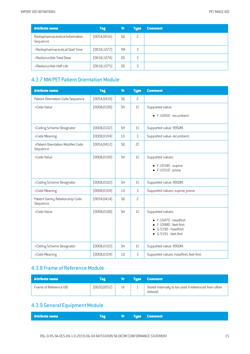| <b>Attribute name</b>                       | <b>Tag</b>   | Vr             | Type | <b>Comment</b> |
|---------------------------------------------|--------------|----------------|------|----------------|
| Radiopharmaceutical Information<br>Sequence | [0054, 0016] | S <sub>0</sub> | 2    |                |
| >Radiopharmaceutical Start Time             | [0018, 1072] | <b>TM</b>      | 3    |                |
| >Radionuclide Total Dose                    | [0018, 1074] | D.S            | 3    |                |
| >Radionuclide Half Life                     | [0018, 1075] | D.S            | 3    |                |

#### 4.3.7 NM/PET Patient Orientation Module

| <b>Attribute name</b>                          | <b>Tag</b>   | <b>Vr</b>      | <b>Type</b> | <b>Comment</b>                                                                                                |
|------------------------------------------------|--------------|----------------|-------------|---------------------------------------------------------------------------------------------------------------|
| Patient Orientation Code Sequence              | [0054, 0410] | SQ             | 2           |                                                                                                               |
| >Code Value                                    | (0008, 0100) | <b>SH</b>      | 1C          | Supported value:                                                                                              |
|                                                |              |                |             | $\bullet$ F-10450 - recumbent                                                                                 |
| >Coding Scheme Designator                      | (0008, 0102) | <b>SH</b>      | 1C          | Supported value: 99SDM.                                                                                       |
| >Code Meaning                                  | [0008, 0104] | L <sub>0</sub> | 3           | Supported value: recumbent.                                                                                   |
| >Patient Orientation Modifier Code<br>Sequence | [0054, 0412] | SQ             | SC          |                                                                                                               |
| >Code Value                                    | (0008, 0100) | <b>SH</b>      | 1C          | Supported values:<br>$\bullet$ F-10340 - supine<br>$\bullet$ F-10310 - prone                                  |
| >Coding Scheme Designator                      | (0008, 0102) | <b>SH</b>      | 1C          | Supported value: 99SDM.                                                                                       |
| >Code Meaning                                  | (0008, 0104) | L <sub>0</sub> | 3           | Supported values: supine, prone.                                                                              |
| Patient Gantry Relationship Code<br>Sequence   | (0054, 0414) | SQ             | 2           |                                                                                                               |
| >Code Value                                    | (0008, 0100) | <b>SH</b>      | 1C          | Supported values:<br>F-10470 - headfirst<br>F-10480 - feet-first<br>G-5190 - headfirst<br>G-5191 - feet-first |
| >Coding Scheme Designator                      | (0008, 0102) | <b>SH</b>      | 1C          | Supported value: 99SDM.                                                                                       |
| >Code Meaning                                  | (0008, 0104) | L <sub>0</sub> | 3           | Supported values: headfirst, feet-first.                                                                      |

#### 4.3.8 Frame of Reference Module

| <b>Attribute name</b>  | Tag         | Vr. | Type Comment                                                      |
|------------------------|-------------|-----|-------------------------------------------------------------------|
| Frame of Reference UID | [0020,0052] | UI  | Stored internally to be used if referenced from other<br>dataset. |

### 4.3.9 General Equipment Module

|--|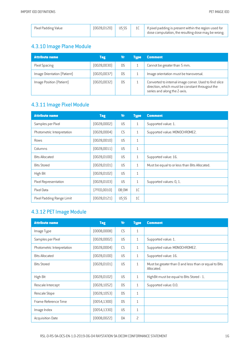| Pixel Padding Value | [0028, 0120] | US SS | $\parallel$ If pixel padding is present within the region used for<br>dose computation, the resulting dose may be wrong. |
|---------------------|--------------|-------|--------------------------------------------------------------------------------------------------------------------------|
|                     |              |       |                                                                                                                          |

# 4.3.10 Image Plane Module

| <b>Attribute name</b>       | <b>Tag</b>   | Vr             | Tupe | <b>Comment</b>                                                                                                                            |
|-----------------------------|--------------|----------------|------|-------------------------------------------------------------------------------------------------------------------------------------------|
| Pixel Spacing               | (0028, 0030) | <b>DS</b>      |      | Cannot be greater than 5 mm.                                                                                                              |
| Image Orientation (Patient) | (0020, 0037) | D <sub>S</sub> |      | Image orientation must be transversal.                                                                                                    |
| Image Position (Patient)    | (0020, 0032) | <b>DS</b>      |      | Converted to internal image corner. Used to find slice<br>direction, which must be constant througout the<br>series and along the Z-axis. |

## 4.3.11 Image Pixel Module

| <b>Attribute name</b>      | <b>Tag</b>   | <b>Vr</b> | <b>Type</b>    | <b>Comment</b>                                |
|----------------------------|--------------|-----------|----------------|-----------------------------------------------|
| Samples per Pixel          | (0028,0002)  | <b>US</b> | $\mathbf{1}$   | Supported value: 1.                           |
| Photometric Interpretation | (0028,0004)  | CS        | $\mathbf{1}$   | Supported value: MONOCHROME2.                 |
| Rows                       | (0028, 0010) | <b>US</b> | $\mathbf{1}$   |                                               |
| Columns                    | [0028, 0011] | <b>US</b> | $\mathbf{1}$   |                                               |
| <b>Bits Allocated</b>      | (0028, 0100) | <b>US</b> | $\mathbf{1}$   | Supported value: 16.                          |
| <b>Bits Stored</b>         | (0028, 0101) | <b>US</b> | $\mathbf{1}$   | Must be equal to or less than Bits Allocated. |
| High Bit                   | [0028, 0102] | <b>US</b> | $\mathbf{1}$   |                                               |
| Pixel Representation       | [0028, 0103] | <b>US</b> | $\mathbf{1}$   | Supported values: 0, 1.                       |
| Pixel Data                 | (7FE0,0010)  | OB OW     | 1 <sup>C</sup> |                                               |
| Pixel Padding Range Limit  | (0028, 0121) | US SS     | 1C             |                                               |

# 4.3.12 PET Image Module

| <b>Attribute name</b>      | <b>Tag</b>   | <b>Vr</b> | <b>Type</b>    | <b>Comment</b>                                                      |
|----------------------------|--------------|-----------|----------------|---------------------------------------------------------------------|
| Image Type                 | (0008,0008)  | CS        | $\mathbf{1}$   |                                                                     |
| Samples per Pixel          | (0028,0002)  | <b>US</b> | $\mathbf{1}$   | Supported value: 1.                                                 |
| Photometric Interpretation | [0028,0004]  | CS        | $\mathbf{1}$   | Supported value: MONOCHROME2.                                       |
| <b>Bits Allocated</b>      | [0028, 0100] | <b>US</b> | 1              | Supported value: 16.                                                |
| <b>Bits Stored</b>         | [0028, 0101] | <b>US</b> | $\mathbf{1}$   | Must be greater than 0 and less than or equal to Bits<br>Allocated. |
| High Bit                   | [0028, 0102] | <b>US</b> | $\mathbf{1}$   | HighBit must be equal to Bits Stored - 1.                           |
| Rescale Intercept          | [0028, 1052] | <b>DS</b> | $\mathbf{1}$   | Supported value: 0.0.                                               |
| Rescale Slope              | [0028, 1053] | <b>DS</b> | $\mathbf{1}$   |                                                                     |
| Frame Reference Time       | [0054, 1300] | <b>DS</b> | $\mathbf{1}$   |                                                                     |
| Image Index                | [0054, 1330] | US        | $\mathbf{1}$   |                                                                     |
| <b>Acquisition Date</b>    | (0008, 0022) | DA        | $\overline{c}$ |                                                                     |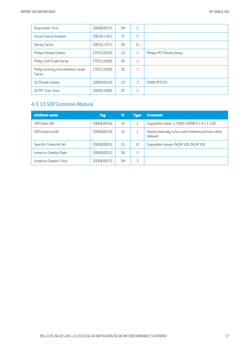| <b>Acquisition Time</b>                        | (0008, 0032) | <b>TM</b>       | 2              |                           |
|------------------------------------------------|--------------|-----------------|----------------|---------------------------|
| <b>Actual Frame Duration</b>                   | [0018, 1242] | IS              | 2              |                           |
| Decay Factor                                   | [0054, 1321] | D <sub>S</sub>  | 1 <sup>C</sup> |                           |
| Philips Private Creator                        | (7053,0010)  | L <sub>0</sub>  | 3              | Philips PET Private Group |
| Philips SUV Scale Factor                       | (7053, 1000) | <b>DS</b>       | 3              |                           |
| Philips Activity Concentration Scale<br>Factor | (7053, 1009) | <b>DS</b>       | 3              |                           |
| <b>GE Private Creator</b>                      | (0009, 0010) | $\overline{10}$ | 3              | GEMS PETD 01              |
| <b>GE PET Scan Time</b>                        | (0009, 1000) | DT              | 3              |                           |

### 4.3.13 SOP Common Module

| <b>Attribute name</b>  | <b>Tag</b>   | Vr        | <b>Type</b>    | <b>Comment</b>                                                    |
|------------------------|--------------|-----------|----------------|-------------------------------------------------------------------|
| SOP Class UID          | (0008, 0016) | UI        |                | Supported value: 1.2.840.10008.5.1.4.1.1.128.                     |
| SOP Instance UID       | (0008,0018)  | UI        |                | Stored internally to be used if referenced from other<br>dataset. |
| Specific Character Set | (0008,0005)  | CS.       | 1 <sup>C</sup> | Supported values: ISO IR 100, ISO IR 192.                         |
| Instance Creation Date | (0008,0012)  | <b>DA</b> | 3              |                                                                   |
| Instance Creation Time | (0008,0013)  | <b>TM</b> | 3              |                                                                   |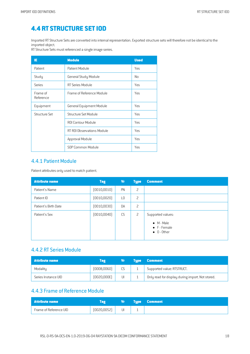# **4.4 RT STRUCTURE SETIOD**

Imported RT Structure Setsare converted into internal representation. Exported structure sets will therefore not be identical to the imported object.

RT Structure Sets must referenced a single image series.

| IE                    | <b>Module</b>               | <b>Used</b> |
|-----------------------|-----------------------------|-------------|
| Patient               | Patient Module              | Yes         |
| Study                 | General Study Module        | No          |
| Series                | RT Series Module            | Yes         |
| Frame of<br>Reference | Frame of Reference Module   | Yes         |
| Equipment             | General Equipment Module    | Yes         |
| Structure Set         | <b>Structure Set Module</b> | Yes         |
|                       | <b>ROI Contour Module</b>   | Yes         |
|                       | RT ROI Observations Module  | Yes         |
|                       | Approval Module             | Yes         |
|                       | SOP Common Module           | Yes         |

#### 4.4.1 Patient Module

Patient attributes only used to match patient.

| <b>Attribute name</b> | <b>Tag</b>   | <b>Vr</b> | <b>Type</b>    | <b>Comment</b>                                                                         |
|-----------------------|--------------|-----------|----------------|----------------------------------------------------------------------------------------|
| Patient's Name        | (0010, 0010) | PN        | $\overline{c}$ |                                                                                        |
| Patient ID            | (0010, 0020) | L0        | 2              |                                                                                        |
| Patient's Birth Date  | (0010, 0030) | DA        | 2              |                                                                                        |
| Patient's Sex         | (0010, 0040) | <b>CS</b> | $\overline{c}$ | Supported values:<br>$\bullet$ M - Male<br>$\bullet$ F - Female<br>$\bullet$ 0 - Other |

#### 4.4.2 RT Series Module

| <b>Attribute name</b> | Tag         |    | <b>NTupe \</b> | <b>Comment</b>                                   |
|-----------------------|-------------|----|----------------|--------------------------------------------------|
| Modality              | (0008,0060) |    |                | Supported value: RTSTRUCT.                       |
| Series Instance UID   | (0020,000E) | UI |                | Only read for display during import. Not stored. |

# 4.4.3 Frame of Reference Module

| <b>Attribute name</b>  |             | VЛ | <b>Type Comment</b> |
|------------------------|-------------|----|---------------------|
| Frame of Reference UID | [0020,0052] | UI |                     |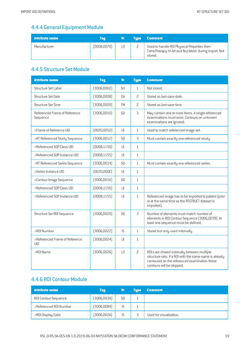# 4.4.4 General Equipment Module

| <b>Attribute name</b> | Tag          | Vr | <b>Tupe</b> | <b>Comment</b>                                                                                                |
|-----------------------|--------------|----|-------------|---------------------------------------------------------------------------------------------------------------|
| Manufacturer          | (0008, 0070) |    |             | Used to handle ROI Physical Properties from<br>TomoTherapy Hi-Art and Nucletron during import. Not<br>stored. |

# 4.4.5 Structure Set Module

| <b>Attribute name</b>                     | <b>Tag</b>   | <b>Vr</b>              | <b>Type</b>    | <b>Comment</b>                                                                                                                                                                       |
|-------------------------------------------|--------------|------------------------|----------------|--------------------------------------------------------------------------------------------------------------------------------------------------------------------------------------|
| Structure Set Label                       | (3006,0002)  | <b>SH</b>              | $\mathbf{1}$   | Not stored.                                                                                                                                                                          |
| <b>Structure Set Date</b>                 | [3006,0008]  | <b>DA</b>              | 2              | Stored as last save date.                                                                                                                                                            |
| <b>Structure Set Time</b>                 | [3006,0009]  | <b>TM</b>              | 2              | Stored as last save time.                                                                                                                                                            |
| Referenced Frame of Reference<br>Sequence | (3006,0010)  | SQ                     | 3              | May contain one or more items. A single referenced<br>examinations must exist. Contours on unknown<br>examinations are ignored.                                                      |
| >Frame of Reference UID                   | (0020, 0052) | $\mathsf{U}$           | $\mathbf{1}$   | Used to match referenced image set.                                                                                                                                                  |
| >RT Referenced Study Sequence             | [3006, 0012] | SQ                     | 3              | Must contain exactly one referenced study.                                                                                                                                           |
| >Referenced SOP Class UID                 | [0008, 1150] | $\mathsf{U}\mathsf{I}$ | $\mathbf{1}$   |                                                                                                                                                                                      |
| >Referenced SOP Instance UID              | [0008, 1155] | U                      | $\mathbf{1}$   |                                                                                                                                                                                      |
| >RT Referenced Series Sequence            | [3006, 0014] | SQ                     | $\mathbf{1}$   | Must contain exactly one referenced series.                                                                                                                                          |
| >Series Instance UID                      | [0020,000E]  | U                      | $\mathbf{1}$   |                                                                                                                                                                                      |
| >Contour Image Sequence                   | [3006,0016]  | SQ                     | $\mathbf{1}$   |                                                                                                                                                                                      |
| >Referenced SOP Class UID                 | (0008, 1150) | $\mathsf{U}\mathsf{I}$ | $\mathbf{1}$   |                                                                                                                                                                                      |
| >Referenced SOP Instance UID              | [0008, 1155] | U                      | $\mathbf{1}$   | Referenced image has to be imported to patient (prior<br>or at the same time as the RTSTRUCT dataset is<br>imported).                                                                |
| Structure Set ROI Sequence                | (3006, 0020) | SQ                     | 3              | Number of elements must match number of<br>elements in ROI Contour Sequence (3006,0039). At<br>least one sequence must be defined.                                                   |
| >R0I Number                               | (3006,0022)  | IS                     | $\mathbf{1}$   | Stored but only used internally.                                                                                                                                                     |
| >Referenced Frame of Reference<br>UID     | [3006, 0024] | U                      | $\mathbf{1}$   |                                                                                                                                                                                      |
| >ROI Name                                 | (3006,0026)  | L <sub>0</sub>         | $\overline{c}$ | ROI:s are shared internally between multiple<br>structure sets. If a ROI with the same name is already<br>contoured on the referenced examination these<br>contours will be skipped. |

## 4.4.6 ROI Contour Module

| <b>Attribute name</b>       | <b>Tag</b>   | Vr             | <b>Tupe</b> | <b>Comment</b>          |
|-----------------------------|--------------|----------------|-------------|-------------------------|
| <b>ROI Contour Sequence</b> | (3006, 0039) | S <sub>0</sub> |             |                         |
| >Referenced ROI Number      | (3006,0084)  | IS             |             |                         |
| >ROI Display Color          | [3006, 002A] | <b>IS</b>      |             | Used for visualization. |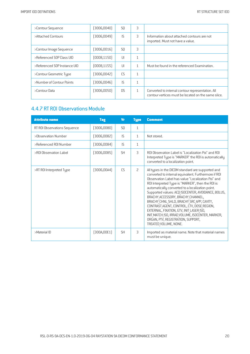| >Contour Sequence            | [3006,0040]  | S0             | 3            |                                                                                                          |
|------------------------------|--------------|----------------|--------------|----------------------------------------------------------------------------------------------------------|
| >Attached Contours           | (3006,0049)  | IS.            | 3            | Information about attached contours are not<br>imported. Must not have a value.                          |
| >Contour Image Sequence      | (3006,0016)  | S0             | 3            |                                                                                                          |
| >Referenced SOP Class UID    | [0008, 1150] | U              | $\mathbf{1}$ |                                                                                                          |
| >Referenced SOP Instance UID | [0008, 1155] | U              | 1            | Must be found in the referenced Examination.                                                             |
| >Contour Geometric Type      | (3006,0042)  | CS.            | $\mathbf{1}$ |                                                                                                          |
| >Number of Contour Points    | (3006, 0046) | IS.            | $\mathbf{1}$ |                                                                                                          |
| >Contour Data                | (3006,0050)  | D <sub>S</sub> | $\mathbf{1}$ | Converted to internal contour representation. All<br>contour vertices must be located on the same slice. |

#### 4.4.7 RT ROI Observations Module

| <b>Attribute name</b>        | <b>Tag</b>  | Vr             | <b>Type</b>  | <b>Comment</b>                                                                                                                                                                                                                                                                                                                                                                                                                                                                                                                                                                                                                |
|------------------------------|-------------|----------------|--------------|-------------------------------------------------------------------------------------------------------------------------------------------------------------------------------------------------------------------------------------------------------------------------------------------------------------------------------------------------------------------------------------------------------------------------------------------------------------------------------------------------------------------------------------------------------------------------------------------------------------------------------|
| RT ROI Observations Sequence | [3006,0080] | S <sub>0</sub> | $\mathbf{1}$ |                                                                                                                                                                                                                                                                                                                                                                                                                                                                                                                                                                                                                               |
| >Observation Number          | [3006,0082] | IS.            | $\mathbf{1}$ | Not stored.                                                                                                                                                                                                                                                                                                                                                                                                                                                                                                                                                                                                                   |
| >Referenced ROI Number       | [3006,0084] | IS             | 1            |                                                                                                                                                                                                                                                                                                                                                                                                                                                                                                                                                                                                                               |
| >ROI Observation Label       | (3006,0085) | <b>SH</b>      | 3            | ROI Observation Label is "Localization Poi" and ROI<br>Interpreted Type is "MARKER" the ROI is automatically<br>converted to a localization point.                                                                                                                                                                                                                                                                                                                                                                                                                                                                            |
| >RT ROI Interpreted Type     | (3006,00A4) | CS             | 2            | All types in the DICOM standard are supported and<br>converted to internal equivalent. Furthermore if ROI<br>Observation Label has value "Localization Poi" and<br>ROI Interpreted Type is "MARKER", then the ROI is<br>automatically converted to a localization point.<br>Supported values: ACQ ISOCENTER, AVOIDANCE, BOLUS,<br>BRACHY ACCESSORY, BRACHY CHANNEL,<br>BRACHY CHNL SHLD, BRACHY SRC APP, CAVITY,<br>CONTRAST AGENT, CONTROL, CTV, DOSE REGION,<br>EXTERNAL, FIXATION, GTV, INIT LASER ISO,<br>INIT MATCH ISO, IRRAD VOLUME, ISOCENTER, MARKER,<br>ORGAN, PTV, REGISTRATION, SUPPORT,<br>TREATED VOLUME, NONE. |
| >Material ID                 | (300A,00E1) | <b>SH</b>      | 3            | Imported as material name. Note that material names<br>must be unique.                                                                                                                                                                                                                                                                                                                                                                                                                                                                                                                                                        |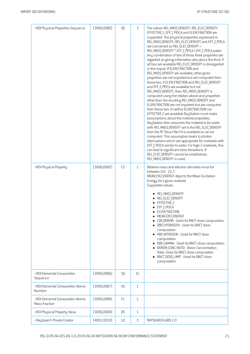| >ROI Physical Properties Sequence                  | (3006,00B0) | SQ            | 3            | The values REL MASS DENSITY, REL ELEC DENSITY,<br>EFFECTIVE Z, EFF Z PER A and ELEM FRACTION are<br>supported. The physical properties expressed in<br>REL MASS DENSITY, REL ELEC DENSITY and EFF Z PER A<br>are connected as REL ELEC DENSITY =<br>REL MASS DENSITY * EFF Z PER A / EFF Z PER A water.<br>Any combination of two of these three properties are<br>regarded as giving information also about the third. If<br>all four are available REL ELEC DENSITY is disregarded<br>in the import. If ELEM FRACTION and<br>REL MASS DENSITY are available, other given<br>properties are not imported but are computed from<br>these two. If ELEM FRACTION and REL ELEC DENSITY<br>and EFF Z PER A are available but not<br>REL MASS DENSITY, then REL MASS DENSITY is<br>computed using the relation above and properties<br>other than the resulting REL MASS DENSITY and<br>ELEM FRACTION are not imported but are computed<br>from these two. If neither ELEM FRACTION nor<br>EFFECTIVE Z are available RayStation must make<br>assumptions about the material properties.<br>RayStation then assumes the material to be water<br>with REL MASS DENSITY set to the REL ELEC DENSITY<br>from the RT Struct file if it is available or can be<br>computed. This assumption leads to photon<br>attenuations which are appropriate for materials with<br>EFF Z PER A similar to water. For high-Z materials, this<br>can lead to significant dose deviations. If<br>REL ELEC DENSITY cannot be established,<br>REL MASS DENSITY is used. |
|----------------------------------------------------|-------------|---------------|--------------|----------------------------------------------------------------------------------------------------------------------------------------------------------------------------------------------------------------------------------------------------------------------------------------------------------------------------------------------------------------------------------------------------------------------------------------------------------------------------------------------------------------------------------------------------------------------------------------------------------------------------------------------------------------------------------------------------------------------------------------------------------------------------------------------------------------------------------------------------------------------------------------------------------------------------------------------------------------------------------------------------------------------------------------------------------------------------------------------------------------------------------------------------------------------------------------------------------------------------------------------------------------------------------------------------------------------------------------------------------------------------------------------------------------------------------------------------------------------------------------------------------------------------------------------|
| >ROI Physical Property                             | [3006,00B2] | CS            | $\mathbf{1}$ | Relative mass and electron densities must be<br>between 0.0 - 22.7.<br>MEAN EXCI ENERGY depicts the Mean Excitation<br>Energy for a given material.<br>Supported values:<br>· REL_MASS_DENSITY<br>REL ELEC DENSITY<br>EFFECTIVE Z<br>• EFF Z PER A<br>ELEM FRACTION<br>MEAN EXCI ENERGY<br>CBE BORON - Used for BNCT dose computation<br>• RBE HYDROGEN - Used for BNCT dose<br>computation<br>RBE NITROGEN - Used for BNCT dose<br>computation<br>RBE GAMMA - Used for BNCT dose computation<br><b>BORON CONC RATIO - Boron Concentration</b><br>Ratio. Used for BNCT dose computation<br>• BNCT DOSE LIMIT - Used for BNCT dose<br>computation                                                                                                                                                                                                                                                                                                                                                                                                                                                                                                                                                                                                                                                                                                                                                                                                                                                                                             |
| >ROI Elemental Composition<br>Sequence             | [3006,00B6] | SQ            | 1C           |                                                                                                                                                                                                                                                                                                                                                                                                                                                                                                                                                                                                                                                                                                                                                                                                                                                                                                                                                                                                                                                                                                                                                                                                                                                                                                                                                                                                                                                                                                                                              |
| >ROI Elemental Composition Atomic<br>Number        | [3006,00B7] | <b>US</b>     | $\mathbf{1}$ |                                                                                                                                                                                                                                                                                                                                                                                                                                                                                                                                                                                                                                                                                                                                                                                                                                                                                                                                                                                                                                                                                                                                                                                                                                                                                                                                                                                                                                                                                                                                              |
| >ROI Elemental Composition Atomic<br>Mass Fraction | (3006,00B8) | FL.           | $\mathbf{1}$ |                                                                                                                                                                                                                                                                                                                                                                                                                                                                                                                                                                                                                                                                                                                                                                                                                                                                                                                                                                                                                                                                                                                                                                                                                                                                                                                                                                                                                                                                                                                                              |
| >ROI Physical Property Value                       | [3006,00B4] | <b>DS</b>     | $\mathbf{1}$ |                                                                                                                                                                                                                                                                                                                                                                                                                                                                                                                                                                                                                                                                                                                                                                                                                                                                                                                                                                                                                                                                                                                                                                                                                                                                                                                                                                                                                                                                                                                                              |
| >RaySearch Private Creator                         | (4001,0010) | $\mathsf{L}0$ | 3            | RAYSEARCHLABS 2.0                                                                                                                                                                                                                                                                                                                                                                                                                                                                                                                                                                                                                                                                                                                                                                                                                                                                                                                                                                                                                                                                                                                                                                                                                                                                                                                                                                                                                                                                                                                            |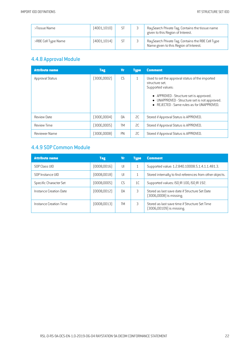| >Tissue Name        | [4001, 1010] |           | ر | RaySearch Private Tag. Contains the tissue name<br>given to this Region of Interest.        |
|---------------------|--------------|-----------|---|---------------------------------------------------------------------------------------------|
| >RBE Cell Type Name | [4001, 1014] | <b>ST</b> |   | RaySearch Private Tag. Contains the RBE Cell Type<br>Name given to this Region of Interest. |

# 4.4.8 Approval Module

| <b>Attribute name</b>  | <b>Tag</b>  | Vr        | <b>Type</b> | <b>Comment</b>                                                                                                                                                                                                                 |
|------------------------|-------------|-----------|-------------|--------------------------------------------------------------------------------------------------------------------------------------------------------------------------------------------------------------------------------|
| <b>Approval Status</b> | (300E,0002) | CS        |             | Used to set the approval status of the imported<br>structure set.<br>Supported values:<br>• APPROVED - Structure set is approved.<br>UNAPPROVED - Structure set is not approved.<br>• REJECTED - Same rules as for UNAPPROVED. |
| Review Date            | (300E,0004) | <b>DA</b> | SC          | Stored if Approval Status is APPROVED.                                                                                                                                                                                         |
| <b>Review Time</b>     | (300E,0005) | <b>TM</b> | 2C          | Stored if Approval Status is APPROVED.                                                                                                                                                                                         |
| Reviewer Name          | [300E,0008] | PN        | SC          | Stored if Approval Status is APPROVED.                                                                                                                                                                                         |

## 4.4.9 SOP Common Module

| <b>Attribute name</b>  | Tag         | <b>Vr</b> | <b>Type</b>    | <b>Comment</b>                                                             |
|------------------------|-------------|-----------|----------------|----------------------------------------------------------------------------|
| SOP Class UID          | (0008,0016) | UI        |                | Supported value: 1.2.840.10008.5.1.4.1.1.481.3.                            |
| SOP Instance UID       | (0008,0018) | UI        |                | Stored internally to find references from other objects.                   |
| Specific Character Set | (0008,0005) | CS.       | 1 <sup>C</sup> | Supported values: ISO IR 100, ISO IR 192.                                  |
| Instance Creation Date | (0008,0012) | <b>DA</b> | 3              | Stored as last save date if Structure Set Date<br>[3006,0008] is missing.  |
| Instance Creation Time | (0008,0013) | TM        | 3              | Stored as last save time if Structure Set Time<br>[3006,00109] is missing. |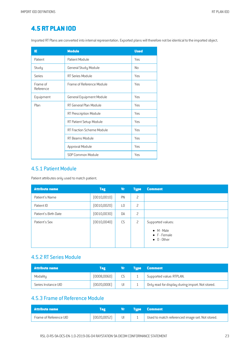# **4.5 RT PLAN IOD**

Imported RT Plans are converted into internal representation. Exported plans will therefore not be identical to the imported object.

| ΙE                    | <b>Module</b>                    | <b>Used</b> |
|-----------------------|----------------------------------|-------------|
| Patient               | Patient Module                   | Yes         |
| Study                 | General Study Module             | No          |
| Series                | <b>RT Series Module</b>          | Yes         |
| Frame of<br>Reference | Frame of Reference Module        | Yes         |
| Equipment             | <b>General Equipment Module</b>  | Yes         |
| Plan                  | RT General Plan Module           | Yes         |
|                       | RT Prescription Module           | Yes         |
|                       | RT Patient Setup Module          | Yes         |
|                       | <b>RT Fraction Scheme Module</b> | Yes         |
|                       | RT Beams Module                  | Yes         |
|                       | Approval Module                  | Yes         |
|                       | SOP Common Module                | Yes         |

#### 4.5.1 Patient Module

Patient attributes only used to match patient.

| <b>Attribute name</b> | <b>Tag</b>   | Vr        | <b>Type</b> | <b>Comment</b>                                                                         |
|-----------------------|--------------|-----------|-------------|----------------------------------------------------------------------------------------|
| Patient's Name        | (0010, 0010) | PN        | 2           |                                                                                        |
| Patient ID            | (0010, 0020) | L0        | 2           |                                                                                        |
| Patient's Birth Date  | (0010, 0030) | DA        | 2           |                                                                                        |
| Patient's Sex         | (0010, 0040) | <b>CS</b> | 2           | Supported values:<br>$\bullet$ M - Male<br>$\bullet$ F - Female<br>$\bullet$ 0 - Other |

#### 4.5.2 RT Series Module

| <b>Attribute name</b> | Tag         | Vr        | <b>Type Comment</b>                              |
|-----------------------|-------------|-----------|--------------------------------------------------|
| Modality              | (0008,0060) | <b>CS</b> | Supported value: RTPLAN.                         |
| Series Instance UID   | [0020,000E] | UI        | Only read for display during import. Not stored. |

#### 4.5.3 Frame of Reference Module

| Attribute name         |              | <b>AVT 17</b> | <b>Type Comment</b>                             |
|------------------------|--------------|---------------|-------------------------------------------------|
| Frame of Reference UID | (0020, 0052) | UI            | Used to match referenced image set. Not stored. |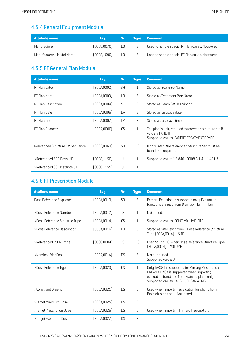# 4.5.4 General Equipment Module

| <b>Attribute name</b>     | Tag          | Vr | <b>Tupe</b> | <b>Comment</b>                                    |
|---------------------------|--------------|----|-------------|---------------------------------------------------|
| Manufacturer              | (0008,0070)  | LΟ |             | Used to handle special RT Plan cases. Not stored. |
| Manufacturer's Model Name | (0008, 1090) | LO |             | Used to handle special RT Plan cases. Not stored. |

# 4.5.5 RT General Plan Module

| <b>Attribute name</b>             | <b>Tag</b>   | <b>V<sub>r</sub></b> | <b>Type</b>    | <b>Comment</b>                                                                                                               |
|-----------------------------------|--------------|----------------------|----------------|------------------------------------------------------------------------------------------------------------------------------|
| RT Plan Label                     | (300A,0002)  | <b>SH</b>            | $\mathbf{1}$   | Stored as Beam Set Name.                                                                                                     |
| RT Plan Name                      | (300A,0003)  | LO                   | 3              | Stored as Treatment Plan Name.                                                                                               |
| RT Plan Description               | (300A,0004)  | <b>ST</b>            | 3              | Stored as Beam Set Description.                                                                                              |
| RT Plan Date                      | (300A,0006)  | <b>DA</b>            | $\overline{c}$ | Stored as last save date.                                                                                                    |
| RT Plan Time                      | (300A,0007)  | <b>TM</b>            | $\overline{c}$ | Stored as last save time.                                                                                                    |
| RT Plan Geometry                  | (300A,000C)  | CS                   | $\mathbf{1}$   | The plan is only required to reference structure set if<br>value is PATIENT.<br>Supported values: PATIENT, TREATMENT DEVICE. |
| Referenced Structure Set Sequence | (300C,0060)  | S <sub>0</sub>       | 1C             | If populated, the referenced Structure Set must be<br>found. Not required.                                                   |
| >Referenced SOP Class UID         | (0008, 1150) | $\cup$               | $\mathbf{1}$   | Supported value: 1.2.840.10008.5.1.4.1.1.481.3.                                                                              |
| >Referenced SOP Instance UID      | (0008, 1155) | UI                   | $\mathbf{1}$   |                                                                                                                              |

### 4.5.6 RT Prescription Module

| <b>Attribute name</b>          | <b>Tag</b>   | <b>V<sub>r</sub></b> | <b>Type</b>  | <b>Comment</b>                                                                                                                                                                                |
|--------------------------------|--------------|----------------------|--------------|-----------------------------------------------------------------------------------------------------------------------------------------------------------------------------------------------|
| Dose Reference Sequence        | (300A, 0010) | S <sub>0</sub>       | 3            | Primary Prescription supported only. Evaluation<br>functions are read from Brainlab iPlan RT Plan.                                                                                            |
| >Dose Reference Number         | [300A, 0012] | IS.                  | $\mathbf{1}$ | Not stored.                                                                                                                                                                                   |
| >Dose Reference Structure Type | (300A,0014)  | <b>CS</b>            | 1            | Supported values: POINT, VOLUME, SITE.                                                                                                                                                        |
| >Dose Reference Description    | [300A, 0016] | L <sub>0</sub>       | 3            | Stored as Site Description if Dose Reference Structure<br>Type (300A,0014) is SITE.                                                                                                           |
| >Referenced ROI Number         | (3006,0084)  | IS.                  | 1C           | Used to find ROI when Dose Reference Structure Type<br>[300A,0014] is VOLUME.                                                                                                                 |
| >Nominal Prior Dose            | (300A,001A)  | D <sub>S</sub>       | 3            | Not supported.<br>Supported value: 0.                                                                                                                                                         |
| >Dose Reference Type           | (300A,0020)  | CS                   | $\mathbf{1}$ | Only TARGET is supported for Primary Prescription.<br>ORGAN AT RISK is supported when importing<br>evaluation functions from Brainlab plans only.<br>Supported values: TARGET, ORGAN AT RISK. |
| >Constraint Weight             | (300A,0021)  | D.S                  | 3            | Used when importing evaluation functions from<br>Brainlab plans only. Not stored.                                                                                                             |
| >Target Minimum Dose           | [300A, 0025] | D.S                  | 3            |                                                                                                                                                                                               |
| >Target Prescription Dose      | [300A, 0026] | D.S                  | 3            | Used when importing Primary Prescription.                                                                                                                                                     |
| >Target Maximum Dose           | [300A, 0027] | <b>DS</b>            | 3            |                                                                                                                                                                                               |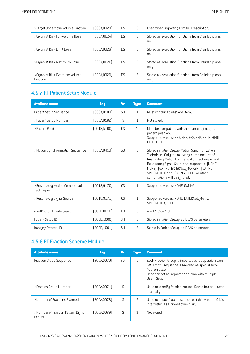| >Target Underdose Volume Fraction          | [300A, 0028] | D.S | 3 | Used when importing Primary Prescription.                   |
|--------------------------------------------|--------------|-----|---|-------------------------------------------------------------|
| >Organ at Risk Full-volume Dose            | (300A,002A)  | D.S | 3 | Stored as evaluation functions from Brainlab plans<br>only. |
| >Organ at Risk Limit Dose                  | [300A,002B]  | D.S | 3 | Stored as evaluation functions from Brainlab plans<br>only. |
| >Organ at Risk Maximum Dose                | (300A,002C)  | D.S | 3 | Stored as evaluation functions from Brainlab plans<br>only. |
| >Organ at Risk Overdose Volume<br>Fraction | (300A,002D)  | D.S | 3 | Stored as evaluation functions from Brainlab plans<br>only. |

# 4.5.7 RT Patient Setup Module

| <b>Attribute name</b>                         | <b>Tag</b>   | Vr              | <b>Type</b>    | <b>Comment</b>                                                                                                                                                                                                                                                                                                                  |
|-----------------------------------------------|--------------|-----------------|----------------|---------------------------------------------------------------------------------------------------------------------------------------------------------------------------------------------------------------------------------------------------------------------------------------------------------------------------------|
| Patient Setup Sequence                        | [300A, 0180] | S <sub>0</sub>  | $\mathbf{1}$   | Must contain at least one item.                                                                                                                                                                                                                                                                                                 |
| >Patient Setup Number                         | [300A, 0182] | $\mathsf{IS}$   | $\mathbf{1}$   | Not stored.                                                                                                                                                                                                                                                                                                                     |
| >Patient Position                             | [0018, 5100] | <b>CS</b>       | 1 <sup>C</sup> | Must be compatible with the planning image set<br>patient position.<br>Supported values: HFS, HFP, FFS, FFP, HFDR, HFDL,<br>FFDR, FFDL.                                                                                                                                                                                         |
| >Motion Synchronization Sequence              | [300A, 0410] | S <sub>0</sub>  | 3              | Stored in Patient Setup Motion Synchronization<br>Technique. Only the following combinations of<br>Respiratory Motion Compensation Technique and<br>Respiratory Signal Source are supported: [NONE,<br>NONE], [GATING, EXTERNAL MARKER], [GATING,<br>SPIROMETER] and [GATING, BELT]. All other<br>combinations will be ignored. |
| >Respiratory Motion Compensation<br>Technique | [0018, 9170] | CS              | $\mathbf{1}$   | Supported values: NONE, GATING.                                                                                                                                                                                                                                                                                                 |
| >Respiratory Signal Source                    | [0018, 9171] | CS              | $\mathbf{1}$   | Supported values: NONE, EXTERNAL MARKER,<br>SPIROMETER, BELT.                                                                                                                                                                                                                                                                   |
| medPhoton Private Creator                     | (30BB,0010)  | $\overline{10}$ | 3              | medPhoton 1.0                                                                                                                                                                                                                                                                                                                   |
| Patient Setup ID                              | (30BB, 1000) | <b>SH</b>       | 3              | Stored in Patient Setup as IDCAS parameters.                                                                                                                                                                                                                                                                                    |
| Imaging Protocol ID                           | (30BB, 1001) | <b>SH</b>       | 3              | Stored in Patient Setup as IDCAS parameters.                                                                                                                                                                                                                                                                                    |

### 4.5.8 RT Fraction Scheme Module

| <b>Attribute name</b>                         | <b>Tag</b>  | Vr             | <b>Type</b>  | <b>Comment</b>                                                                                                                                                                           |
|-----------------------------------------------|-------------|----------------|--------------|------------------------------------------------------------------------------------------------------------------------------------------------------------------------------------------|
| Fraction Group Sequence                       | (300A,0070) | S <sub>0</sub> | $\mathbf{1}$ | Each Fraction Group is imported as a separate Beam<br>Set. Empty sequence is handled as special zero-<br>fraction case.<br>Dose cannot be imported to a plan with multiple<br>Beam Sets. |
| >Fraction Group Number                        | (300A,0071) | IS.            |              | Used to identify fraction groups. Stored but only used<br>internally.                                                                                                                    |
| >Number of Fractions Planned                  | (300A,0078) | IS.            | 2            | Used to create fraction schedule. If this value is 0 it is<br>interpreted as a one-fraction plan.                                                                                        |
| >Number of Fraction Pattern Digits<br>Per Day | (300A,0079) | IS.            | 3            | Not stored.                                                                                                                                                                              |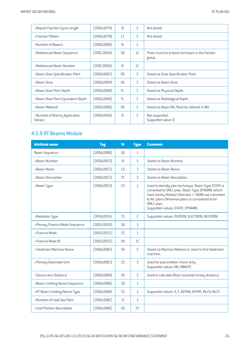| >Repeat Fraction Cycle Length           | (300A,007A) | IS             | 3              | Not stored.                                               |
|-----------------------------------------|-------------|----------------|----------------|-----------------------------------------------------------|
| >Fraction Pattern                       | (300A,007B) | LT             | 3              | Not stored.                                               |
| >Number of Beams                        | (300A,0080) | IS             | $\mathbf{1}$   |                                                           |
| >Referenced Beam Sequence               | (300C,0004) | S <sub>0</sub> | 1C             | There must be at least one beam in the fraction<br>group. |
| >Referenced Beam Number                 | (300C,0006) | IS             | 1 <sup>C</sup> |                                                           |
| >Beam Dose Specification Point          | (300A,0082) | <b>DS</b>      | 3              | Stored as Dose Specification Point.                       |
| >Beam Dose                              | (300A,0084) | D.S            | 3              | Stored as Beam Dose.                                      |
| >Beam Dose Point Depth                  | (300A,0088) | FL             | 3              | Stored as Physical Depth.                                 |
| >Beam Dose Point Equivalent Depth       | (300A,0089) | <b>FL</b>      | 3              | Stored as Radiological Depth.                             |
| >Beam Meterset                          | (300A,0086) | <b>DS</b>      | 3              | Stored as Beam MU. Must be defined in MU.                 |
| >Number of Brachy Application<br>Setups | (300A,00AO) | IS             | $\mathbf{1}$   | Not supported.<br>Supported value: 0.                     |

## 4.5.9 RT Beams Module

| <b>Attribute name</b>          | <b>Tag</b>   | <b>Vr</b>      | <b>Type</b>    | <b>Comment</b>                                                                                                                                                                                                                                                          |
|--------------------------------|--------------|----------------|----------------|-------------------------------------------------------------------------------------------------------------------------------------------------------------------------------------------------------------------------------------------------------------------------|
| Beam Sequence                  | (300A, 00B0) | SQ             | $\mathbf{1}$   |                                                                                                                                                                                                                                                                         |
| >Beam Number                   | [300A,00C0]  | IS             | $\mathbf{1}$   | Stored as Beam Number.                                                                                                                                                                                                                                                  |
| >Beam Name                     | [300A, 00C2] | L <sub>0</sub> | 3              | Stored as Beam Name.                                                                                                                                                                                                                                                    |
| >Beam Description              | [300A, 00C3] | <b>ST</b>      | 3              | Stored as Beam Description.                                                                                                                                                                                                                                             |
| >Beam Type                     | [300A, 00C4] | CS             | $\mathbf{1}$   | Used to identify plan technique. Beam Type STATIC is<br>converted to SMLC plan. Beam Type DYNAMIC which<br>have Gantry Rotation Direction != NONE are converted<br>to Arc plans Otherwise plans is considered to be<br>DMLC plan.<br>Supported values: STATIC, DYNAMIC. |
| >Radiation Type                | [300A,00C6]  | CS             | $\overline{c}$ | Supported values: PHOTON, ELECTRON, NEUTRON.                                                                                                                                                                                                                            |
| >Primary Fluence Mode Sequence | (3002,0050)  | SQ             | 3              |                                                                                                                                                                                                                                                                         |
| >Fluence Mode                  | (3002,0051)  | CS             | $\mathbf{1}$   |                                                                                                                                                                                                                                                                         |
| >Fluence Mode ID               | (3002,0052)  | <b>SH</b>      | 1C             |                                                                                                                                                                                                                                                                         |
| >Treatment Machine Name        | [300A, 00B2] | <b>SH</b>      | $\overline{c}$ | Stored as Machine Reference. Used to find treatment<br>machine.                                                                                                                                                                                                         |
| >Primary Dosimeter Unit        | [300A,00B3]  | CS             | $\overline{3}$ | Used for precondition check only.<br>Supported values: MU, MINUTE.                                                                                                                                                                                                      |
| >Source-Axis Distance          | [300A,00B4]  | D <sub>S</sub> | 3              | Used to calculate Block isocenter to tray distance.                                                                                                                                                                                                                     |
| >Beam Limiting Device Sequence | [300A,00B6]  | SQ             | $\mathbf{1}$   |                                                                                                                                                                                                                                                                         |
| >RT Beam Limiting Device Type  | [300A,00B8]  | <b>CS</b>      | $\mathbf{1}$   | Supported values: X, Y, ASYMX, ASYMY, MLCX, MLCY.                                                                                                                                                                                                                       |
| >Number of Leaf/Jaw Pairs      | [300A,00BC]  | IS             | $\mathbf{1}$   |                                                                                                                                                                                                                                                                         |
| >Leaf Position Boundaries      | [300A,00BE]  | <b>DS</b>      | SC             |                                                                                                                                                                                                                                                                         |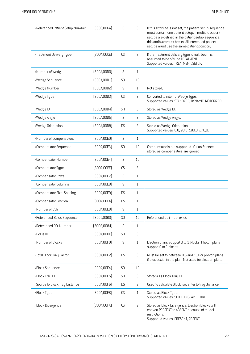| >Referenced Patient Setup Number | [300C,006A]  | IS                     | $\overline{3}$ | If this attribute is not set, the patient setup sequence<br>must contain one patient setup. If multiple patient<br>setups are defined in the patient setup sequence,<br>this attribute must be set. All referenced patient<br>setups must use the same patient position. |
|----------------------------------|--------------|------------------------|----------------|--------------------------------------------------------------------------------------------------------------------------------------------------------------------------------------------------------------------------------------------------------------------------|
| >Treatment Delivery Type         | [300A,00CE]  | CS                     | 3              | If the Treatment Delivery type is null, beam is<br>assumed to be of type TREATMENT.<br>Supported values: TREATMENT, SETUP.                                                                                                                                               |
| >Number of Wedges                | (300A,00D0)  | IS                     | $\mathbf{1}$   |                                                                                                                                                                                                                                                                          |
| >Wedge Sequence                  | (300A, 00D1) | SQ                     | 1C             |                                                                                                                                                                                                                                                                          |
| >Wedge Number                    | (300A, 00D2) | IS                     | $\mathbf{1}$   | Not stored.                                                                                                                                                                                                                                                              |
| >Wedge Type                      | (300A,00D3)  | CS                     | $\overline{c}$ | Converted to internal Wedge Type.<br>Supported values: STANDARD, DYNAMIC, MOTORIZED.                                                                                                                                                                                     |
| >Wedge ID                        | (300A, 00D4) | <b>SH</b>              | 3              | Stored as Wedge ID.                                                                                                                                                                                                                                                      |
| >Wedge Angle                     | [300A,00D5]  | IS                     | $\overline{c}$ | Stored as Wedge Angle.                                                                                                                                                                                                                                                   |
| >Wedge Orientation               | [300A,00D8]  | <b>DS</b>              | $\overline{c}$ | Stored as Wedge Orientation.<br>Supported values: 0.0, 90.0, 180.0, 270.0.                                                                                                                                                                                               |
| >Number of Compensators          | (300A, 00E0) | IS                     | $\mathbf{1}$   |                                                                                                                                                                                                                                                                          |
| >Compensator Sequence            | [300A, 00E3] | SQ                     | 1C             | Compensator is not supported. Varian fluences<br>stored as compensators are ignored.                                                                                                                                                                                     |
| >Compensator Number              | [300A, 00E4] | IS                     | 1C             |                                                                                                                                                                                                                                                                          |
| >Compensator Type                | [300A,00EE]  | CS                     | 3              |                                                                                                                                                                                                                                                                          |
| >Compensator Rows                | [300A, 00E7] | IS                     | $\mathbf{1}$   |                                                                                                                                                                                                                                                                          |
| >Compensator Columns             | [300A, 00E8] | IS                     | $\mathbf{1}$   |                                                                                                                                                                                                                                                                          |
| >Compensator Pixel Spacing       | [300A, 00E9] | <b>DS</b>              | $\mathbf{1}$   |                                                                                                                                                                                                                                                                          |
| >Compensator Position            | [300A,00EA]  | <b>DS</b>              | $\mathbf{1}$   |                                                                                                                                                                                                                                                                          |
| >Number of Boli                  | (300A,00ED)  | IS                     | $\mathbf{1}$   |                                                                                                                                                                                                                                                                          |
| >Referenced Bolus Sequence       | [300C,00B0]  | SQ                     | 1C             | Referenced boli must exist.                                                                                                                                                                                                                                              |
| >Referenced ROI Number           | [3006,0084]  | IS                     | $\mathbf{1}$   |                                                                                                                                                                                                                                                                          |
| >Bolus ID                        | [300A,00DC]  | <b>SH</b>              | 3              |                                                                                                                                                                                                                                                                          |
| >Number of Blocks                | [300A, 00F0] | IS                     | $\mathbf{1}$   | Electron plans support 0 to 1 blocks. Photon plans<br>support 0 to 2 blocks.                                                                                                                                                                                             |
| >Total Block Tray Factor         | [300A, 00F2] | <b>DS</b>              | 3              | Must be set to between 0.5 and 1.0 for photon plans<br>if block exist in the plan. Not used for electron plans                                                                                                                                                           |
| >Block Sequence                  | [300A, 00F4] | SQ                     | 1C             |                                                                                                                                                                                                                                                                          |
| >Block Tray ID                   | [300A, 00F5] | SH                     | $\mathsf 3$    | Storeda as Block Tray ID.                                                                                                                                                                                                                                                |
| >Source to Block Tray Distance   | [300A, 00F6] | <b>DS</b>              | $\overline{c}$ | Used to calculate Block isocenter to tray distance.                                                                                                                                                                                                                      |
| >Block Type                      | [300A, 00F8] | $\mathbb{C}\mathsf{S}$ | $\mathbf{1}$   | Stored as Block Type.<br>Supported values: SHIELDING, APERTURE.                                                                                                                                                                                                          |
| >Block Divergence                | [300A,00FA]  | CS                     | $\overline{c}$ | Stored as Block Divergence. Electron blocks will<br>convert PRESENT to ABSENT because of model<br>restrictions.<br>Supported values: PRESENT, ABSENT.                                                                                                                    |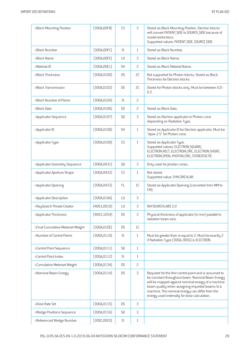| >Block Mounting Position          | (300A,00FB)  | CS                   | 3              | Stored as Block Mounting Position. Electron blocks<br>will convert PATIENT SIDE to SOURCE SIDE because of<br>model restrictions.<br>Supported values: PATIENT SIDE, SOURCE SIDE.                                                                                                                                       |
|-----------------------------------|--------------|----------------------|----------------|------------------------------------------------------------------------------------------------------------------------------------------------------------------------------------------------------------------------------------------------------------------------------------------------------------------------|
| >Block Number                     | [300A,00FC]  | IS                   | $\mathbf{1}$   | Stored as Block Number.                                                                                                                                                                                                                                                                                                |
| >Block Name                       | [300A,00FE]  | L <sub>0</sub>       | 3              | Stored as Block Name.                                                                                                                                                                                                                                                                                                  |
| >Material ID                      | [300A, 00E1] | <b>SH</b>            | $\overline{c}$ | Stored as Block Material Name.                                                                                                                                                                                                                                                                                         |
| >Block Thickness                  | [300A, 0100] | <b>DS</b>            | SC             | Not supported for Photon blocks. Stored as Block<br>Thickness for Electron blocks.                                                                                                                                                                                                                                     |
| >Block Transmission               | (300A, 0102) | <b>DS</b>            | SC             | Stored for Photon blocks only. Must be between 0.0 -<br>0.2.                                                                                                                                                                                                                                                           |
| >Block Number of Points           | [300A, 0104] | IS                   | $\overline{c}$ |                                                                                                                                                                                                                                                                                                                        |
| >Block Data                       | [300A, 0106] | <b>DS</b>            | $\overline{c}$ | Stored as Block Data.                                                                                                                                                                                                                                                                                                  |
| >Applicator Sequence              | [300A, 0107] | SQ                   | 3              | Stored as Electron applicator or Photon cone<br>depending on Radiation Type.                                                                                                                                                                                                                                           |
| >Applicator ID                    | [300A, 0108] | <b>SH</b>            | $\mathbf{1}$   | Stored as Applicator ID for Electron applicator. Must be<br>"Apex 2.5" for Photon cone.                                                                                                                                                                                                                                |
| >Applicator Type                  | (300A, 0109) | CS                   | $\mathbf{1}$   | Stored as Applicator Type.<br>Supported values: ELECTRON SQUARE,<br>ELECTRON RECT, ELECTRON CIRC, ELECTRON SHORT,<br>ELECTRON OPEN, PHOTON CIRC, STEREOTACTIC.                                                                                                                                                         |
| >Applicator Geometry Sequence     | [300A, 0431] | SQ                   | 3              | Only used for photon cones.                                                                                                                                                                                                                                                                                            |
| >Applicator Aperture Shape        | [300A, 0432] | <b>CS</b>            | $\mathbf{1}$   | Not stored.<br>Supported value: SYM CIRCULAR.                                                                                                                                                                                                                                                                          |
| >Applicator Opening               | [300A, 0433] | <b>FL</b>            | 1 <sup>C</sup> | Stored as Applicator Opening (converted from MM to<br>CM).                                                                                                                                                                                                                                                             |
| >Applicator Description           | [300A, 010A] | L <sub>0</sub>       | 3              |                                                                                                                                                                                                                                                                                                                        |
| >RaySearch Private Creator        | (4001, 0010) | L <sub>0</sub>       | 3              | RAYSEARCHLABS 2.0                                                                                                                                                                                                                                                                                                      |
| >Applicator Thickness             | (4001, 1054) | <b>DS</b>            | 3              | Physical thickness of applicator (in mm) parallel to<br>radiation beam axis.                                                                                                                                                                                                                                           |
| >Final Cumulative Meterset Weight | [300A, 010E] | <b>DS</b>            | $1\mathsf{C}$  |                                                                                                                                                                                                                                                                                                                        |
| >Number of Control Points         | (300A, 0110) | IS                   | $\mathbf{1}$   | Must be greater than or equal to 2. Must be exactly 2<br>if Radiation Type (300A, 00C6) is ELECTRON.                                                                                                                                                                                                                   |
| >Control Point Sequence           | [300A, 0111] | SQ                   | $\mathbf{1}$   |                                                                                                                                                                                                                                                                                                                        |
| >Control Point Index              | [300A, 0112] | IS                   | $\mathbf{1}$   |                                                                                                                                                                                                                                                                                                                        |
| >Cumulative Meterset Weight       | [300A, 0134] | <b>DS</b>            | $\overline{c}$ |                                                                                                                                                                                                                                                                                                                        |
| >Nominal Beam Energy              | [300A, 0114] | <b>DS</b>            | 3              | Required for the first control point and is assumed to<br>be constant throughout beam. Nominal Beam Energy<br>will be mapped against nominal energy of a machine<br>beam quality when assigning imported beams to a<br>machine. The nominal energy can differ from the<br>energy used internally for dose calculation. |
| >Dose Rate Set                    | [300A, 0115] | <b>DS</b>            | 3              |                                                                                                                                                                                                                                                                                                                        |
| >Wedge Positions Sequence         | [300A, 0116] | SQ                   | $\mathsf 3$    |                                                                                                                                                                                                                                                                                                                        |
| >Referenced Wedge Number          | (300C, 00C0) | $\mathsf{IS}\xspace$ | $\mathbf{1}$   |                                                                                                                                                                                                                                                                                                                        |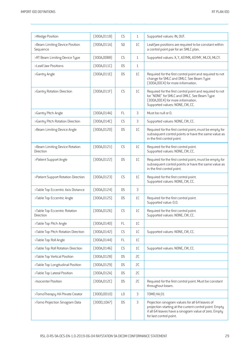| >Wedge Position                             | (300A, 0118) | CS                     | $\mathbf{1}$  | Supported values: IN, OUT.                                                                                                                                                                     |
|---------------------------------------------|--------------|------------------------|---------------|------------------------------------------------------------------------------------------------------------------------------------------------------------------------------------------------|
| >Beam Limiting Device Position<br>Sequence  | [300A, 011A] | SQ                     | 1C            | Leaf/jaw positions are required to be constant within<br>a control point pair for an SMLC plan.                                                                                                |
| >RT Beam Limiting Device Type               | (300A, 00B8) | <b>CS</b>              | $\mathbf{1}$  | Supported values: X, Y, ASYMX, ASYMY, MLCX, MLCY.                                                                                                                                              |
| >Leaf/Jaw Positions                         | [300A, 011C] | <b>DS</b>              | $\mathbf{1}$  |                                                                                                                                                                                                |
| >Gantry Angle                               | [300A, 011E] | <b>DS</b>              | 1C            | Required for the first control point and required to not<br>change for SMLC and DMLC. See Beam Type<br>[300A,00C4] for more information.                                                       |
| >Gantry Rotation Direction                  | (300A, 011F) | CS                     | 1C            | Required for the first control point and required to not<br>be "NONE" for SMLC and DMLC. See Beam Type<br>[300A,00C4] for more information.<br>Supported values: NONE, CW, CC.                 |
| >Gantry Pitch Angle                         | [300A, 014A] | FL                     | 3             | Must be null or 0.                                                                                                                                                                             |
| >Gantry Pitch Rotation Direction            | [300A, 014C] | <b>CS</b>              | 3             | Supported values: NONE, CW, CC.                                                                                                                                                                |
| >Beam Limiting Device Angle                 | [300A, 0120] | <b>DS</b>              | 1C            | Required for the first control point, must be empty for<br>subsequent control points or have the same value as<br>in the first control point.                                                  |
| >Beam Limiting Device Rotation<br>Direction | [300A, 0121] | CS                     | 1C            | Required for the first control point.<br>Supported values: NONE, CW, CC.                                                                                                                       |
| >Patient Support Angle                      | [300A, 0122] | <b>DS</b>              | 1C            | Required for the first control point, must be empty for<br>subsequent control points or have the same value as<br>in the first control point.                                                  |
| >Patient Support Rotation Direction         | [300A, 0123] | CS                     | 1C            | Required for the first control point.<br>Supported values: NONE, CW, CC.                                                                                                                       |
| >Table Top Eccentric Axis Distance          | [300A, 0124] | <b>DS</b>              | 3             |                                                                                                                                                                                                |
| >Table Top Eccentric Angle                  | [300A, 0125] | <b>DS</b>              | 1C            | Required for the first control point.<br>Supported value: 0.0.                                                                                                                                 |
| >Table Top Eccentric Rotation<br>Direction  | [300A, 0126] | CS                     | 1C            | Required for the first control point.<br>Supported values: NONE, CW, CC.                                                                                                                       |
| >Table Top Pitch Angle                      | [300A, 0140] | $\mathsf{FL}$          | $1\mathsf{C}$ |                                                                                                                                                                                                |
| >Table Top Pitch Rotation Direction         | [300A, 0142] | $\mathbb{C}\mathsf{S}$ | 1C            | Supported values: NONE, CW, CC.                                                                                                                                                                |
| >Table Top Roll Angle                       | [300A, 0144] | FL.                    | $1\mathsf{C}$ |                                                                                                                                                                                                |
| >Table Top Roll Rotation Direction          | [300A, 0146] | $\mathbb{C}\mathsf{S}$ | 1C            | Supported values: NONE, CW, CC.                                                                                                                                                                |
| >Table Top Vertical Position                | [300A, 0128] | <b>DS</b>              | SC            |                                                                                                                                                                                                |
| >Table Top Longitudinal Position            | [300A, 0129] | <b>DS</b>              | SC            |                                                                                                                                                                                                |
| >Table Top Lateral Position                 | [300A, 012A] | <b>DS</b>              | SC            |                                                                                                                                                                                                |
| >Isocenter Position                         | (300A, 012C) | <b>DS</b>              | SC            | Required for the first control point. Must be constant<br>throughout beam.                                                                                                                     |
| >TomoTherapy HA Private Creator             | (300D, 0010) | L <sub>0</sub>         | 3             | T0M0 HA 01                                                                                                                                                                                     |
| >Tomo Projection Sinogram Data              | (300D, 10A7) | <b>DS</b>              | 3             | Projection sinogram values for all 64 leaves of<br>projection starting at the current control point. Empty<br>if all 64 leaves have a sinogram value of zero. Empty<br>for last control point. |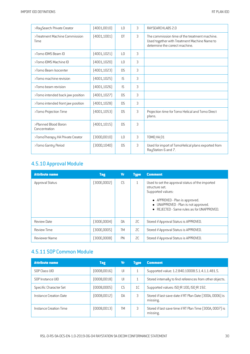| >RaySearch Private Creator                   | (4001, 0010) | LO              | 3 | RAYSEARCHLABS 2.0                                                                                                               |
|----------------------------------------------|--------------|-----------------|---|---------------------------------------------------------------------------------------------------------------------------------|
| >Treatment Machine Commission<br><b>Time</b> | (4001, 1001) | DT              | 3 | The commission time of the treatment machine.<br>Used together with Treatment Machine Name to<br>determine the correct machine. |
| >Tomo IDMS Beam ID                           | [4001, 1021] | L <sub>0</sub>  | 3 |                                                                                                                                 |
| >Tomo IDMS Machine ID                        | [4001, 1020] | $\overline{10}$ | 3 |                                                                                                                                 |
| >Tomo Beam Isocenter                         | [4001, 1023] | D.S             | 3 |                                                                                                                                 |
| >Tomo machine revision                       | (4001, 1025) | <b>IS</b>       | 3 |                                                                                                                                 |
| >Tomo beam revision                          | (4001, 1026) | <b>IS</b>       | 3 |                                                                                                                                 |
| >Tomo intended back jaw position             | (4001, 1027) | D <sub>S</sub>  | 3 |                                                                                                                                 |
| >Tomo intended front jaw position            | [4001, 1028] | D.S             | 3 |                                                                                                                                 |
| >Tomo Projection Time                        | (4001, 1053) | D <sub>S</sub>  | 3 | Projection time for Tomo Helical and Tomo Direct<br>plans.                                                                      |
| >Planned Blood Boron<br>Concentration        | (4001, 1015) | D <sub>S</sub>  | 3 |                                                                                                                                 |
| >TomoTherapy HA Private Creator              | [300D, 0010] | $\overline{10}$ | 3 | <b>TOMO HA 01</b>                                                                                                               |
| >Tomo Gantry Period                          | (300D, 1040) | D <sub>S</sub>  | 3 | Used for import of TomoHelical plans exported from<br>RayStation 6 and 7.                                                       |

## 4.5.10 Approval Module

| <b>Attribute name</b> | Tag          | Vr        | <b>Type</b>  | <b>Comment</b>                                                                                                                                                                                             |
|-----------------------|--------------|-----------|--------------|------------------------------------------------------------------------------------------------------------------------------------------------------------------------------------------------------------|
| Approval Status       | [300E, 0002] | CS        | $\mathbf{1}$ | Used to set the approval status of the imported<br>structure set.<br>Supported values:<br>• APPROVED - Plan is approved.<br>UNAPPROVED - Plan is not approved.<br>REJECTED - Same rules as for UNAPPROVED. |
| Review Date           | (300E,0004)  | DA        | SC.          | Stored if Approval Status is APPROVED.                                                                                                                                                                     |
| <b>Review Time</b>    | (300E,0005)  | <b>TM</b> | SC           | Stored if Approval Status is APPROVED.                                                                                                                                                                     |
| Reviewer Name         | (300E,0008)  | <b>PN</b> | SC           | Stored if Approval Status is APPROVED.                                                                                                                                                                     |

# 4.5.11 SOP Common Module

| <b>Attribute name</b>  | Tag          | ۷r        | <b>Type</b>    | <b>Comment</b>                                                       |
|------------------------|--------------|-----------|----------------|----------------------------------------------------------------------|
| SOP Class UID          | (0008, 0016) | U         |                | Supported value: 1.2.840.10008.5.1.4.1.1.481.5.                      |
| SOP Instance UID       | (0008,0018)  | U         |                | Stored internally to find references from other objects.             |
| Specific Character Set | (0008,0005)  | C.S       | 1 <sup>C</sup> | Supported values: ISO IR 100, ISO IR 192.                            |
| Instance Creation Date | (0008,0012)  | <b>DA</b> | 3              | Stored if last save date if RT Plan Date (300A, 0006) is<br>missing. |
| Instance Creation Time | (0008, 0013) | <b>TM</b> | 3              | Stored if last save time if RT Plan Time (300A, 0007) is<br>missing. |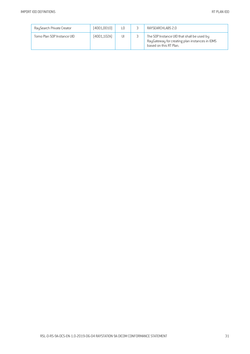| RaySearch Private Creator  | (4001,0010)  | L <sub>0</sub> | RAYSFARCHI ABS 2.0                                                                                                     |
|----------------------------|--------------|----------------|------------------------------------------------------------------------------------------------------------------------|
| Tomo Plan SOP Instance UID | [4001, 102A] | UI             | The SOP Instance UID that shall be used by<br>RayGateway for creating plan instances in IDMS<br>based on this RT Plan. |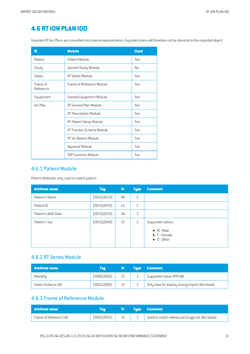# **4.6 RTION PLAN IOD**

Imported RT Ion Plans are converted into internal representation. Exported plans will therefore not be identical to the imported object.

| ΙE                    | <b>Module</b>                    | <b>Used</b> |
|-----------------------|----------------------------------|-------------|
| Patient               | Patient Module                   | Yes         |
| Study                 | General Study Module             | No          |
| Series                | RT Series Module                 | Yes         |
| Frame of<br>Reference | Frame of Reference Module        | Yes         |
| Equipment             | General Equipment Module         | Yes         |
| Ion Plan              | RT General Plan Module           | Yes         |
|                       | RT Prescription Module           | Yes         |
|                       | RT Patient Setup Module          | Yes         |
|                       | <b>RT Fraction Scheme Module</b> | Yes         |
|                       | RT Ion Beams Module              | Yes         |
|                       | Approval Module                  | Yes         |
|                       | SOP Common Module                | Yes         |

#### 4.6.1 Patient Module

Patient attributes only used to match patient.

| <b>Attribute name</b> | <b>Tag</b>   | Vr        | <b>Type</b> | <b>Comment</b>                                                                         |
|-----------------------|--------------|-----------|-------------|----------------------------------------------------------------------------------------|
| Patient's Name        | (0010, 0010) | PN        | 2           |                                                                                        |
| Patient ID            | (0010, 0020) | L0        | 2           |                                                                                        |
| Patient's Birth Date  | (0010, 0030) | DA        | 2           |                                                                                        |
| Patient's Sex         | (0010, 0040) | <b>CS</b> | 2           | Supported values:<br>$\bullet$ M - Male<br>$\bullet$ F - Female<br>$\bullet$ 0 - Other |

#### 4.6.2 RT Series Module

| <b>Attribute name</b> | Tag         | Vr        | <b>Type Comment</b>                              |
|-----------------------|-------------|-----------|--------------------------------------------------|
| Modality              | (0008,0060) | <b>CS</b> | Supported value: RTPLAN.                         |
| Series Instance UID   | [0020,000E] | UI        | Only read for display during import. Not stored. |

#### 4.6.3 Frame of Reference Module

| Attribute name         |              | /Vr / | <b>Type Comment</b>                             |
|------------------------|--------------|-------|-------------------------------------------------|
| Frame of Reference UID | (0020, 0052) |       | Used to match referenced image set. Not stored. |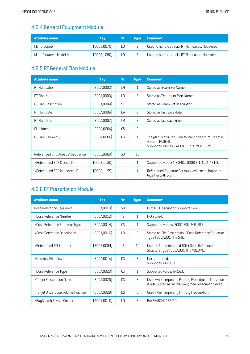# 4.6.4 General Equipment Module

| Attribute name            | Tag          | Vr | <b>Tupe</b> | <b>Comment</b>                                        |
|---------------------------|--------------|----|-------------|-------------------------------------------------------|
| Manufacturer              | (0008,0070)  |    |             | 2   Used to handle special RT Plan cases. Not stored. |
| Manufacturer's Model Name | (0008, 1090) |    |             | Used to handle special RT Plan cases. Not stored.     |

## 4.6.5 RT General Plan Module

| <b>Attribute name</b>             | <b>Tag</b>   | <b>Vr</b>      | <b>Type</b>    | <b>Comment</b>                                                                                                               |
|-----------------------------------|--------------|----------------|----------------|------------------------------------------------------------------------------------------------------------------------------|
| RT Plan Label                     | (300A,0002)  | <b>SH</b>      | $\mathbf{1}$   | Stored as Beam Set Name.                                                                                                     |
| RT Plan Name                      | (300A,0003)  | L <sub>0</sub> | 3              | Stored as Treatment Plan Name.                                                                                               |
| RT Plan Description               | (300A,0004)  | <b>ST</b>      | 3              | Stored as Beam Set Description.                                                                                              |
| RT Plan Date                      | (300A,0006)  | DA             | 2              | Stored as last save date.                                                                                                    |
| RT Plan Time                      | (300A,0007)  | <b>TM</b>      | 2              | Stored as last save time.                                                                                                    |
| Plan Intent                       | [300A,000A]  | CS             | 3              |                                                                                                                              |
| RT Plan Geometry                  | (300A,000C)  | CS             | $\mathbf{1}$   | The plan is only required to reference structure set if<br>value is PATIENT.<br>Supported values: PATIENT, TREATMENT DEVICE. |
| Referenced Structure Set Sequence | (300C,0060)  | S <sub>0</sub> | 1 <sup>C</sup> |                                                                                                                              |
| >Referenced SOP Class UID         | (0008, 1150) | UI             | $\mathbf{1}$   | Supported value: 1.2.840.10008.5.1.4.1.1.481.3.                                                                              |
| >Referenced SOP Instance UID      | (0008, 1155) | UI             | $\mathbf{1}$   | Referenced Structure Set must exist or be imported<br>together with plan.                                                    |

# 4.6.6 RT Prescription Module

| <b>Attribute name</b>             | <b>Tag</b>   | <b>V<sub>r</sub></b> | <b>Type</b>    | <b>Comment</b>                                                                                              |
|-----------------------------------|--------------|----------------------|----------------|-------------------------------------------------------------------------------------------------------------|
| Dose Reference Sequence           | (300A, 0010) | S <sub>0</sub>       | 3              | Primary Prescription supported only.                                                                        |
| >Dose Reference Number            | (300A,0012)  | IS.                  | $\mathbf{1}$   | Not stored.                                                                                                 |
| >Dose Reference Structure Type    | (300A,0014)  | <b>CS</b>            | $\mathbf{1}$   | Supported values: POINT, VOLUME, SITE.                                                                      |
| >Dose Reference Description       | (300A,0016)  | L <sub>0</sub>       | 3              | Stored as Site Description if Dose Reference Structure<br>Type (300A,0014) is SITE.                         |
| >Referenced R0I Number            | (3006,0084)  | IS.                  | 1 <sup>C</sup> | Used to find referenced ROI if Dose Reference<br>Structure Type [300A,0014] is VOLUME.                      |
| >Nominal Prior Dose               | (300A, 001A) | D.S                  | 3              | Not supported.<br>Supported value: 0.                                                                       |
| >Dose Reference Type              | (300A,0020)  | <b>CS</b>            | $\mathbf{1}$   | Supported value: TARGET.                                                                                    |
| >Target Prescription Dose         | (300A, 0026) | D.S                  | 3              | Used when importing Primary Prescription. The value<br>is interpreted as an RBE-weighted prescription dose. |
| >Target Underdose Volume Fraction | (300A,0028)  | <b>DS</b>            | 3              | Used when importing Primary Prescription.                                                                   |
| >RaySearch Private Creator        | (4001,0010)  | $\overline{10}$      | 3              | RAYSEARCHLABS 2.0                                                                                           |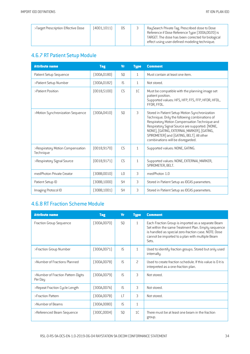| >Target Prescription Effective Dose | (4001,1011) | DS. | RaySearch Private Tag. Prescribed dose to Dose<br>Reference if Dose Reference Type (300A,0020) is<br>TARGET. The dose has been corrected for biological |
|-------------------------------------|-------------|-----|---------------------------------------------------------------------------------------------------------------------------------------------------------|
|                                     |             |     | effect using user-defined modeling technique.                                                                                                           |

# 4.6.7 RT Patient Setup Module

| <b>Attribute name</b>                         | <b>Tag</b>   | <b>Vr</b>       | <b>Type</b>    | <b>Comment</b>                                                                                                                                                                                                                                                                                                                      |
|-----------------------------------------------|--------------|-----------------|----------------|-------------------------------------------------------------------------------------------------------------------------------------------------------------------------------------------------------------------------------------------------------------------------------------------------------------------------------------|
| Patient Setup Sequence                        | (300A, 0180) | S <sub>0</sub>  | $\mathbf{1}$   | Must contain at least one item.                                                                                                                                                                                                                                                                                                     |
| >Patient Setup Number                         | [300A, 0182] | IS.             | $\mathbf{1}$   | Not stored.                                                                                                                                                                                                                                                                                                                         |
| >Patient Position                             | [0018, 5100] | CS              | 1 <sup>C</sup> | Must be compatible with the planning image set<br>patient position.<br>Supported values: HFS, HFP, FFS, FFP, HFDR, HFDL,<br>FFDR, FFDL.                                                                                                                                                                                             |
| >Motion Synchronization Sequence              | (300A, 0410) | S <sub>0</sub>  | 3              | Stored in Patient Setup Motion Synchronization<br>Technique. Only the following combinations of<br>Respiratory Motion Compensation Technique and<br>Respiratory Signal Source are supported: [NONE,<br>NONE], [GATING, EXTERNAL MARKER], [GATING,<br>SPIROMETER] and [GATING, BELT]. All other<br>combinations will be disregarded. |
| >Respiratory Motion Compensation<br>Technique | [0018, 9170] | CS              | $\mathbf{1}$   | Supported values: NONE, GATING.                                                                                                                                                                                                                                                                                                     |
| >Respiratory Signal Source                    | [0018, 9171] | CS              | $\mathbf{1}$   | Supported values: NONE, EXTERNAL MARKER,<br>SPIROMETER, BELT.                                                                                                                                                                                                                                                                       |
| medPhoton Private Creator                     | (30BB,0010)  | $\overline{10}$ | 3              | medPhoton 1.0                                                                                                                                                                                                                                                                                                                       |
| Patient Setup ID                              | (30BB, 1000) | <b>SH</b>       | 3              | Stored in Patient Setup as IDCAS parameters.                                                                                                                                                                                                                                                                                        |
| Imaging Protocol ID                           | [30BB, 1001] | <b>SH</b>       | 3              | Stored in Patient Setup as IDCAS parameters.                                                                                                                                                                                                                                                                                        |

### 4.6.8 RT Fraction Scheme Module

| <b>Attribute name</b>                         | <b>Tag</b>   | Vr             | <b>Type</b>    | <b>Comment</b>                                                                                                                                                                                                               |
|-----------------------------------------------|--------------|----------------|----------------|------------------------------------------------------------------------------------------------------------------------------------------------------------------------------------------------------------------------------|
| Fraction Group Sequence                       | (300A, 0070) | SQ             | $\mathbf{1}$   | Each Fraction Group is imported as a separate Beam<br>Set within the same Treatment Plan. Empty sequence<br>is handled as special zero-fraction case. NOTE: Dose<br>cannot be imported to a plan with multiple Beam<br>Sets. |
| >Fraction Group Number                        | (300A,0071)  | IS             | $\mathbf{1}$   | Used to identify fraction groups. Stored but only used<br>internally.                                                                                                                                                        |
| >Number of Fractions Planned                  | [300A,0078]  | $\mathsf{IS}$  | $\overline{c}$ | Used to create fraction schedule. If this value is 0 it is<br>interpreted as a one-fraction plan.                                                                                                                            |
| >Number of Fraction Pattern Digits<br>Per Day | (300A,0079)  | IS.            | 3              | Not stored.                                                                                                                                                                                                                  |
| >Repeat Fraction Cycle Length                 | (300A,007A)  | IS.            | 3              | Not stored.                                                                                                                                                                                                                  |
| >Fraction Pattern                             | [300A,007B]  | $\lfloor$ T    | 3              | Not stored.                                                                                                                                                                                                                  |
| >Number of Beams                              | [300A,0080]  | IS.            | $\mathbf{1}$   |                                                                                                                                                                                                                              |
| >Referenced Beam Sequence                     | [300C,0004]  | S <sub>0</sub> | 1 <sup>C</sup> | There must be at least one beam in the fraction<br>group.                                                                                                                                                                    |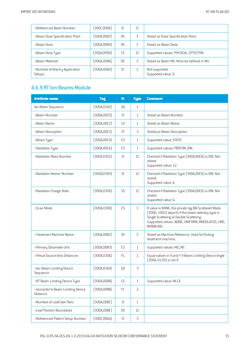| >Referenced Beam Number                 | [300C,0006]  | <b>IS</b> | 1 <sup>C</sup> |                                           |
|-----------------------------------------|--------------|-----------|----------------|-------------------------------------------|
| >Beam Dose Specification Point          | [300A, 0082] | D.S       | 3              | Stored as Dose Specification Point.       |
| >Beam Dose                              | [300A,0084]  | D.S       | 3              | Stored as Beam Dose.                      |
| >Beam Dose Type                         | [300A,0090]  | CS        | 1C             | Supported values: PHYSICAL, EFFECTIVE.    |
| >Beam Meterset                          | [300A, 0086] | D.S       | 3              | Stored as Beam MU. Must be defined in MU. |
| >Number of Brachy Application<br>Setups | (300A,00A0)  | <b>IS</b> |                | Not supported.<br>Supported value: 0.     |

### 4.6.9 RT Ion Beams Module

| <b>Attribute name</b>                          | <b>Tag</b>   | <b>Vr</b>                         | <b>Type</b>    | <b>Comment</b>                                                                                                                                                                                                         |
|------------------------------------------------|--------------|-----------------------------------|----------------|------------------------------------------------------------------------------------------------------------------------------------------------------------------------------------------------------------------------|
| Ion Beam Sequence                              | [300A, 03A2] | S <sub>0</sub>                    | $\mathbf{1}$   |                                                                                                                                                                                                                        |
| >Beam Number                                   | (300A, 00C0) | IS                                | 1              | Stored as Beam Number.                                                                                                                                                                                                 |
| >Beam Name                                     | [300A, 00C2] | L <sub>0</sub>                    | 1              | Stored as Beam Name.                                                                                                                                                                                                   |
| >Beam Description                              | [300A, 00C3] | <b>ST</b>                         | 3              | Stored as Beam Description.                                                                                                                                                                                            |
| >Beam Type                                     | [300A, 00C4] | CS                                | 1              | Supported value: STATIC.                                                                                                                                                                                               |
| >Radiation Type                                | [300A, 00C6] | CS                                | $\mathbf{1}$   | Supported values: PROTON, ION.                                                                                                                                                                                         |
| >Radiation Mass Number                         | [300A, 0302] | IS                                | 1 <sup>C</sup> | Checked if Radiation Type (300A,00C6) is ION. Not<br>stored.<br>Supported value: 12.                                                                                                                                   |
| >Radiation Atomic Number                       | [300A, 0304] | IS                                | 1C             | Checked if Radiation Type [300A,00C6] is ION. Not<br>stored.<br>Supported value: 6.                                                                                                                                    |
| >Radiation Charge State                        | [300A, 0306] | SS                                | 1C             | Checked if Radiation Type [300A,00C6] is ION. Not<br>stored.<br>Supported value: 6.                                                                                                                                    |
| >Scan Mode                                     | [300A, 0308] | CS                                | $\mathbf{1}$   | If value is NONE, the private tag IBA Scattered Mode<br>(300D, 1002) depicts if the beam delivery type is<br>Single Scattering or Double Scattering.<br>Supported values: NONE, UNIFORM, MODULATED, LINE,<br>WOBBLING. |
| >Treatment Machine Name                        | [300A,00B2]  | <b>SH</b>                         | $\overline{c}$ | Stored as Machine Reference. Used for finding<br>treatment machine.                                                                                                                                                    |
| >Primary Dosimeter Unit                        | [300A,00B3]  | CS                                | $\mathbf{1}$   | Supported values: MU, NP.                                                                                                                                                                                              |
| >Virtual Source-Axis Distances                 | [300A, 030A] | <b>FL</b>                         | 1              | Equal values in X and Y if Beam Limiting Device Angle<br>[300A, 0120] is not 0                                                                                                                                         |
| >Ion Beam Limiting Device<br>Sequence          | [300A, 03A4] | SQ                                | 3              |                                                                                                                                                                                                                        |
| >RT Beam Limiting Device Type                  | (300A, 00B8) | CS                                | $\mathbf{1}$   | Supported value: MLCX.                                                                                                                                                                                                 |
| >Isocenter to Beam Limiting Device<br>Distance | [300A,00BB]  | FL                                | 2              |                                                                                                                                                                                                                        |
| >Number of Leaf/Jaw Pairs                      | [300A,00BC]  | $\mathsf{IS}\xspace$              | $\mathbf{1}$   |                                                                                                                                                                                                                        |
| >Leaf Position Boundaries                      | (300A,00BE)  | <b>DS</b>                         | 1C             |                                                                                                                                                                                                                        |
| >Referenced Patient Setup Number               | [300C,006A]  | $\ensuremath{\mathsf{IS}}\xspace$ | $\mathfrak{Z}$ |                                                                                                                                                                                                                        |

RSL-D-RS-9A-DCS-EN-1.0-2019-06-04 RAYSTATION 9A DICOM CONFORMANCE STATEMENT 35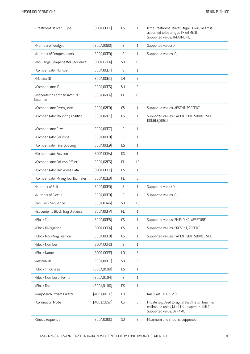| >Treatment Delivery Type                          | [300A, 00CE] | CS             | $\mathbf{1}$   | If the Treatment Delivery type is null, beam is<br>assumed to be of type TREATMENT.<br>Supported value: TREATMENT.            |
|---------------------------------------------------|--------------|----------------|----------------|-------------------------------------------------------------------------------------------------------------------------------|
| >Number of Wedges                                 | (300A, 00D0) | IS             | $\mathbf{1}$   | Supported value: 0.                                                                                                           |
| >Number of Compensators                           | (300A, 00E0) | IS             | $\mathbf{1}$   | Supported values: 0, 1.                                                                                                       |
| >Ion Range Compensator Sequence                   | [300A, 02EA] | SQ             | 1 <sup>C</sup> |                                                                                                                               |
| >Compensator Number                               | [300A, 00E4] | IS             | $\mathbf{1}$   |                                                                                                                               |
| >Material ID                                      | (300A, 00E1) | <b>SH</b>      | $\overline{c}$ |                                                                                                                               |
| >Compensator ID                                   | [300A, 00E5] | <b>SH</b>      | 3              |                                                                                                                               |
| >Isocenter to Compensator Tray<br><b>Distance</b> | [300A, 02E4] | FL             | 1C             |                                                                                                                               |
| >Compensator Divergence                           | (300A, 02E0) | CS             | $\mathbf{1}$   | Supported values: ABSENT, PRESENT.                                                                                            |
| >Compensator Mounting Position                    | [300A, 02E1] | CS             | $\mathbf{1}$   | Supported values: PATIENT SIDE, SOURCE SIDE,<br>DOUBLE SIDED.                                                                 |
| >Compensator Rows                                 | (300A, 00E7) | IS             | $1\,$          |                                                                                                                               |
| >Compensator Columns                              | (300A, 00E8) | IS             | $\mathbf{1}$   |                                                                                                                               |
| >Compensator Pixel Spacing                        | (300A, 00E9) | <b>DS</b>      | $\mathbf{1}$   |                                                                                                                               |
| >Compensator Position                             | [300A,00EA]  | <b>DS</b>      | $\mathbf{1}$   |                                                                                                                               |
| >Compensator Column Offset                        | [300A, 02E5] | <b>FL</b>      | 1C             |                                                                                                                               |
| >Compensator Thickness Data                       | [300A, 00EC] | <b>DS</b>      | $\mathbf{1}$   |                                                                                                                               |
| >Compensator Milling Tool Diameter                | [300A, 02E8] | <b>FL</b>      | 3              |                                                                                                                               |
| >Number of Boli                                   | (300A, 00ED) | IS             | $\mathbf{1}$   | Supported value: 0.                                                                                                           |
| >Number of Blocks                                 | (300A, 00F0) | IS             | $\mathbf{1}$   | Supported values: 0, 1.                                                                                                       |
| >Ion Block Sequence                               | [300A, 03A6] | SQ             | 1 <sup>C</sup> |                                                                                                                               |
| >Isocenter to Block Tray Distance                 | [300A, 00F7] | FL             | $\mathbf{1}$   |                                                                                                                               |
| >Block Type                                       | [300A, 00F8] | CS             | $\mathbf{1}$   | Supported values: SHIELDING, APERTURE.                                                                                        |
| >Block Divergence                                 | [300A,00FA]  | CS             | $\mathbf{1}$   | Supported values: PRESENT, ABSENT.                                                                                            |
| >Block Mounting Position                          | [300A,00FB]  | CS             | $\mathbf{1}$   | Supported values: PATIENT SIDE, SOURCE SIDE.                                                                                  |
| >Block Number                                     | [300A,00FC]  | <b>IS</b>      | $\mathbf{1}$   |                                                                                                                               |
| >Block Name                                       | (300A,00FE)  | L <sub>0</sub> | $\mathfrak{Z}$ |                                                                                                                               |
| >Material ID                                      | [300A, 00E1] | SH             | $\overline{c}$ |                                                                                                                               |
| >Block Thickness                                  | (300A, 0100) | <b>DS</b>      | $\mathbf{1}$   |                                                                                                                               |
| >Block Number of Points                           | [300A, 0104] | IS             | $\mathbf{1}$   |                                                                                                                               |
| >Block Data                                       | (300A, 0106) | <b>DS</b>      | $\mathbf{1}$   |                                                                                                                               |
| >RaySearch Private Creator                        | (4001, 0010) | L <sub>0</sub> | $\mathsf 3$    | RAYSEARCHLABS 2.0                                                                                                             |
| >Collimation Mode                                 | [4001, 1057] | CS             | $\mathsf 3$    | Private tag. Used to signal that the ion beam is<br>collimated using Multi-Layer Aperture (MLA).<br>Supported value: DYNAMIC. |
| >Snout Sequence                                   | [300A, 030C] | SQ             | $\mathsf 3$    | Maximum one Snout is supported.                                                                                               |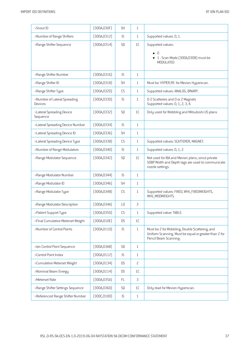| >Snout ID                               | [300A, 030F] | SH             | $\mathbf{1}$   |                                                                                                                                  |
|-----------------------------------------|--------------|----------------|----------------|----------------------------------------------------------------------------------------------------------------------------------|
| >Number of Range Shifters               | [300A, 0312] | IS             | $\mathbf{1}$   | Supported values: 0, 1.                                                                                                          |
| >Range Shifter Sequence                 | [300A, 0314] | SQ             | 1C             | Supported values:                                                                                                                |
|                                         |              |                |                | n<br>• 1 - Scan Mode (300A,0308) must be<br><b>MODULATED</b>                                                                     |
| >Range Shifter Number                   | [300A, 0316] | IS             | $\mathbf{1}$   |                                                                                                                                  |
| >Range Shifter ID                       | [300A, 0318] | <b>SH</b>      | $\mathbf{1}$   | Must be 'HYPER RS' for Mevion Hyperscan.                                                                                         |
| >Range Shifter Type                     | (300A, 0320) | CS             | $\mathbf{1}$   | Supported values: ANALOG, BINARY.                                                                                                |
| >Number of Lateral Spreading<br>Devices | [300A, 0330] | IS             | $\mathbf{1}$   | 0-2 Scatterers and 0 or 2 Magnets<br>Supported values: 0, 1, 2, 3, 4.                                                            |
| >Lateral Spreading Device<br>Sequence   | [300A, 0332] | SQ             | 1C             | Only used for Wobbling and Mitsubishi US plans                                                                                   |
| >Lateral Spreading Device Number        | [300A, 0334] | IS             | $\mathbf{1}$   |                                                                                                                                  |
| >Lateral Spreading Device ID            | [300A, 0336] | <b>SH</b>      | $\mathbf{1}$   |                                                                                                                                  |
| >Lateral Spreading Device Type          | [300A, 0338] | CS             | $\mathbf{1}$   | Supported values: SCATTERER, MAGNET.                                                                                             |
| >Number of Range Modulators             | (300A, 0340) | IS             | $\mathbf{1}$   | Supported values: 0, 1, 2.                                                                                                       |
| >Range Modulator Sequence               | [300A, 0342] | SQ             | 1C             | Not used for IBA and Mevion plans, since private<br>SOBP Width and Depth tags are used to communicate<br>nozzle settings.        |
| >Range Modulator Number                 | [300A, 0344] | IS             | $\mathbf{1}$   |                                                                                                                                  |
| >Range Modulator ID                     | [300A, 0346] | <b>SH</b>      | $\mathbf{1}$   |                                                                                                                                  |
| >Range Modulator Type                   | (300A, 0348) | CS             | $\mathbf{1}$   | Supported values: FIXED, WHL FIXEDWEIGHTS,<br>WHL MODWEIGHTS.                                                                    |
| >Range Modulator Description            | [300A, 034A] | L <sub>0</sub> | 3              |                                                                                                                                  |
| >Patient Support Type                   | (300A, 0350) | CS             | $\mathbf{1}$   | Supported value: TABLE.                                                                                                          |
| >Final Cumulative Meterset Weight       | [300A, 010E] | <b>DS</b>      | 1C             |                                                                                                                                  |
| >Number of Control Points               | (300A, 0110) | IS             | $\mathbf{1}$   | Must be 2 for Wobbling, Double Scattering, and<br>Uniform Scanning. Must be equal or greater than 2 for<br>Pencil Beam Scanning. |
| >Ion Control Point Sequence             | [300A, 03A8] | SQ             | $\mathbf{1}$   |                                                                                                                                  |
| >Control Point Index                    | [300A, 0112] | IS             | $\mathbf{1}$   |                                                                                                                                  |
| >Cumulative Meterset Weight             | [300A, 0134] | <b>DS</b>      | $\overline{c}$ |                                                                                                                                  |
| >Nominal Beam Energy                    | [300A, 0114] | <b>DS</b>      | 1C             |                                                                                                                                  |
| >Meterset Rate                          | [300A, 035A] | <b>FL</b>      | $\mathfrak{Z}$ |                                                                                                                                  |
| >Range Shifter Settings Sequence        | (300A, 0360) | SQ             | 1C             | Only read for Mevion Hyperscan.                                                                                                  |
| >Referenced Range Shifter Number        | [300C, 0100] | IS             | $\mathbf{1}$   |                                                                                                                                  |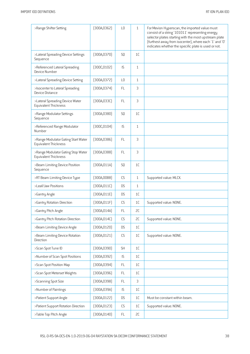| >Range Shifter Setting                                      | [300A, 0362] | L <sub>0</sub>       | 1             | For Mevion Hyperscan, the imported value must<br>consist of a string '101011' representing energy<br>selector plates starting with the most upstream plate<br>(furthest away from isocenter), where each '1' and '0'<br>indicates whether the specific plate is used or not. |
|-------------------------------------------------------------|--------------|----------------------|---------------|------------------------------------------------------------------------------------------------------------------------------------------------------------------------------------------------------------------------------------------------------------------------------|
| >Lateral Spreading Device Settings<br>Sequence              | [300A, 0370] | SQ                   | 1C            |                                                                                                                                                                                                                                                                              |
| >Referenced Lateral Spreading<br>Device Number              | [300C, 0102] | IS                   | $\mathbf{1}$  |                                                                                                                                                                                                                                                                              |
| >Lateral Spreading Device Setting                           | [300A, 0372] | L <sub>0</sub>       | $\mathbf{1}$  |                                                                                                                                                                                                                                                                              |
| >Isocenter to Lateral Spreading<br>Device Distance          | [300A, 0374] | FL                   | 3             |                                                                                                                                                                                                                                                                              |
| >Lateral Spreading Device Water<br>Equivalent Thickness     | [300A, 033C] | <b>FL</b>            | 3             |                                                                                                                                                                                                                                                                              |
| >Range Modulator Settings<br>Sequence                       | [300A, 0380] | S <sub>0</sub>       | 1C            |                                                                                                                                                                                                                                                                              |
| >Referenced Range Modulator<br>Number                       | [300C, 0104] | IS                   | $\mathbf{1}$  |                                                                                                                                                                                                                                                                              |
| >Range Modulator Gating Start Water<br>Equivalent Thickness | [300A, 0386] | FL                   | 3             |                                                                                                                                                                                                                                                                              |
| >Range Modulator Gating Stop Water<br>Equivalent Thickness  | [300A, 0388] | <b>FL</b>            | 3             |                                                                                                                                                                                                                                                                              |
| >Beam Limiting Device Position<br>Sequence                  | [300A, 011A] | S <sub>0</sub>       | 1C            |                                                                                                                                                                                                                                                                              |
| >RT Beam Limiting Device Type                               | (300A,00B8)  | <b>CS</b>            | $\mathbf{1}$  | Supported value: MLCX.                                                                                                                                                                                                                                                       |
| >Leaf/Jaw Positions                                         | [300A, 011C] | <b>DS</b>            | $\mathbf{1}$  |                                                                                                                                                                                                                                                                              |
| >Gantry Angle                                               | [300A, 011E] | DS                   | 1C            |                                                                                                                                                                                                                                                                              |
| >Gantry Rotation Direction                                  | [300A, 011F] | CS                   | 1C            | Supported value: NONE.                                                                                                                                                                                                                                                       |
| >Gantry Pitch Angle                                         | (300A, 014A) | FL                   | SC            |                                                                                                                                                                                                                                                                              |
| >Gantry Pitch Rotation Direction                            | [300A, 014C] | CS                   | SC            | Supported value: NONE.                                                                                                                                                                                                                                                       |
| >Beam Limiting Device Angle                                 | (300A, 0120) | <b>DS</b>            | $1\mathsf{C}$ |                                                                                                                                                                                                                                                                              |
| >Beam Limiting Device Rotation<br>Direction                 | (300A, 0121) | CS                   | 1C            | Supported value: NONE.                                                                                                                                                                                                                                                       |
| >Scan Spot Tune ID                                          | [300A, 0390] | SH                   | 1C            |                                                                                                                                                                                                                                                                              |
| >Number of Scan Spot Positions                              | (300A, 0392) | $\mathsf{IS}\xspace$ | 1C            |                                                                                                                                                                                                                                                                              |
| >Scan Spot Position Map                                     | [300A, 0394] | FL                   | 1C            |                                                                                                                                                                                                                                                                              |
| >Scan Spot Meterset Weights                                 | [300A, 0396] | FL                   | 1C            |                                                                                                                                                                                                                                                                              |
| >Scanning Spot Size                                         | [300A, 0398] | FL                   | 3             |                                                                                                                                                                                                                                                                              |
| >Number of Paintings                                        | [300A, 039A] | $\mathsf{IS}\xspace$ | $1\mathsf{C}$ |                                                                                                                                                                                                                                                                              |
| >Patient Support Angle                                      | [300A, 0122] | <b>DS</b>            | 1C            | Must be constant within beam.                                                                                                                                                                                                                                                |
| >Patient Support Rotation Direction                         | [300A, 0123] | CS                   | 1C            | Supported value: NONE.                                                                                                                                                                                                                                                       |
| >Table Top Pitch Angle                                      | (300A, 0140) | $\mathsf{FL}$        | SC            |                                                                                                                                                                                                                                                                              |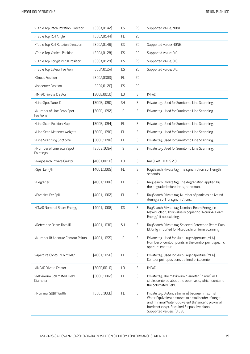| >Table Top Pitch Rotation Direction    | (300A, 0142) | CS             | 2C | Supported value: NONE.                                                                                                                                                                                                                   |
|----------------------------------------|--------------|----------------|----|------------------------------------------------------------------------------------------------------------------------------------------------------------------------------------------------------------------------------------------|
| >Table Top Roll Angle                  | [300A, 0144] | FL             | 2C |                                                                                                                                                                                                                                          |
| >Table Top Roll Rotation Direction     | [300A, 0146] | CS             | SC | Supported value: NONE.                                                                                                                                                                                                                   |
| >Table Top Vertical Position           | [300A, 0128] | <b>DS</b>      | SC | Supported value: 0.0.                                                                                                                                                                                                                    |
| >Table Top Longitudinal Position       | (300A, 0129) | <b>DS</b>      | SC | Supported value: 0.0.                                                                                                                                                                                                                    |
| >Table Top Lateral Position            | [300A, 012A] | <b>DS</b>      | SC | Supported value: 0.0.                                                                                                                                                                                                                    |
| >Snout Position                        | [300A, 030D] | <b>FL</b>      | 2C |                                                                                                                                                                                                                                          |
| >Isocenter Position                    | [300A, 012C] | <b>DS</b>      | 2C |                                                                                                                                                                                                                                          |
| >IMPAC Private Creator                 | (300B, 0010) | L <sub>0</sub> | 3  | <b>IMPAC</b>                                                                                                                                                                                                                             |
| >Line Spot Tune ID                     | (300B, 1090) | <b>SH</b>      | 3  | Private tag. Used for Sumitomo Line Scanning.                                                                                                                                                                                            |
| >Number of Line Scan Spot<br>Positions | (300B, 1092) | IS             | 3  | Private tag. Used for Sumitomo Line Scanning.                                                                                                                                                                                            |
| >Line Scan Position Map                | [300B, 1094] | <b>FL</b>      | 3  | Private tag. Used for Sumitomo Line Scanning.                                                                                                                                                                                            |
| >Line Scan Meterset Weights            | (300B, 1096) | FL             | 3  | Private tag. Used for Sumitomo Line Scanning.                                                                                                                                                                                            |
| >Line Scanning Spot Size               | (300B, 1098) | <b>FL</b>      | 3  | Private tag. Used for Sumitomo Line Scanning.                                                                                                                                                                                            |
| >Number of Line Scan Spot<br>Paintings | [300B, 109A] | IS             | 3  | Private tag. Used for Sumitomo Line Scanning.                                                                                                                                                                                            |
| >RaySearch Private Creator             | (4001,0010)  | L <sub>0</sub> | 3  | RAYSEARCHLABS 2.0                                                                                                                                                                                                                        |
| >Spill Length                          | [4001, 1005] | FL             | 3  | RaySearch Private tag. The synchrotron spill length in<br>seconds.                                                                                                                                                                       |
| >Degrader                              | (4001, 1006) | FL             | 3  | RaySearch Private tag. The degradation applied by<br>the degrader before the synchrotron.                                                                                                                                                |
| >Particles Per Spill                   | (4001, 1007) | <b>FL</b>      | 3  | RaySearch Private tag. Number of particles delivered<br>during a spill for synchrotrons.                                                                                                                                                 |
| >CNAO Nominal Beam Energy              | (4001, 1008) | <b>DS</b>      | 3  | RaySearch Private tag. Nominal Beam Energy in<br>MeV/nucleon. This value is copied to "Nominal Beam<br>Energy" if not existing.                                                                                                          |
| >Reference Beam Data ID                | [4001, 1030] | <b>SH</b>      | 3  | RaySearch Private tag. Selected Reference Beam Data<br>ID. Only imported for Mitsubishi Uniform Scanning                                                                                                                                 |
| >Number Of Aperture Contour Points     | [4001, 1055] | IS             | 3  | Private tag. Used for Multi-Layer Aperture (MLA).<br>Number of contour points in the control point specific<br>aperture contour.                                                                                                         |
| >Aperture Contour Point Map            | [4001, 1056] | FL             | 3  | Private tag. Used for Multi-Layer Aperture (MLA).<br>Contour point positions defined at isocenter.                                                                                                                                       |
| >IMPAC Private Creator                 | (300B,0010)  | L <sub>0</sub> | 3  | <b>IMPAC</b>                                                                                                                                                                                                                             |
| >Maximum Collimated Field<br>Diameter  | (300B, 1002) | <b>FL</b>      | 3  | Private tag. The maximum diameter (in mm) of a<br>circle, centered about the beam axis, which contains<br>the collimated field.                                                                                                          |
| >Nominal SOBP Width                    | [300B, 100E] | <b>FL</b>      | 3  | Private tag. Distance (in mm) between maximal<br>Water-Equivalent distance to distal border of target<br>and minimal Water-Equivalent Distance to proximal<br>border of target. Required for passive plans.<br>Supported values: [0,320] |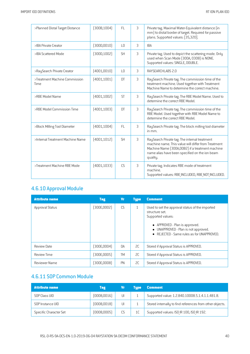| >Planned Distal Target Distance       | [300B, 1004] | FL.             | 3 | Private tag. Maximal Water-Equivalent distance (in<br>mm) to distal border of target. Required for passive<br>plans. Supported values: [35,320].                                                                      |
|---------------------------------------|--------------|-----------------|---|-----------------------------------------------------------------------------------------------------------------------------------------------------------------------------------------------------------------------|
| >IBA Private Creator                  | (300D, 0010) | $\overline{10}$ | 3 | <b>IBA</b>                                                                                                                                                                                                            |
| >IBA Scattered Mode                   | [300D, 1002] | <b>SH</b>       | 3 | Private tag. Used to depict the scattering mode. Only<br>used when Scan Mode (300A, 0308) is NONE.<br>Supported values: SINGLE, DOUBLE.                                                                               |
| >RaySearch Private Creator            | [4001,0010]  | L <sub>0</sub>  | 3 | RAYSEARCHLABS 2.0                                                                                                                                                                                                     |
| >Treatment Machine Commission<br>Time | (4001, 1001) | DT              | 3 | RaySearch Private tag. The commission time of the<br>treatment machine. Used together with Treatment<br>Machine Name to determine the correct machine.                                                                |
| >RBE Model Name                       | [4001, 1002] | <b>ST</b>       | 3 | RaySearch Private tag. The RBE Model Name. Used to<br>determine the correct RBE Model.                                                                                                                                |
| >RBE Model Commission Time            | [4001, 1003] | DT              | 3 | RaySearch Private tag. The commission time of the<br>RBE Model. Used together with RBE Model Name to<br>determine the correct RBE Model.                                                                              |
| >Block Milling Tool Diameter          | [4001, 1004] | <b>FL</b>       | 3 | RaySearch Private tag. The block milling tool diameter<br>in mm.                                                                                                                                                      |
| >Internal Treatment Machine Name      | [4001, 1012] | <b>SH</b>       | 3 | RaySearch Private tag. The internal treatment<br>machine name. This value will differ from Treatment<br>Machine Name [300A,00B2] if a treatment machine<br>name alias have been specified on the ion beam<br>quality. |
| >Treatment Machine RBE Mode           | [4001, 1033] | CS              | 3 | Private tag. Indicates RBE mode of treatment<br>machine.<br>Supported values: RBE INCLUDED, RBE NOT INCLUDED.                                                                                                         |

# 4.6.10 Approval Module

| <b>Attribute name</b>  | <b>Tag</b>  | <b>Vr</b> | <b>Type</b> | <b>Comment</b>                                                                                                                                                                                                          |
|------------------------|-------------|-----------|-------------|-------------------------------------------------------------------------------------------------------------------------------------------------------------------------------------------------------------------------|
| <b>Approval Status</b> | (300E,0002) | CS        | 1           | Used to set the approval status of the imported<br>structure set.<br>Supported values:<br>• APPROVED - Plan is approved.<br>UNAPPROVED - Plan is not approved.<br>$\bullet$<br>REJECTED - Same rules as for UNAPPROVED. |
| <b>Review Date</b>     | (300E,0004) | DA        | SC.         | Stored if Approval Status is APPROVED.                                                                                                                                                                                  |
| Review Time            | (300E,0005) | <b>TM</b> | SC.         | Stored if Approval Status is APPROVED.                                                                                                                                                                                  |
| Reviewer Name          | (300E,0008) | PN        | 2C          | Stored if Approval Status is APPROVED.                                                                                                                                                                                  |

# 4.6.11 SOP Common Module

| <b>Attribute name</b>  | <b>Tag</b>   | Vr           | <b>Tupe</b>    | <b>Comment</b>                                           |
|------------------------|--------------|--------------|----------------|----------------------------------------------------------|
| SOP Class UID          | [0008, 0016] | $\mathsf{U}$ |                | Supported value: 1.2.840.10008.5.1.4.1.1.481.8.          |
| SOP Instance UID       | [0008, 0018] | UI           |                | Stored internally to find references from other objects. |
| Specific Character Set | (0008,0005)  | CS           | 1 <sup>C</sup> | Supported values: ISO IR 100, ISO IR 192.                |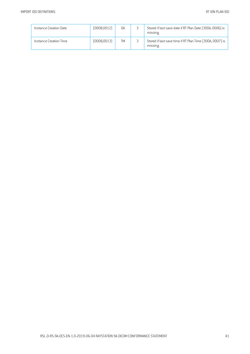| Instance Creation Date | (0008, 0012) | DA        | ر | Stored if last save date if RT Plan Date (300A, 0006) is<br>missing. |
|------------------------|--------------|-----------|---|----------------------------------------------------------------------|
| Instance Creation Time | (0008, 0013) | <b>TM</b> | ر | Stored if last save time if RT Plan Time (300A, 0007) is<br>missing. |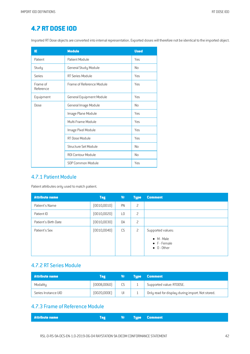# **4.7 RT DOSE IOD**

Imported RT Dose objects are converted into internal representation. Exported doses will therefore not be identical to the imported object.

| ΙE                    | <b>Module</b>             | <b>Used</b> |
|-----------------------|---------------------------|-------------|
| Patient               | Patient Module            | Yes         |
| Study                 | General Study Module      | No          |
| Series                | RT Series Module          | Yes         |
| Frame of<br>Reference | Frame of Reference Module | Yes         |
| Equipment             | General Equipment Module  | <b>Yes</b>  |
| Dose                  | General Image Module      | No          |
|                       | Image Plane Module        | Yes         |
|                       | Multi-Frame Module        | Yes         |
|                       | Image Pixel Module        | <b>Yes</b>  |
|                       | <b>RT</b> Dose Module     | Yes         |
|                       | Structure Set Module      | No          |
|                       | <b>ROI Contour Module</b> | No          |
|                       | SOP Common Module         | Yes         |

#### 4.7.1 Patient Module

Patient attributes only used to match patient.

| <b>Attribute name</b> | <b>Tag</b>   | Vr             | <b>Type</b>    | <b>Comment</b>                                                                 |
|-----------------------|--------------|----------------|----------------|--------------------------------------------------------------------------------|
| Patient's Name        | (0010, 0010) | PN             | 2              |                                                                                |
| Patient ID            | (0010, 0020) | L <sub>0</sub> | 2              |                                                                                |
| Patient's Birth Date  | (0010, 0030) | DA             | $\overline{c}$ |                                                                                |
| Patient's Sex         | (0010, 0040) | CS             | $\overline{c}$ | Supported values:<br>$\bullet$ M - Male<br>• F - Female<br>$\bullet$ 0 - Other |

#### 4.7.2 RT Series Module

| <b>Attribute name</b> | Tag         |    | <b>NTupe \</b> | <b>Comment</b>                                   |
|-----------------------|-------------|----|----------------|--------------------------------------------------|
| Modality              | (0008,0060) |    |                | Supported value: RTDOSE.                         |
| Series Instance UID   | (0020,000E) | UI |                | Only read for display during import. Not stored. |

## 4.7.3 Frame of Reference Module

| <b>Example 19 Service Comment 19 Service Comment</b> |
|------------------------------------------------------|
|------------------------------------------------------|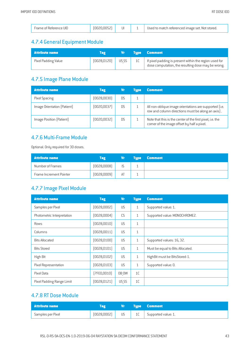|  | Frame of Reference UID | ' ∪U ' | UI |  | Used to match referenced image set. Not stored. |
|--|------------------------|--------|----|--|-------------------------------------------------|
|--|------------------------|--------|----|--|-------------------------------------------------|

# 4.7.4 General Equipment Module

| <b>Attribute name</b> | Tag          | Vr i  |    | <b>Type Comment</b>                                                                                          |
|-----------------------|--------------|-------|----|--------------------------------------------------------------------------------------------------------------|
| Pixel Padding Value   | (0028, 0120) | US SS | 1C | If pixel padding is present within the region used for<br>dose computation, the resulting dose may be wrong. |

# 4.7.5 Image Plane Module

| <b>Attribute name</b>       | <b>Tag</b>  | Vr             | Tupe | <b>Comment</b>                                                                                              |
|-----------------------------|-------------|----------------|------|-------------------------------------------------------------------------------------------------------------|
| Pixel Spacing               | (0028,0030) | D <sub>S</sub> |      |                                                                                                             |
| Image Orientation (Patient) | [0020,0037] | <b>DS</b>      |      | All non-oblique image orientations are supported (i.e.<br>row and column directions must be along an axis). |
| Image Position (Patient)    | [0020,0032] | <b>DS</b>      |      | Note that this is the center of the first pixel, i.e. the<br>corner of the image offset by half a pixel.    |

#### 4.7.6 Multi-Frame Module

Optional. Only required for 3D doses.

| <b>Attribute name</b>   | <b>Tag</b>  | V7. | Tupe / | <b>Comment</b> |
|-------------------------|-------------|-----|--------|----------------|
| Number of Frames        | [0028,0008] |     |        |                |
| Frame Increment Pointer | (0028,0009) | AT  |        |                |

## 4.7.7 Image Pixel Module

| <b>Attribute name</b>      | <b>Tag</b>   | <b>Vr</b> | <b>Type</b>  | <b>Comment</b>                   |
|----------------------------|--------------|-----------|--------------|----------------------------------|
| Samples per Pixel          | (0028,0002)  | <b>US</b> | $\mathbf{1}$ | Supported value: 1.              |
| Photometric Interpretation | [0028,0004]  | CS        | $\mathbf{1}$ | Supported value: MONOCHROME2.    |
| Rows                       | [0028, 0010] | <b>US</b> | $\mathbf{1}$ |                                  |
| Columns                    | [0028, 0011] | <b>US</b> | $\mathbf{1}$ |                                  |
| <b>Bits Allocated</b>      | [0028, 0100] | <b>US</b> | $\mathbf{1}$ | Supported values: 16, 32.        |
| <b>Bits Stored</b>         | [0028, 0101] | <b>US</b> | $\mathbf{1}$ | Must be equal to Bits Allocated. |
| High Bit                   | [0028, 0102] | <b>US</b> | $\mathbf{1}$ | HighBit must be BitsStored-1.    |
| Pixel Representation       | [0028, 0103] | <b>US</b> | $\mathbf{1}$ | Supported value: 0.              |
| Pixel Data                 | [7FE0,0010]  | OB OW     | 1C           |                                  |
| Pixel Padding Range Limit  | [0028, 0121] | US SS     | 1C           |                                  |

# 4.7.8 RT Dose Module

| l Attribute name l |             | $\mathbf{v}_\mathrm{r}$ , $\mathbf{v}_\mathrm{r}$ | <b>Type Comment</b>      |
|--------------------|-------------|---------------------------------------------------|--------------------------|
| Samples per Pixel  | (0028,0002) | US <sub>11</sub>                                  | 1C   Supported value: 1. |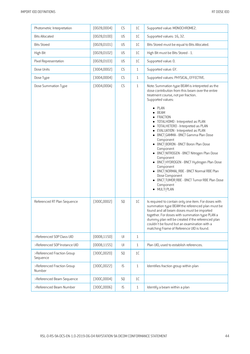| Photometric Interpretation             | (0028,0004)  | CS                     | 1C            | Supported value: MONOCHROME2.                                                                                                                                                                                                                                                                                                                                                                                                                                                                                                                                                                                                                                                                   |
|----------------------------------------|--------------|------------------------|---------------|-------------------------------------------------------------------------------------------------------------------------------------------------------------------------------------------------------------------------------------------------------------------------------------------------------------------------------------------------------------------------------------------------------------------------------------------------------------------------------------------------------------------------------------------------------------------------------------------------------------------------------------------------------------------------------------------------|
| <b>Bits Allocated</b>                  | (0028, 0100) | US                     | $1\mathsf{C}$ | Supported values: 16, 32.                                                                                                                                                                                                                                                                                                                                                                                                                                                                                                                                                                                                                                                                       |
| <b>Bits Stored</b>                     | (0028, 0101) | US                     | $1\mathsf{C}$ | Bits Stored must be equal to Bits Allocated.                                                                                                                                                                                                                                                                                                                                                                                                                                                                                                                                                                                                                                                    |
| High Bit                               | [0028, 0102] | US                     | 1C            | High Bit must be Bits Stored - 1.                                                                                                                                                                                                                                                                                                                                                                                                                                                                                                                                                                                                                                                               |
| Pixel Representation                   | [0028, 0103] | US                     | $1\mathsf{C}$ | Supported value: 0.                                                                                                                                                                                                                                                                                                                                                                                                                                                                                                                                                                                                                                                                             |
| Dose Units                             | [3004,0002]  | CS                     | $\mathbf{1}$  | Supported value: GY.                                                                                                                                                                                                                                                                                                                                                                                                                                                                                                                                                                                                                                                                            |
| Dose Type                              | [3004,0004]  | CS                     | $\mathbf{1}$  | Supported values: PHYSICAL, EFFECTIVE.                                                                                                                                                                                                                                                                                                                                                                                                                                                                                                                                                                                                                                                          |
| Dose Summation Type                    | [3004,000A]  | $\mathbb{C}\mathsf{S}$ | $\mathbf{1}$  | Note: Summation type BEAM is interpreted as the<br>dose contribution from this beam over the entire<br>treatment course, not per fraction.<br>Supported values:<br>$\n  PLAN\n$<br>· BEAM<br>• FRACTION<br>• TOTALHOMO - Interpreted as PLAN<br>• TOTALHETERO - Interpreted as PLAN<br>• EVALUATION - Interpreted as PLAN<br>• BNCT GAMMA - BNCT Gamma Plan Dose<br>Component<br>• BNCT BORON - BNCT Boron Plan Dose<br>Component<br>• BNCT NITROGEN - BNCT Nitrogen Plan Dose<br>Component<br>• BNCT HYDROGEN - BNCT Hydrogen Plan Dose<br>Component<br>• BNCT NORMAL RBE - BNCT Normal RBE Plan<br>Dose Component<br>• BNCT TUMOR RBE - BNCT Tumor RBE Plan Dose<br>Component<br>· MULTI PLAN |
| Referenced RT Plan Sequence            | [300C,0002]  | SQ                     | 1C            | Is required to contain only one item. For doses with<br>summation type BEAM the referenced plan must be<br>found and all beam doses must be imported<br>together. For doses with summation type PLAN a<br>dummy plan will be created if the referenced plan<br>couldn't be found but an examination with a<br>matching Frame of Reference UID is found.                                                                                                                                                                                                                                                                                                                                         |
| >Referenced SOP Class UID              | (0008, 1150) | UI                     | $\mathbf{1}$  |                                                                                                                                                                                                                                                                                                                                                                                                                                                                                                                                                                                                                                                                                                 |
| >Referenced SOP Instance UID           | (0008, 1155) | UI                     | $\mathbf{1}$  | Plan UID, used to establish references.                                                                                                                                                                                                                                                                                                                                                                                                                                                                                                                                                                                                                                                         |
| >Referenced Fraction Group<br>Sequence | [300C, 0020] | SQ                     | 1C            |                                                                                                                                                                                                                                                                                                                                                                                                                                                                                                                                                                                                                                                                                                 |
| >Referenced Fraction Group<br>Number   | [300C, 0022] | IS                     | $\mathbf{1}$  | Identifies fraction group within plan                                                                                                                                                                                                                                                                                                                                                                                                                                                                                                                                                                                                                                                           |
| >Referenced Beam Sequence              | [300C,0004]  | SQ                     | 1C            |                                                                                                                                                                                                                                                                                                                                                                                                                                                                                                                                                                                                                                                                                                 |
| >Referenced Beam Number                | [300C,0006]  | IS                     | $\mathbf{1}$  | Identify a beam within a plan                                                                                                                                                                                                                                                                                                                                                                                                                                                                                                                                                                                                                                                                   |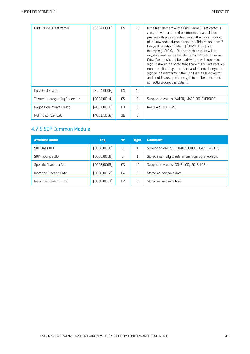| Grid Frame Offset Vector               | [3004,0000]  | D.S             | 1 <sup>C</sup> | If the first element of the Grid Frame Offset Vector is<br>zero, the vector should be interpreted as relative<br>positive offsets in the direction of the cross product<br>of the row and column directions. This means that if<br>Image Orientation [Patient] [0020,0037] is for<br>example [1,0,0,0,-1,0], the cross product will be<br>negative and hence the elements in the Grid Frame<br>Offset Vector should be read/written with opposite<br>sign. It should be noted that some manufacturers are<br>non-compliant regarding this and do not change the<br>sign of the elements in the Grid Frame Offset Vector<br>and could cause the dose grid to not be positioned<br>correctly around the patient. |
|----------------------------------------|--------------|-----------------|----------------|----------------------------------------------------------------------------------------------------------------------------------------------------------------------------------------------------------------------------------------------------------------------------------------------------------------------------------------------------------------------------------------------------------------------------------------------------------------------------------------------------------------------------------------------------------------------------------------------------------------------------------------------------------------------------------------------------------------|
| Dose Grid Scaling                      | 3004,000E    | D.S             | 1 <sup>C</sup> |                                                                                                                                                                                                                                                                                                                                                                                                                                                                                                                                                                                                                                                                                                                |
| <b>Tissue Heterogeneity Correction</b> | (3004,0014)  | CS.             | 3              | Supported values: WATER, IMAGE, ROI OVERRIDE.                                                                                                                                                                                                                                                                                                                                                                                                                                                                                                                                                                                                                                                                  |
| RaySearch Private Creator              | [4001,0010]  | $\overline{10}$ | 3              | RAYSEARCHLABS 2.0                                                                                                                                                                                                                                                                                                                                                                                                                                                                                                                                                                                                                                                                                              |
| <b>ROI Index Pixel Data</b>            | [4001, 1016] | 0B              | 3              |                                                                                                                                                                                                                                                                                                                                                                                                                                                                                                                                                                                                                                                                                                                |

# 4.7.9 SOP Common Module

| <b>Attribute name</b>  | <b>Tag</b>   | Vr        | Type           | <b>Comment</b>                                      |
|------------------------|--------------|-----------|----------------|-----------------------------------------------------|
| SOP Class UID          | (0008, 0016) | U         |                | Supported value: 1.2.840.10008.5.1.4.1.1.481.2.     |
| SOP Instance UID       | (0008, 0018) | U         |                | Stored internally to references from other objects. |
| Specific Character Set | (0008,0005)  | CS        | 1 <sup>C</sup> | Supported values: ISO IR 100, ISO IR 192.           |
| Instance Creation Date | (0008, 0012) | <b>DA</b> | 3              | Stored as last save date.                           |
| Instance Creation Time | (0008, 0013) | TM        |                | Stored as last save time.                           |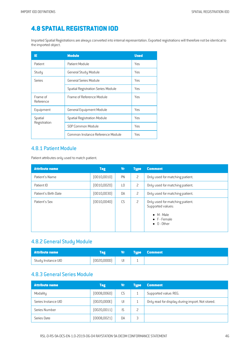# **4.8 SPATIAL REGISTRATION IOD**

Imported Spatial Registrations are always converted into internal representation. Exported registrations will therefore not be identical to the imported object.

| ΙE                    | <b>Module</b>                             | <b>Used</b> |
|-----------------------|-------------------------------------------|-------------|
| Patient               | Patient Module                            | Yes         |
| Study                 | General Study Module                      | Yes         |
| <b>Series</b>         | General Series Module                     | Yes         |
|                       | <b>Spatial Registration Series Module</b> | Yes         |
| Frame of<br>Reference | Frame of Reference Module                 | Yes         |
| Equipment             | <b>General Equipment Module</b>           | Yes         |
| Spatial               | <b>Spatial Registration Module</b>        | Yes         |
| Registration          | SOP Common Module                         | Yes         |
|                       | Common Instance Reference Module          | Yes         |

#### 4.8.1 Patient Module

Patient attributes only used to match patient.

| <b>Attribute name</b> | <b>Tag</b>   | Vr | <b>Type</b>    | <b>Comment</b>                                                                                                            |
|-----------------------|--------------|----|----------------|---------------------------------------------------------------------------------------------------------------------------|
| Patient's Name        | [0010, 0010] | PN | 2              | Only used for matching patient.                                                                                           |
| Patient ID            | [0010, 0020] | L0 | 2              | Only used for matching patient.                                                                                           |
| Patient's Birth Date  | [0010,0030]  | DA | 2              | Only used for matching patient.                                                                                           |
| Patient's Sex         | [0010,0040]  | CS | $\overline{c}$ | Only used for matching patient.<br>Supported values:<br>$\bullet$ M - Male<br>$\bullet$ F - Female<br>$\bullet$ 0 - Other |

#### 4.8.2 General Study Module

| Attribute name     |             | ۷r | <b>Type Comment</b> |
|--------------------|-------------|----|---------------------|
| Study Instance UID | (0020,0000) | UI |                     |

#### 4.8.3 General Series Module

| <b>Attribute name</b> | <b>Tag</b>   | ۷r | <b>Tupe</b> | <b>Comment</b>                                   |
|-----------------------|--------------|----|-------------|--------------------------------------------------|
| Modality              | (0008, 0060) | CS | ш.          | Supported value: REG.                            |
| Series Instance UID   | (0020,000E)  | U  |             | Only read for display during import. Not stored. |
| Series Number         | (0020, 0011) | IS |             |                                                  |
| Series Date           | (0008, 0021) | DA | 3           |                                                  |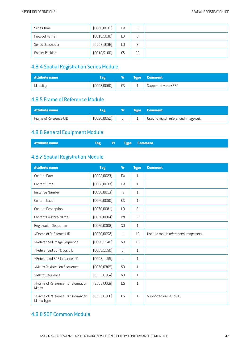| Series Time        | (0008, 0031) | <b>TM</b>      | ت  |  |
|--------------------|--------------|----------------|----|--|
| Protocol Name      | [0018, 1030] | L0             | ت  |  |
| Series Description | [0008, 103E] | L <sub>0</sub> | ل  |  |
| Patient Position   | (0018, 5100) | CS             | 2C |  |

#### **4.8.4 Spatial Registration Series Module**

| Attribute name |              | Vr  |   | <b>Tupe Comment</b>   |
|----------------|--------------|-----|---|-----------------------|
| Modality       | (0008, 0060) | CS. | ÷ | Supported value: REG. |

#### 4.8.5 Frame of Reference Module

| <b>Attribute name</b>  |              |    | <b>Type Comment</b>                 |
|------------------------|--------------|----|-------------------------------------|
| Frame of Reference UID | (0020, 0052) | UI | Used to match referenced image set. |

## 4.8.6 General Equipment Module

| <b>Tag Vr Type Comment</b> |  |  |  | <b>Attribute name</b> |
|----------------------------|--|--|--|-----------------------|
|----------------------------|--|--|--|-----------------------|

# 4.8.7 Spatial Registration Module

| <b>Attribute name</b>                             | <b>Tag</b>   | <b>Vr</b>      | <b>Type</b>    | <b>Comment</b>                       |
|---------------------------------------------------|--------------|----------------|----------------|--------------------------------------|
| Content Date                                      | (0008, 0023) | <b>DA</b>      | 1              |                                      |
| <b>Content Time</b>                               | [0008,0033]  | <b>TM</b>      | $\mathbf{1}$   |                                      |
| Instance Number                                   | [0020, 0013] | $\mathsf{IS}$  | $\mathbf{1}$   |                                      |
| Content Label                                     | (0070,0080)  | CS             | 1              |                                      |
| Content Description                               | (0070,0081)  | L <sub>0</sub> | $\overline{c}$ |                                      |
| Content Creator's Name                            | [0070,0084]  | PN             | $\overline{c}$ |                                      |
| Registration Sequence                             | [0070,0308]  | SQ             | $\mathbf{1}$   |                                      |
| >Frame of Reference UID                           | [0020, 0052] | U              | 1 <sup>C</sup> | Used to match referenced image sets. |
| >Referenced Image Sequence                        | (0008, 1140) | S <sub>0</sub> | 1 <sup>C</sup> |                                      |
| >Referenced SOP Class UID                         | (0008, 1150) | UI             | 1              |                                      |
| >Referenced SOP Instance UID                      | (0008, 1155) | $\mathsf{U}$   | $\mathbf{1}$   |                                      |
| >Matrix Registration Sequence                     | [0070, 0309] | SQ             | $\mathbf{1}$   |                                      |
| >Matrix Sequence                                  | [0070, 030A] | SQ             | $\mathbf{1}$   |                                      |
| >Frame of Reference Transformation<br>Matrix      | [3006,00C6]  | <b>DS</b>      | $\mathbf{1}$   |                                      |
| >Frame of Reference Transformation<br>Matrix Type | [0070, 0300] | CS             | $\mathbf{1}$   | Supported value: RIGID.              |

# 4.8.8 SOP Common Module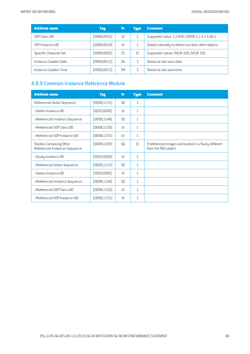| <b>Attribute name</b>  | <b>Tag</b>   | Vr        | <b>Type</b>    | <b>Comment</b>                                      |
|------------------------|--------------|-----------|----------------|-----------------------------------------------------|
| SOP Class UID          | (0008, 0016) | UL        |                | Supported value: 1.2.840.10008.5.1.4.1.1.66.1.      |
| SOP Instance UID       | [0008,0018]  | UI        |                | Stored internally to references from other objects. |
| Specific Character Set | (0008,0005)  | <b>CS</b> | 1 <sup>C</sup> | Supported values: ISO IR 100, ISO IR 192.           |
| Instance Creation Date | [0008,0012]  | <b>DA</b> | 3              | Stored as last save date.                           |
| Instance Creation Time | (0008, 0013) | TМ        |                | Stored as last save time.                           |

# 4.8.9 Common Instance Reference Module

| <b>Attribute name</b>                                            | <b>Tag</b>   | <b>Vr</b>      | <b>Type</b>    | <b>Comment</b>                                                                |
|------------------------------------------------------------------|--------------|----------------|----------------|-------------------------------------------------------------------------------|
| Referenced Series Sequence                                       | [0008, 1115] | <b>SQ</b>      | $\mathbf{1}$   |                                                                               |
| >Series Instance UID                                             | (0020,000E)  | UI             | $\mathbf{1}$   |                                                                               |
| >Referenced Instance Sequence                                    | [0008, 114A] | S <sub>0</sub> | $\mathbf{1}$   |                                                                               |
| >Referenced SOP Class UID                                        | (0008, 1150) | $\mathsf{U}$   | $\mathbf{1}$   |                                                                               |
| >Referenced SOP Instance UID                                     | [0008, 1155] | UI             | $\mathbf{1}$   |                                                                               |
| <b>Studies Containing Other</b><br>Referenced Instances Sequence | (0008, 1200) | S <sub>0</sub> | 1 <sup>C</sup> | If referenced images are located in a Study different<br>from the REG object. |
| >Study Instance UID                                              | [0020,0000]  | $\mathsf{U}$   | $\mathbf{1}$   |                                                                               |
| >Referenced Series Sequence                                      | [0008, 1115] | S <sub>0</sub> | $\mathbf{1}$   |                                                                               |
| >Series Instance UID                                             | (0020,000E)  | UI             | $\mathbf{1}$   |                                                                               |
| >Referenced Instance Sequence                                    | [0008, 114A] | S <sub>0</sub> | $\mathbf{1}$   |                                                                               |
| >Referenced SOP Class UID                                        | (0008, 1150) | $\mathsf{U}$   | $\mathbf{1}$   |                                                                               |
| >Referenced SOP Instance UID                                     | [0008, 1155] | UI             | $\mathbf{1}$   |                                                                               |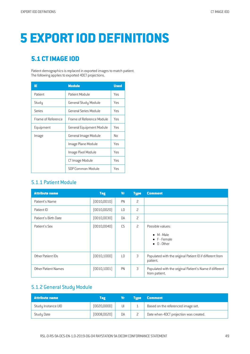# **5 EXPORTIOD DEFINITIONS**

# **5.1 CTIMAGE IOD**

Patient demographics is replaced in exported images to match patient. The following applies to exported 4DCT projections.

| ΙE                 | <b>Module</b>             | <b>Used</b> |
|--------------------|---------------------------|-------------|
| Patient            | Patient Module            | Yes         |
| Study              | General Study Module      | Yes         |
| Series             | General Series Module     | Yes         |
| Frame of Reference | Frame of Reference Module | Yes         |
| Equipment          | General Equipment Module  | Yes         |
| Image              | General Image Module      | No          |
|                    | Image Plane Module        | Yes         |
|                    | Image Pixel Module        | Yes         |
|                    | CT Image Module           | Yes         |
|                    | SOP Common Module         | Yes         |

#### 5.1.1 Patient Module

| <b>Attribute name</b> | <b>Tag</b>   | <b>Vr</b>       | <b>Type</b>    | <b>Comment</b>                                                                        |
|-----------------------|--------------|-----------------|----------------|---------------------------------------------------------------------------------------|
| Patient's Name        | [0010, 0010] | PN              | $\overline{c}$ |                                                                                       |
| Patient ID            | (0010, 0020) | LO              | $\overline{c}$ |                                                                                       |
| Patient's Birth Date  | (0010, 0030) | DA              | $\overline{c}$ |                                                                                       |
| Patient's Sex         | (0010, 0040) | CS              | 2              | Possible values:<br>$\bullet$ M - Male<br>$\bullet$ F - Female<br>$\bullet$ 0 - Other |
| Other Patient IDs     | (0010, 1000) | $\overline{10}$ | 3              | Populated with the original Patient ID if different from<br>patient.                  |
| Other Patient Names   | (0010, 1001) | PN              | 3              | Populated with the original Patient's Name if different<br>from patient.              |

#### 5.1.2 General Study Module

| <b>Attribute name</b> | Tag          | Vr | <b>Tupe</b> | <b>Comment</b>                         |
|-----------------------|--------------|----|-------------|----------------------------------------|
| Study Instance UID    | [0020,0000]  | UI |             | Based on the referenced image set.     |
| Study Date            | (0008, 0020) | DA |             | Date when 4DCT projection was created. |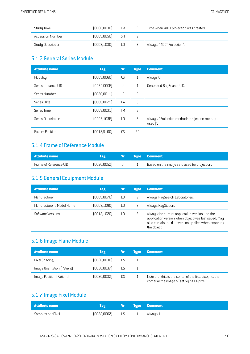| Study Time              | (0008,0030)  | <b>TM</b> | Time when 4DCT projection was created. |
|-------------------------|--------------|-----------|----------------------------------------|
| <b>Accession Number</b> | (0008, 0050) | SH        |                                        |
| Study Description       | (0008, 1030) | L0        | Always: "4DCT Projection".             |

#### 5.1.3 General Series Module

| <b>Attribute name</b> | <b>Tag</b>   | Vr        | <b>Type</b>    | <b>Comment</b>                                            |
|-----------------------|--------------|-----------|----------------|-----------------------------------------------------------|
| Modality              | (0008, 0060) | CS        | $\mathbf{1}$   | Always CT.                                                |
| Series Instance UID   | [0020,000E]  | UI        | $\mathbf{1}$   | Generated RaySearch UID.                                  |
| Series Number         | (0020, 0011) | IS        | $\overline{c}$ |                                                           |
| Series Date           | (0008,0021)  | <b>DA</b> | 3              |                                                           |
| Series Time           | (0008,0031)  | <b>TM</b> | 3              |                                                           |
| Series Description    | (0008, 103E) | L0        | 3              | Always: "Projection method: [projection method<br>used]". |
| Patient Position      | [0018, 5100] | CS        | SC.            |                                                           |

# 5.1.4 Frame of Reference Module

| Attribute name         |             |    | <b>Type Comment</b>                          |
|------------------------|-------------|----|----------------------------------------------|
| Frame of Reference UID | [0020,0052] | UI | Based on the image sets used for projection. |

## 5.1.5 General Equipment Module

| <b>Attribute name</b>     | <b>Tag</b>   | Vr | <b>Tupe</b> | <b>Comment</b>                                                                                                                                                                 |
|---------------------------|--------------|----|-------------|--------------------------------------------------------------------------------------------------------------------------------------------------------------------------------|
| Manufacturer              | (0008, 0070) | ТŪ |             | Always RaySearch Laboratories.                                                                                                                                                 |
| Manufacturer's Model Name | (0008, 1090) | LΟ |             | Always RayStation.                                                                                                                                                             |
| Software Versions         | (0018, 1020) | LΟ |             | Always the current application version and the<br>application version when object was last saved. May<br>also contain the filter version applied when exporting<br>the object. |

#### 5.1.6 Image Plane Module

| <b>Attribute name</b>       | <b>Tag</b>  | Vī        | Tupe | <b>Comment</b>                                                                                           |
|-----------------------------|-------------|-----------|------|----------------------------------------------------------------------------------------------------------|
| Pixel Spacing               | [0028,0030] | D.S       |      |                                                                                                          |
| Image Orientation (Patient) | [0020,0037] | D.S       |      |                                                                                                          |
| Image Position (Patient)    | [0020,0032] | <b>DS</b> |      | Note that this is the center of the first pixel, i.e. the<br>corner of the image offset by half a pixel. |

## 5.1.7 Image Pixel Module

| Attribute name    | Tag         | $V_{\rm I}$ and $V_{\rm I}$ |          | Type Comment |
|-------------------|-------------|-----------------------------|----------|--------------|
| Samples per Pixel | (0028,0002) | US —                        | <b>.</b> | Always 1.    |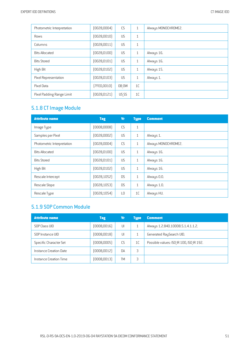| Photometric Interpretation | (0028,0004)  | CS        | 1              | Always MONOCHROME2. |
|----------------------------|--------------|-----------|----------------|---------------------|
| Rows                       | (0028, 0010) | <b>US</b> | $\mathbf{1}$   |                     |
| Columns                    | [0028, 0011] | US        | $\mathbf{1}$   |                     |
| <b>Bits Allocated</b>      | [0028, 0100] | <b>US</b> | 1              | Always 16.          |
| <b>Bits Stored</b>         | (0028, 0101) | <b>US</b> | 1              | Always 16.          |
| High Bit                   | (0028, 0102) | <b>US</b> | 1              | Always 15.          |
| Pixel Representation       | (0028, 0103) | <b>US</b> | 1              | Always 1.           |
| Pixel Data                 | (7FE0,0010)  | OB OW     | 1 <sup>C</sup> |                     |
| Pixel Padding Range Limit  | (0028, 0121) | US SS     | 1 <sup>C</sup> |                     |

# 5.1.8 CT Image Module

| <b>Attribute name</b>      | <b>Tag</b>   | <b>Vr</b>       | <b>Type</b>    | <b>Comment</b>      |
|----------------------------|--------------|-----------------|----------------|---------------------|
| Image Type                 | [0008,0008]  | CS              | $\mathbf{1}$   |                     |
| Samples per Pixel          | [0028,0002]  | <b>US</b>       | $\mathbf{1}$   | Always 1.           |
| Photometric Interpretation | [0028,0004]  | CS              | $\mathbf{1}$   | Always MONOCHROME2. |
| <b>Bits Allocated</b>      | [0028, 0100] | <b>US</b>       | $\mathbf{1}$   | Always 16.          |
| <b>Bits Stored</b>         | [0028, 0101] | <b>US</b>       | $\mathbf{1}$   | Always 16.          |
| High Bit                   | [0028, 0102] | <b>US</b>       | $\mathbf{1}$   | Always 16.          |
| Rescale Intercept          | [0028, 1052] | <b>DS</b>       | $\mathbf{1}$   | Always 0.0.         |
| Rescale Slope              | [0028, 1053] | D <sub>S</sub>  | $\mathbf{1}$   | Always 1.0.         |
| Rescale Type               | [0028, 1054] | $\overline{10}$ | 1 <sup>C</sup> | Always HU.          |

# 5.1.9 SOP Common Module

| <b>Attribute name</b>  | <b>Tag</b>  | Vr        | Type           | <b>Comment</b>                           |
|------------------------|-------------|-----------|----------------|------------------------------------------|
| SOP Class UID          | [0008,0016] | UI        |                | Always 1.2.840.10008.5.1.4.1.1.2.        |
| SOP Instance UID       | (0008,0018) | UI        |                | Generated RaySearch UID.                 |
| Specific Character Set | [0008,0005] | CS        | 1 <sup>C</sup> | Possible values: ISO IR 100, ISO IR 192. |
| Instance Creation Date | [0008,0012] | <b>DA</b> | 3              |                                          |
| Instance Creation Time | [0008,0013] | TM        | 3              |                                          |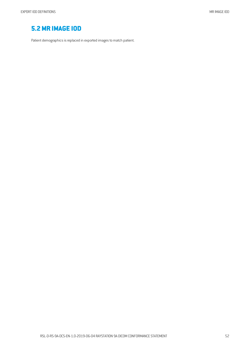# **5.2MR IMAGE IOD**

Patient demographics is replaced in exported images to match patient.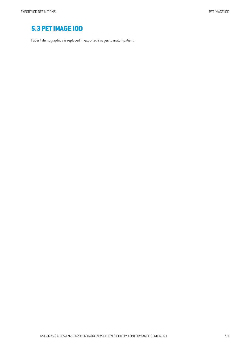# **5.3 PETIMAGE IOD**

Patient demographics is replaced in exported images to match patient.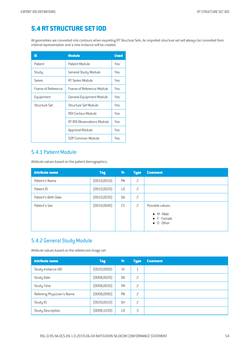# **5.4 RT STRUCTURE SETIOD**

All geometries are converted into contours when exporting RT Structure Sets. An imported structure set will always be converted from internal representation and a new instance will be created.

| ΙE                 | <b>Module</b>              | <b>Used</b> |
|--------------------|----------------------------|-------------|
| Patient            | Patient Module             | Yes         |
| Study              | General Study Module       | Yes         |
| Series             | RT Series Module           | Yes         |
| Frame of Reference | Frame of Reference Module  | Yes         |
| Equipment          | General Equipment Module   | Yes         |
| Structure Set      | Structure Set Module       | Yes         |
|                    | ROI Contour Module         | Yes         |
|                    | RT ROI Observations Module | Yes         |
|                    | Approval Module            | Yes         |
|                    | SOP Common Module          | Yes         |

#### 5.4.1 Patient Module

Attribute values based on the patient demographics.

| <b>Attribute name</b> | <b>Tag</b>   | <b>Vr</b>      | <b>Type</b>    | <b>Comment</b>                                            |
|-----------------------|--------------|----------------|----------------|-----------------------------------------------------------|
| Patient's Name        | [0010, 0010] | PN             | $\overline{c}$ |                                                           |
| Patient ID            | (0010, 0020) | L <sub>0</sub> | 2              |                                                           |
| Patient's Birth Date  | (0010, 0030) | DA             | 2              |                                                           |
| Patient's Sex         | (0010, 0040) | CS             | 2              | Possible values:                                          |
|                       |              |                |                | $\bullet$ M - Male<br>• F - Female<br>$\bullet$ 0 - Other |

#### 5.4.2 General Study Module

Attribute values based on the referenced image set.

| <b>Attribute name</b>      | <b>Tag</b>   | Vr             | <b>Type</b>    | <b>Comment</b> |
|----------------------------|--------------|----------------|----------------|----------------|
| Study Instance UID         | (0020,0000)  | UI             | $\overline{1}$ |                |
| <b>Study Date</b>          | (0008, 0020) | <b>DA</b>      | 2              |                |
| Study Time                 | (0008, 0030) | <b>TM</b>      | 2              |                |
| Referring Physician's Name | (0008,0090)  | PN             | 2              |                |
| Study ID                   | (0020, 0010) | <b>SH</b>      | 2              |                |
| <b>Study Description</b>   | (0008, 1030) | L <sub>0</sub> | 3              |                |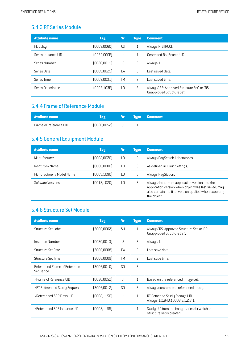## 5.4.3 RT Series Module

| <b>Attribute name</b> | <b>Tag</b>   | Vr              | <b>Type</b>  | <b>Comment</b>                                                           |
|-----------------------|--------------|-----------------|--------------|--------------------------------------------------------------------------|
| Modality              | (0008, 0060) | <b>CS</b>       | $\mathbf{1}$ | Always RTSTRUCT.                                                         |
| Series Instance UID   | (0020,000E)  | $  \cdot  $     | 1            | Generated RaySearch UID.                                                 |
| Series Number         | [0020, 0011] | IS.             | 2            | Always 1.                                                                |
| Series Date           | (0008,0021)  | <b>DA</b>       | 3            | Last saved date.                                                         |
| Series Time           | (0008, 0031) | TM              | 3            | Last saved time.                                                         |
| Series Description    | (0008, 103E) | $\overline{10}$ | 3            | Always "RS: Approved Structure Set" or "RS:<br>Unapproved Structure Set" |

#### 5.4.4 Frame of Reference Module

| <b>Attribute name</b>  |              | Vr L | <b>Type Comment</b> |
|------------------------|--------------|------|---------------------|
| Frame of Reference UID | (0020, 0052) | UL   |                     |

# 5.4.5 General Equipment Module

| <b>Attribute name</b>     | Tag          | Vr  | <b>Tupe</b> | <b>Comment</b>                                                                                                                                                                 |
|---------------------------|--------------|-----|-------------|--------------------------------------------------------------------------------------------------------------------------------------------------------------------------------|
| Manufacturer              | [0008,0070]  | LO. | 2           | Always RaySearch Laboratories.                                                                                                                                                 |
| <b>Institution Name</b>   | (0008,0080)  | LΟ  | 3           | As defined in Clinic Settings.                                                                                                                                                 |
| Manufacturer's Model Name | (0008, 1090) | LΟ  | 3           | Always RayStation.                                                                                                                                                             |
| Software Versions         | [0018, 1020] | ΙO  | 3           | Always the current application version and the<br>application version when object was last saved. May<br>also contain the filter version applied when exporting<br>the object. |

# 5.4.6 Structure Set Module

| <b>Attribute name</b>                     | <b>Tag</b>   | <b>Vr</b>      | <b>Type</b>  | <b>Comment</b>                                                             |
|-------------------------------------------|--------------|----------------|--------------|----------------------------------------------------------------------------|
| <b>Structure Set Label</b>                | (3006,0002)  | <b>SH</b>      | $\mathbf{1}$ | Always 'RS: Approved Structure Set' or 'RS:<br>Unapproved Structure Set'.  |
| Instance Number                           | (0020,0013)  | <b>IS</b>      | 3            | Always 1.                                                                  |
| Structure Set Date                        | (3006,0008)  | DA             | 2            | Last save date.                                                            |
| <b>Structure Set Time</b>                 | (3006,0009)  | <b>TM</b>      | 2            | Last save time.                                                            |
| Referenced Frame of Reference<br>Sequence | (3006,0010)  | S <sub>0</sub> | 3            |                                                                            |
| >Frame of Reference UID                   | (0020,0052)  | $\cup$         | $\mathbf{1}$ | Based on the referenced image set.                                         |
| >RT Referenced Study Sequence             | (3006,0012)  | S <sub>0</sub> | 3            | Always contains one referenced study.                                      |
| >Referenced SOP Class UID                 | (0008, 1150) | $\cup$         | $\mathbf{1}$ | RT Detached Study Storage UID.<br>Always 1.2.840.10008.3.1.2.3.1.          |
| >Referenced SOP Instance UID              | (0008, 1155) | $\mathsf{U}$   | $\mathbf{1}$ | Study UID from the image series for which the<br>structure set is created. |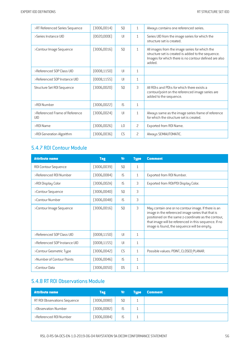| >RT Referenced Series Sequence        | (3006, 0014) | S <sub>0</sub>  | $\mathbf{1}$   | Always contains one referenced series.                                                                                                                                  |
|---------------------------------------|--------------|-----------------|----------------|-------------------------------------------------------------------------------------------------------------------------------------------------------------------------|
| >Series Instance UID                  | [0020,000E]  | $\cup$          | $\mathbf{1}$   | Series UID from the image series for which the<br>structure set is created.                                                                                             |
| >Contour Image Sequence               | [3006, 0016] | SO <sub>2</sub> | $\mathbf{1}$   | All images from the image series for which the<br>structure set is created is added to the sequence.<br>Images for which there is no contour defined are also<br>added. |
| >Referenced SOP Class UID             | (0008, 1150) | $\mathsf{I}$    | $\mathbf{1}$   |                                                                                                                                                                         |
| >Referenced SOP Instance UID          | [0008, 1155] | $\mathsf{U}$    | 1              |                                                                                                                                                                         |
| Structure Set R0I Sequence            | (3006,0020)  | S <sub>0</sub>  | 3              | All ROI:s and POI:s for which there exists a<br>contour/point on the referenced image series are<br>added to the sequence.                                              |
| >R0I Number                           | (3006, 0022) | <b>IS</b>       | 1              |                                                                                                                                                                         |
| >Referenced Frame of Reference<br>UID | (3006,0024)  | $\cup$          | $\mathbf{1}$   | Always same as the image series frame of reference<br>for which the structure set is created.                                                                           |
| >ROI Name                             | [3006, 0026] | $\overline{10}$ | 2              | Exported from ROI Name.                                                                                                                                                 |
| >ROI Generation Algorithm             | [3006,0036]  | CS.             | $\overline{c}$ | Always SEMIAUTOMATIC.                                                                                                                                                   |

# 5.4.7 ROI Contour Module

| <b>Attribute name</b>        | <b>Tag</b>   | <b>V<sub>r</sub></b> | <b>Type</b>  | <b>Comment</b>                                                                                                                                                                                                                                                          |
|------------------------------|--------------|----------------------|--------------|-------------------------------------------------------------------------------------------------------------------------------------------------------------------------------------------------------------------------------------------------------------------------|
| ROI Contour Sequence         | [3006, 0039] | S <sub>0</sub>       | 1            |                                                                                                                                                                                                                                                                         |
| >Referenced R0I Number       | (3006,0084)  | IS.                  | $\mathbf{1}$ | Exported from ROI Number.                                                                                                                                                                                                                                               |
| >ROI Display Color           | [3006, 002A] | IS.                  | 3            | Exported from ROI/POI Display Color.                                                                                                                                                                                                                                    |
| >Contour Sequence            | (3006,0040)  | S <sub>0</sub>       | 3            |                                                                                                                                                                                                                                                                         |
| >Contour Number              | [3006,0048]  | IS                   | 3            |                                                                                                                                                                                                                                                                         |
| >Contour Image Sequence      | [3006, 0016] | S <sub>0</sub>       | 3            | May contain one or no contour image. If there is an<br>image in the referenced image series that that is<br>positioned on the same z-coordinate as the contour,<br>that image will be referenced in this sequence. If no<br>image is found, the sequence will be empty. |
| >Referenced SOP Class UID    | (0008,1150)  | $\cup$               | $\mathbf{1}$ |                                                                                                                                                                                                                                                                         |
| >Referenced SOP Instance UID | (0008, 1155) | $\cup$               | $\mathbf{1}$ |                                                                                                                                                                                                                                                                         |
| >Contour Geometric Type      | (3006,0042)  | CS.                  | $\mathbf{1}$ | Possible values: POINT, CLOSED PLANAR.                                                                                                                                                                                                                                  |
| >Number of Contour Points    | (3006,0046)  | $\mathsf{IS}$        | $\mathbf{1}$ |                                                                                                                                                                                                                                                                         |
| >Contour Data                | (3006, 0050) | D.S                  | $\mathbf{1}$ |                                                                                                                                                                                                                                                                         |

# 5.4.8 RT ROI Observations Module

| <b>Attribute name</b>        | Tag         | Vr             | <b>Tupe</b> | <b>Comment</b> |
|------------------------------|-------------|----------------|-------------|----------------|
| RT ROI Observations Sequence | (3006,0080) | S <sub>0</sub> |             |                |
| >Observation Number          | (3006,0082) |                |             |                |
| >Referenced R0I Number       | (3006,0084) |                |             |                |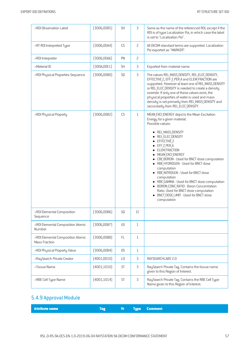| >ROI Observation Label                             | (3006,0085)  | <b>SH</b> | 3              | Same as the name of the referenced ROI, except if the                                                                                                                                                                                                                                                                                                                                                                                                                 |
|----------------------------------------------------|--------------|-----------|----------------|-----------------------------------------------------------------------------------------------------------------------------------------------------------------------------------------------------------------------------------------------------------------------------------------------------------------------------------------------------------------------------------------------------------------------------------------------------------------------|
|                                                    |              |           |                | ROI is of type Localization Poi, in which case the label<br>is set to "Localization Poi".                                                                                                                                                                                                                                                                                                                                                                             |
| >RT ROI Interpreted Type                           | [3006,00A4]  | CS        | $\overline{c}$ | All DICOM standard terms are supported. Localization<br>Poi exported as "MARKER".                                                                                                                                                                                                                                                                                                                                                                                     |
| >R0I Interpreter                                   | (3006,00A6)  | PN        | $\overline{c}$ |                                                                                                                                                                                                                                                                                                                                                                                                                                                                       |
| >Material ID                                       | [300A, 00E1] | <b>SH</b> | $\mathsf 3$    | Exported from material name.                                                                                                                                                                                                                                                                                                                                                                                                                                          |
| >ROI Physical Properties Sequence                  | (3006, 00B0) | SQ        | $\mathfrak{Z}$ | The values REL MASS DENSITY, REL ELEC DENSITY,<br>EFFECTIVE Z, EFF Z PER A and ELEM FRACTION are<br>supported. However at least one of REL MASS DENSITY<br>or REL ELEC DENSITY is needed to create a density<br>override. If only one of these values exist, the<br>physical properties of water is used and mass<br>density is set primarily from REL MASS DENSITY and<br>secondarily from REL ELEC DENSITY.                                                         |
| >ROI Physical Property                             | (3006,00B2)  | CS        | $\mathbf{1}$   | MEAN EXCI ENERGY depicts the Mean Excitation<br>Energy for a given material.<br>Possible values:                                                                                                                                                                                                                                                                                                                                                                      |
|                                                    |              |           |                | • REL MASS DENSITY<br>REL ELEC DENSITY<br>EFFECTIVE Z<br>EFF Z PER A<br>ELEM FRACTION<br>• MEAN EXCI ENERGY<br>• CBE BORON - Used for BNCT dose computation<br>• RBE HYDROGEN - Used for BNCT dose<br>computation<br>• RBE NITROGEN - Used for BNCT dose<br>computation<br>• RBE GAMMA - Used for BNCT dose computation<br>• BORON CONC RATIO - Boron Concentration<br>Ratio. Used for BNCT dose computation<br>• BNCT DOSE LIMIT - Used for BNCT dose<br>computation |
| >ROI Elemental Composition<br>Sequence             | (3006,00B6)  | SQ        | 1C             |                                                                                                                                                                                                                                                                                                                                                                                                                                                                       |
| >ROI Elemental Composition Atomic<br>Number        | [3006,00B7]  | US        | $1\,$          |                                                                                                                                                                                                                                                                                                                                                                                                                                                                       |
| >ROI Elemental Composition Atomic<br>Mass Fraction | (3006,00B8)  | FL        | $\mathbf{1}$   |                                                                                                                                                                                                                                                                                                                                                                                                                                                                       |
| >ROI Physical Property Value                       | (3006, 00B4) | <b>DS</b> | $\mathbf{1}$   |                                                                                                                                                                                                                                                                                                                                                                                                                                                                       |
| >RaySearch Private Creator                         | (4001, 0010) | L0        | 3              | RAYSEARCHLABS 2.0                                                                                                                                                                                                                                                                                                                                                                                                                                                     |
| >Tissue Name                                       | (4001, 1010) | ST        | $\mathsf 3$    | RaySearch Private Tag. Contains the tissue name<br>given to this Region of Interest.                                                                                                                                                                                                                                                                                                                                                                                  |
| >RBE Cell Type Name                                | (4001, 1014) | ST        | $\mathfrak{Z}$ | RaySearch Private Tag. Contains the RBE Cell Type<br>Name given to this Region of Interest.                                                                                                                                                                                                                                                                                                                                                                           |

# 5.4.9 Approval Module

| <b>Attribute name</b><br><b>Source Service Comment Property</b><br>/Tag |
|-------------------------------------------------------------------------|
|-------------------------------------------------------------------------|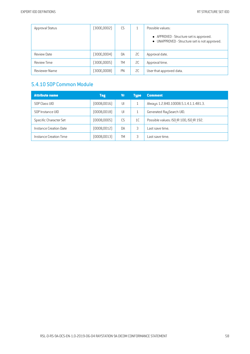| Approval Status    | (300E,0002)  | CS        |    | Possible values:                                                                         |
|--------------------|--------------|-----------|----|------------------------------------------------------------------------------------------|
|                    |              |           |    | • APPROVED - Structure set is approved.<br>• UNAPPROVED - Structure set is not approved. |
| Review Date        | (300E,0004)  | DA        | 2C | Approval date.                                                                           |
| <b>Review Time</b> | (300E, 0005) | <b>TM</b> | 2C | Approval time.                                                                           |
| Reviewer Name      | (300E,0008)  | <b>PN</b> | 2C | User that approved data.                                                                 |

#### 5.4.10 SOP Common Module

| <b>Attribute name</b>  | <b>Tag</b>   | ۷r        | <b>Type</b> | <b>Comment</b>                           |
|------------------------|--------------|-----------|-------------|------------------------------------------|
| SOP Class UID          | (0008, 0016) | U         |             | Always 1.2.840.10008.5.1.4.1.1.481.3.    |
| SOP Instance UID       | (0008, 0018) | U         |             | Generated RaySearch UID.                 |
| Specific Character Set | (0008,0005)  | <b>CS</b> | 1C          | Possible values: ISO IR 100, ISO IR 192. |
| Instance Creation Date | [0008,0012]  | <b>DA</b> | 3           | Last save time.                          |
| Instance Creation Time | (0008, 0013) | <b>TM</b> |             | ast save time.                           |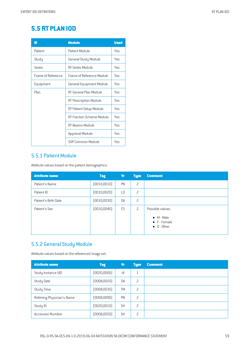# **5.5 RT PLAN IOD**

| IE                 | <b>Module</b>             | <b>Used</b> |
|--------------------|---------------------------|-------------|
| Patient            | Patient Module            | Yes         |
| Study              | General Study Module      | Yes         |
| Series             | RT Series Module          | Yes         |
| Frame of Reference | Frame of Reference Module | Yes         |
| Equipment          | General Equipment Module  | Yes         |
| Plan               | RT General Plan Module    | Yes         |
|                    | RT Prescription Module    | Yes         |
|                    | RT Patient Setup Module   | Yes         |
|                    | RT Fraction Scheme Module | Yes         |
|                    | RT Beams Module           | Yes         |
|                    | Approval Module           | Yes         |
|                    | SOP Common Module         | Yes         |

#### 5.5.1 Patient Module

Attribute values based on the patient demographics.

| <b>Attribute name</b> | <b>Tag</b>   | <b>Vr</b>      | <b>Type</b>    | <b>Comment</b>                                                    |
|-----------------------|--------------|----------------|----------------|-------------------------------------------------------------------|
| Patient's Name        | (0010, 0010) | PN             | 2              |                                                                   |
| Patient ID            | (0010, 0020) | L <sub>0</sub> | 2              |                                                                   |
| Patient's Birth Date  | (0010, 0030) | DA             | 2              |                                                                   |
| Patient's Sex         | (0010, 0040) | CS             | $\overline{c}$ | Possible values:                                                  |
|                       |              |                |                | $\bullet$ M - Male<br>$\bullet$ F - Female<br>$\bullet$ 0 - Other |

## 5.5.2 General Study Module

Attribute values based on the referenced image set.

| <b>Attribute name</b>      | <b>Tag</b>   | Vr        | <b>Type</b>  | <b>Comment</b> |
|----------------------------|--------------|-----------|--------------|----------------|
| Study Instance UID         | [0020,0000]  | UI        | $\mathbf{1}$ |                |
| Study Date                 | (0008, 0020) | DA        | 2            |                |
| Study Time                 | (0008, 0030) | <b>TM</b> | 2            |                |
| Referring Physician's Name | (0008,0090)  | PN        | 2            |                |
| Study ID                   | (0020, 0010) | <b>SH</b> | 2            |                |
| <b>Accession Number</b>    | (0008, 0050) | <b>SH</b> | 2            |                |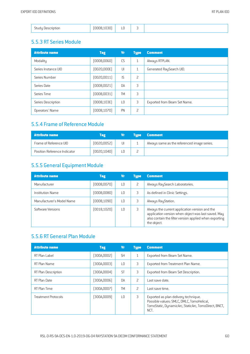|--|

#### 5.5.3 RT Series Module

| <b>Attribute name</b> | <b>Tag</b>   | <b>Vr</b>      | <b>Type</b>              | <b>Comment</b>               |
|-----------------------|--------------|----------------|--------------------------|------------------------------|
| Modality              | (0008, 0060) | CS             | $\mathbf{1}$             | Always RTPLAN.               |
| Series Instance UID   | (0020,000E)  | UI             | $\mathbf{1}$             | Generated RaySearch UID.     |
| Series Number         | [0020, 0011] | IS             | $\overline{\phantom{0}}$ |                              |
| Series Date           | (0008,0021)  | DA             | 3                        |                              |
| Series Time           | (0008, 0031) | <b>TM</b>      | 3                        |                              |
| Series Description    | (0008, 103E) | L <sub>0</sub> | 3                        | Exported from Beam Set Name. |
| Operators' Name       | (0008, 1070) | PN             | 2                        |                              |

#### 5.5.4 Frame of Reference Module

| <b>Attribute name</b>        | Tag          | Vr. | <b>Tupe</b> | <b>Comment</b>                              |
|------------------------------|--------------|-----|-------------|---------------------------------------------|
| Frame of Reference UID       | [0020, 0052] | UI  |             | Always same as the referenced image series. |
| Position Reference Indicator | [0020, 1040] |     |             |                                             |

# 5.5.5 General Equipment Module

| <b>Attribute name</b>     | <b>Tag</b>   | Vr              | <b>Type</b> | <b>Comment</b>                                                                                                                                                                 |
|---------------------------|--------------|-----------------|-------------|--------------------------------------------------------------------------------------------------------------------------------------------------------------------------------|
| Manufacturer              | (0008, 0070) | $\overline{10}$ | 2           | Always RaySearch Laboratories.                                                                                                                                                 |
| Institution Name          | (0008,0080)  | ТŪ              | 3           | As defined in Clinic Settings.                                                                                                                                                 |
| Manufacturer's Model Name | (0008, 1090) | $\overline{10}$ | 3           | Always RayStation.                                                                                                                                                             |
| Software Versions         | [0018, 1020] | ΙO              | 3           | Always the current application version and the<br>application version when object was last saved. May<br>also contain the filter version applied when exporting<br>the object. |

# 5.5.6 RT General Plan Module

| <b>Attribute name</b>      | <b>Tag</b>  | <b>Vr</b>       | <b>Type</b>              | <b>Comment</b>                                                                                                                                    |
|----------------------------|-------------|-----------------|--------------------------|---------------------------------------------------------------------------------------------------------------------------------------------------|
| RT Plan Label              | [300A,0002] | <b>SH</b>       | 1                        | Exported from Beam Set Name.                                                                                                                      |
| RT Plan Name               | (300A,0003) | L0              | 3                        | Exported from Treatment Plan Name.                                                                                                                |
| RT Plan Description        | (300A,0004) | <b>ST</b>       | 3                        | Exported from Beam Set Description.                                                                                                               |
| RT Plan Date               | (300A,0006) | <b>DA</b>       | $\overline{\phantom{0}}$ | Last save date.                                                                                                                                   |
| RT Plan Time               | (300A,0007) | TM              | 2                        | Last save time.                                                                                                                                   |
| <b>Treatment Protocols</b> | [300A,0009] | $\overline{10}$ | 3                        | Exported as plan delivery technique.<br>Possible values: SMLC, DMLC, TomoHelical,<br>TomoStatic, DynamicArc, StaticArc, TomoDirect, BNCT,<br>NCT. |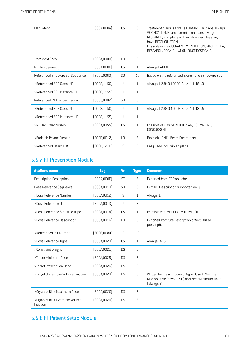| Plan Intent                       | [300A,000A]  | CS              | 3              | Treatment plans is always CURATIVE, QA plans always<br>VERIFICATION, Beam Commission plans always<br>RESEARCH, and plans with recalculated dose might<br>have RECALCULATION.<br>Possible values: CURATIVE, VERIFICATION, MACHINE QA,<br>RESEARCH, RECALCULATION, BNCT DOSE CALC. |
|-----------------------------------|--------------|-----------------|----------------|----------------------------------------------------------------------------------------------------------------------------------------------------------------------------------------------------------------------------------------------------------------------------------|
| <b>Treatment Sites</b>            | [300A,000B]  | $\perp$ 0       | 3              |                                                                                                                                                                                                                                                                                  |
| RT Plan Geometry                  | (300A,000C)  | CS.             | $\mathbf{1}$   | Always PATIENT.                                                                                                                                                                                                                                                                  |
| Referenced Structure Set Sequence | [300C, 0060] | SO <sub>2</sub> | 1 <sup>C</sup> | Based on the referenced Examination Structure Set.                                                                                                                                                                                                                               |
| >Referenced SOP Class UID         | (0008, 1150) | UI              | $\mathbf{1}$   | Always 1.2.840.10008.5.1.4.1.1.481.3.                                                                                                                                                                                                                                            |
| >Referenced SOP Instance UID      | [0008, 1155] | U               | $\mathbf{1}$   |                                                                                                                                                                                                                                                                                  |
| Referenced RT Plan Sequence       | [300C,0002]  | S <sub>0</sub>  | 3              |                                                                                                                                                                                                                                                                                  |
| >Referenced SOP Class UID         | (0008, 1150) | $\mathsf{U}$    | $\mathbf{1}$   | Always 1.2.840.10008.5.1.4.1.1.481.5.                                                                                                                                                                                                                                            |
| >Referenced SOP Instance UID      | (0008, 1155) | $\cup$          | $\mathbf{1}$   |                                                                                                                                                                                                                                                                                  |
| >RT Plan Relationship             | [300A, 0055] | CS              | $\mathbf{1}$   | Possible values: VERIFIED PLAN, EQUIVALENT,<br>CONCURRENT.                                                                                                                                                                                                                       |
| >Brainlab Private Creator         | [300B, 0012] | $\perp$ 0       | 3              | Brainlab - ONC - Beam Parameters                                                                                                                                                                                                                                                 |
| >Referenced Beam List             | [300B, 1210] | IS.             | 3              | Only used for Brainlab plans.                                                                                                                                                                                                                                                    |

# 5.5.7 RT Prescription Module

| <b>Attribute name</b>                      | <b>Tag</b>   | <b>V<sub>r</sub></b> | <b>Type</b>    | <b>Comment</b>                                                                                                    |
|--------------------------------------------|--------------|----------------------|----------------|-------------------------------------------------------------------------------------------------------------------|
| Prescription Description                   | [300A,000E]  | <b>ST</b>            | 3              | Exported from RT Plan Label.                                                                                      |
| Dose Reference Sequence                    | [300A, 0010] | S <sub>0</sub>       | 3              | Primary Prescription supported only.                                                                              |
| >Dose Reference Number                     | [300A, 0012] | IS                   | $\mathbf{1}$   | Always 1.                                                                                                         |
| >Dose Reference UID                        | [300A, 0013] | U                    | 3              |                                                                                                                   |
| >Dose Reference Structure Type             | (300A, 0014) | CS                   | $\mathbf{1}$   | Possible values: POINT, VOLUME, SITE.                                                                             |
| >Dose Reference Description                | [300A, 0016] | $\overline{10}$      | 3              | Exported from Site Description or textualized<br>prescription.                                                    |
| >Referenced R0I Number                     | (3006,0084)  | $\mathsf{IS}$        | 1 <sup>C</sup> |                                                                                                                   |
| >Dose Reference Type                       | [300A, 0020] | <b>CS</b>            | $\mathbf{1}$   | Always TARGET.                                                                                                    |
| >Constraint Weight                         | [300A, 0021] | D.S                  | 3              |                                                                                                                   |
| >Target Minimum Dose                       | [300A, 0025] | <b>DS</b>            | 3              |                                                                                                                   |
| >Target Prescription Dose                  | [300A, 0026] | <b>DS</b>            | 3              |                                                                                                                   |
| >Target Underdose Volume Fraction          | [300A, 0028] | D.S                  | 3              | Written for prescriptions of type Dose At Volume,<br>Median Dose (always 50) and Near Minimum Dose<br>(always 2). |
| >Organ at Risk Maximum Dose                | [300A,002C]  | <b>DS</b>            | 3              |                                                                                                                   |
| >Organ at Risk Overdose Volume<br>Fraction | [300A, 002D] | <b>DS</b>            | 3              |                                                                                                                   |

# 5.5.8 RT Patient Setup Module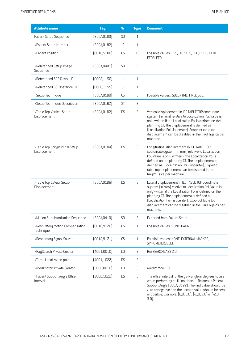| <b>Attribute name</b>                         | <b>Tag</b>   | <b>Vr</b>              | <b>Type</b>    | <b>Comment</b>                                                                                                                                                                                                                                                                                                                                   |
|-----------------------------------------------|--------------|------------------------|----------------|--------------------------------------------------------------------------------------------------------------------------------------------------------------------------------------------------------------------------------------------------------------------------------------------------------------------------------------------------|
| Patient Setup Sequence                        | (300A, 0180) | SQ                     | $\mathbf{1}$   |                                                                                                                                                                                                                                                                                                                                                  |
| >Patient Setup Number                         | [300A, 0182] | IS.                    | $\mathbf{1}$   |                                                                                                                                                                                                                                                                                                                                                  |
| >Patient Position                             | (0018, 5100) | CS                     | 1C             | Possible values: HFS, HFP, FFS, FFP, HFDR, HFDL,<br>FFDR, FFDL.                                                                                                                                                                                                                                                                                  |
| >Referenced Setup Image<br>Sequence           | (300A, 0401) | SQ                     | $\mathfrak{Z}$ |                                                                                                                                                                                                                                                                                                                                                  |
| >Referenced SOP Class UID                     | (0008, 1150) | $\mathsf{U}\mathsf{I}$ | $\mathbf{1}$   |                                                                                                                                                                                                                                                                                                                                                  |
| >Referenced SOP Instance UID                  | [0008, 1155] | UI                     | $1\,$          |                                                                                                                                                                                                                                                                                                                                                  |
| >Setup Technique                              | [300A, 01B0] | ${\sf CS}$             | 3              | Possible values: ISOCENTRIC, FIXED SSD.                                                                                                                                                                                                                                                                                                          |
| >Setup Technique Description                  | [300A, 01B2] | ST                     | 3              |                                                                                                                                                                                                                                                                                                                                                  |
| >Table Top Vertical Setup<br>Displacement     | (300A, 01D2) | <b>DS</b>              | 3              | Vertical displacement in IEC TABLE TOP coordinate<br>system (in mm) relative to Localization Poi. Value is<br>only written if the Localization Poi is defined on the<br>planning CT. The displacement is defined as<br>(Localization Poi - isocenter). Export of table top<br>displacement can be disabled in the RayPhysics per<br>machine.     |
| >Table Top Longitudinal Setup<br>Displacement | [300A, 01D4] | <b>DS</b>              | 3              | Longitudinal displacement in IEC TABLE TOP<br>coordinate system (in mm) relative to Localization<br>Poi. Value is only written if the Localization Poi is<br>defined on the planning CT. The displacement is<br>defined as (Localization Poi - isocenter). Export of<br>table top displacement can be disabled in the<br>RayPhysics per machine. |
| >Table Top Lateral Setup<br>Displacement      | [300A, 01D6] | <b>DS</b>              | 3              | Lateral displacement in IEC TABLE TOP coordinate<br>system (in mm) relative to Localization Poi. Value is<br>only written if the Localization Poi is defined on the<br>planning CT. The displacement is defined as<br>(Localization Poi - isocenter). Export of table top<br>displacement can be disabled in the RayPhysics per<br>machine.      |
| >Motion Synchronization Sequence              | [300A, 0410] | SQ                     | $\mathfrak{Z}$ | Exported from Patient Setup.                                                                                                                                                                                                                                                                                                                     |
| >Respiratory Motion Compensation<br>Technique | [0018, 9170] | CS                     | $\mathbf{1}$   | Possible values: NONE, GATING.                                                                                                                                                                                                                                                                                                                   |
| >Respiratory Signal Source                    | [0018, 9171] | ${\sf CS}$             | $\mathbf{1}$   | Possible values: NONE, EXTERNAL MARKER,<br>SPIROMETER, BELT.                                                                                                                                                                                                                                                                                     |
| >RaySearch Private Creator                    | (4001,0010)  | LO                     | 3              | RAYSEARCHLABS 2.0                                                                                                                                                                                                                                                                                                                                |
| >Tomo Localization point                      | (4001, 1022) | <b>DS</b>              | $\mathfrak{Z}$ |                                                                                                                                                                                                                                                                                                                                                  |
| >medPhoton Private Creator                    | [30BB,0010]  | $\mathsf{L}\mathsf{0}$ | $\mathfrak{Z}$ | medPhoton 1.0                                                                                                                                                                                                                                                                                                                                    |

 $(30BB,1022)$  DS 3 The offset interval for the yaw angle in degrees to use

3.0].

when performing collision checks. Relates to Patient Support Angle (300A, 0122). The first value should be zero or negative and the second value should be zero or positive. Example: [0.0, 0.0],[-2.0, 2.0] or[-2.0,

>Patient Support Angle Offset

Interval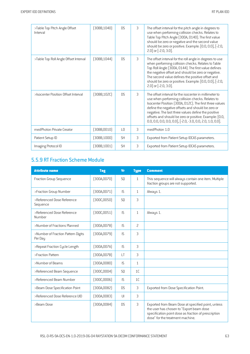| >Table Top Pitch Angle Offset<br>Interval | (30BB,1040)  | <b>DS</b>      | 3 | The offset interval for the pitch angle in degrees to<br>use when performing collision checks. Relates to<br>Table Top Pitch Angle (300A, 0140). The first value<br>should be zero or negative and the second value<br>should be zero or positive. Example: [0.0, 0.0], [-2.0,<br>2.0] or [-2.0, 3.0].                                                                                                            |
|-------------------------------------------|--------------|----------------|---|-------------------------------------------------------------------------------------------------------------------------------------------------------------------------------------------------------------------------------------------------------------------------------------------------------------------------------------------------------------------------------------------------------------------|
| >Table Top Roll Angle Offset Interval     | (30BB, 1044) | <b>DS</b>      | 3 | The offset interval for the roll angle in degrees to use<br>when performing collision checks. Relates to Table<br>Top Roll Angle (300A, 0144). The first value defines<br>the negative offset and should be zero or negative.<br>The second value defines the positive offset and<br>should be zero or positive. Example: [0.0, 0.0], [-2.0,<br>2.0] or [-2.0, 3.0].                                              |
| >Isocenter Position Offset Interval       | (30BB, 102C) | D <sub>S</sub> | 3 | The offset interval for the isocenter in millimeter to<br>use when performing collision checks. Relates to<br>Isocenter Position [300A, 012C]. The first three values<br>define the negative offsets and should be zero or<br>negative. The last three values define the positive<br>offsets and should be zero or positive. Example: [0.0,<br>$0.0, 0.0, 0.0, 0.0, 0.0]$ , [ $-2.0, -3.0, 0.0, 2.0, 1.0, 0.0]$ . |
| med Photon Private Creator                | (30BB,0010)  | L0             | 3 | medPhoton 1.0                                                                                                                                                                                                                                                                                                                                                                                                     |
| Patient Setup ID                          | [30BB, 1000] | <b>SH</b>      | 3 | Exported from Patient Setup IDCAS parameters.                                                                                                                                                                                                                                                                                                                                                                     |
| Imaging Protocol ID                       | (30BB, 1001) | <b>SH</b>      | 3 | Exported from Patient Setup IDCAS parameters.                                                                                                                                                                                                                                                                                                                                                                     |

# 5.5.9 RT Fraction Scheme Module

| <b>Attribute name</b>                         | <b>Tag</b>   | <b>Vr</b>      | <b>Tupe</b>    | <b>Comment</b>                                                                                                                                                                             |
|-----------------------------------------------|--------------|----------------|----------------|--------------------------------------------------------------------------------------------------------------------------------------------------------------------------------------------|
| Fraction Group Sequence                       | [300A, 0070] | <b>SQ</b>      | $\mathbf{1}$   | This sequence will always contain one item. Multiple<br>fraction groups are not supported.                                                                                                 |
| >Fraction Group Number                        | [300A, 0071] | IS             | $\mathbf{1}$   | Always 1.                                                                                                                                                                                  |
| >Referenced Dose Reference<br>Sequence        | [300C, 0050] | SQ             | 3              |                                                                                                                                                                                            |
| >Referenced Dose Reference<br>Number          | [300C, 0051] | <b>IS</b>      | $\mathbf{1}$   | Always 1.                                                                                                                                                                                  |
| >Number of Fractions Planned                  | [300A, 0078] | $\mathsf{IS}$  | $\overline{c}$ |                                                                                                                                                                                            |
| >Number of Fraction Pattern Digits<br>Per Day | (300A, 0079) | IS             | 3              |                                                                                                                                                                                            |
| >Repeat Fraction Cycle Length                 | [300A, 007A] | $\mathsf{IS}$  | 3              |                                                                                                                                                                                            |
| >Fraction Pattern                             | [300A, 007B] | $\perp$ T      | 3              |                                                                                                                                                                                            |
| >Number of Beams                              | (300A,0080)  | $\mathsf{IS}$  | $\mathbf{1}$   |                                                                                                                                                                                            |
| >Referenced Beam Sequence                     | [300C,0004]  | S <sub>0</sub> | 1 <sup>C</sup> |                                                                                                                                                                                            |
| >Referenced Beam Number                       | [300C,0006]  | $\mathsf{IS}$  | 1 <sup>C</sup> |                                                                                                                                                                                            |
| >Beam Dose Specification Point                | [300A,0082]  | D.S            | 3              | Exported from Dose Specification Point.                                                                                                                                                    |
| >Referenced Dose Reference UID                | [300A, 0083] | UI             | 3              |                                                                                                                                                                                            |
| >Beam Dose                                    | [300A,0084]  | <b>DS</b>      | 3              | Exported from Beam Dose at specified point, unless<br>the user has chosen to "Export beam dose<br>specification point dose as fraction of prescription<br>dose" for the treatment machine. |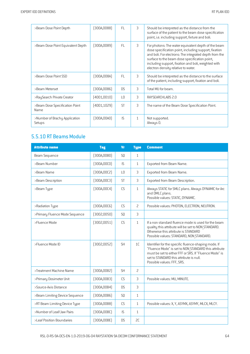| >Beam Dose Point Depth                  | 300A,0088)    | FL.             | 3            | Should be interpreted as the distance from the<br>surface of the patient to the beam dose specification<br>point, i.e. including support, fixture and boli.                                                                                                                                                           |
|-----------------------------------------|---------------|-----------------|--------------|-----------------------------------------------------------------------------------------------------------------------------------------------------------------------------------------------------------------------------------------------------------------------------------------------------------------------|
| >Beam Dose Point Equivalent Depth       | (300A, 0089)  | FL.             | 3            | For photons: The water equivalent depth of the beam<br>dose specification point, including support, fixation<br>and boli. For electrons: The integrated depth from the<br>surface to the beam dose specification point,<br>including support, fixation and boli, weighted with<br>electron density relative to water. |
| >Beam Dose Point SSD                    | [300A,008A]   | FL.             | 3            | Should be interpreted as the distance to the surface<br>of the patient, including support, fixation and boli.                                                                                                                                                                                                         |
| >Beam Meterset                          | 300A,0086)    | D.S             | 3            | Total MU for beam.                                                                                                                                                                                                                                                                                                    |
| >RaySearch Private Creator              | (4001,0010)   | $\overline{10}$ | 3            | RAYSEARCHLABS 2.0                                                                                                                                                                                                                                                                                                     |
| >Beam Dose Specification Point<br>Name  | (4001,1029)   | <b>ST</b>       | 3            | The name of the Beam Dose Specification Point.                                                                                                                                                                                                                                                                        |
| >Number of Brachy Application<br>Setups | $300$ A,00AO) | <b>IS</b>       | $\mathbf{1}$ | Not supported.<br>Always 0.                                                                                                                                                                                                                                                                                           |

# 5.5.10 RT Beams Module

| <b>Attribute name</b>          | <b>Tag</b>   | <b>Vr</b>      | <b>Type</b>    | <b>Comment</b>                                                                                                                                                                                                                                  |
|--------------------------------|--------------|----------------|----------------|-------------------------------------------------------------------------------------------------------------------------------------------------------------------------------------------------------------------------------------------------|
| Beam Sequence                  | [300A,00B0]  | S <sub>0</sub> | $\mathbf{1}$   |                                                                                                                                                                                                                                                 |
| >Beam Number                   | [300A, 00C0] | $\mathsf{IS}$  | $\mathbf{1}$   | Exported from Beam Name.                                                                                                                                                                                                                        |
| >Beam Name                     | [300A, 00C2] | L <sub>0</sub> | 3              | Exported from Beam Name.                                                                                                                                                                                                                        |
| >Beam Description              | [300A, 00C3] | <b>ST</b>      | 3              | Exported from Beam Description.                                                                                                                                                                                                                 |
| >Beam Type                     | [300A, 00C4] | CS             | $\mathbf{1}$   | Always STATIC for SMLC plans. Always DYNAMIC for Arc<br>and DMLC plans.<br>Possible values: STATIC, DYNAMIC.                                                                                                                                    |
| >Radiation Type                | [300A, 00C6] | CS             | $\overline{c}$ | Possible values: PHOTON, ELECTRON, NEUTRON.                                                                                                                                                                                                     |
| >Primary Fluence Mode Sequence | (3002,0050)  | <b>SQ</b>      | 3              |                                                                                                                                                                                                                                                 |
| >Fluence Mode                  | (3002,0051)  | CS             | $\mathbf{1}$   | If a non standard fluence mode is used for the beam<br>quality this attribute will be set to NON STANDARD.<br>Otherwise this attribute is STANDARD<br>Possible values: STANDARD, NON STANDARD.                                                  |
| >Fluence Mode ID               | [3002,0052]  | <b>SH</b>      | 1C             | Identifier for the specific fluence-shaping mode. If<br>"Fluence Mode" is set to NON STANDARD this attribute<br>must be set to either FFF or SRS. If "Fluence Mode" is<br>set to STANDARD this attribute is null.<br>Possible values: FFF, SRS. |
| >Treatment Machine Name        | [300A,00B2]  | <b>SH</b>      | 2              |                                                                                                                                                                                                                                                 |
| >Primary Dosimeter Unit        | [300A,00B3]  | CS             | 3              | Possible values: MU, MINUTE.                                                                                                                                                                                                                    |
| >Source-Axis Distance          | [300A, 00B4] | <b>DS</b>      | 3              |                                                                                                                                                                                                                                                 |
| >Beam Limiting Device Sequence | [300A,00B6]  | <b>SQ</b>      | $\mathbf{1}$   |                                                                                                                                                                                                                                                 |
| >RT Beam Limiting Device Type  | (300A,00B8)  | <b>CS</b>      | $\mathbf{1}$   | Possible values: X, Y, ASYMX, ASYMY, MLCX, MLCY.                                                                                                                                                                                                |
| >Number of Leaf/Jaw Pairs      | [300A,00BC]  | IS             | $\mathbf{1}$   |                                                                                                                                                                                                                                                 |
| >Leaf Position Boundaries      | [300A,00BE]  | <b>DS</b>      | SC             |                                                                                                                                                                                                                                                 |

RSL-D-RS-9A-DCS-EN-1.0-2019-06-04 RAYSTATION 9A DICOM CONFORMANCE STATEMENT 64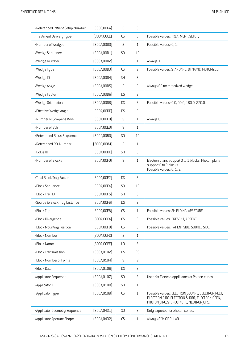| >Referenced Patient Setup Number | [300C,006A]  | IS                     | 3              |                                                                                                                                               |
|----------------------------------|--------------|------------------------|----------------|-----------------------------------------------------------------------------------------------------------------------------------------------|
| >Treatment Delivery Type         | [300A,00CE]  | CS                     | 3              | Possible values: TREATMENT, SETUP.                                                                                                            |
| >Number of Wedges                | (300A,00D0)  | IS                     | $\mathbf{1}$   | Possible values: 0, 1.                                                                                                                        |
| >Wedge Sequence                  | (300A, 00D1) | SQ                     | 1C             |                                                                                                                                               |
| >Wedge Number                    | (300A,00D2)  | IS                     | $\mathbf{1}$   | Always 1.                                                                                                                                     |
| >Wedge Type                      | [300A,00D3]  | CS                     | $\overline{c}$ | Possible values: STANDARD, DYNAMIC, MOTORIZED.                                                                                                |
| >Wedge ID                        | [300A,00D4]  | <b>SH</b>              | 3              |                                                                                                                                               |
| >Wedge Angle                     | (300A,00D5)  | IS                     | 2              | Always 60 for motorized wedge.                                                                                                                |
| >Wedge Factor                    | [300A,00D6]  | <b>DS</b>              | $\overline{c}$ |                                                                                                                                               |
| >Wedge Orientation               | [300A,00D8]  | <b>DS</b>              | $\overline{c}$ | Possible values: 0.0, 90.0, 180.0, 270.0.                                                                                                     |
| >Effective Wedge Angle           | (300A,00DE)  | <b>DS</b>              | 3              |                                                                                                                                               |
| >Number of Compensators          | (300A, 00E0) | IS                     | $\mathbf{1}$   | Always 0.                                                                                                                                     |
| >Number of Boli                  | [300A,00ED]  | IS                     | $\mathbf{1}$   |                                                                                                                                               |
| >Referenced Bolus Sequence       | (300C,00B0)  | SQ                     | 1C             |                                                                                                                                               |
| >Referenced R0I Number           | [3006,0084]  | IS                     | $\mathbf{1}$   |                                                                                                                                               |
| >Bolus ID                        | [300A,00DC]  | <b>SH</b>              | 3              |                                                                                                                                               |
| >Number of Blocks                | [300A, 00F0] | IS                     | $\mathbf{1}$   | Electron plans support 0 to 1 blocks. Photon plans<br>support 0 to 2 blocks.<br>Possible values: 0, 1, 2.                                     |
| >Total Block Tray Factor         | [300A, 00F2] | <b>DS</b>              | 3              |                                                                                                                                               |
| >Block Sequence                  | [300A, 00F4] | SQ                     | 1C             |                                                                                                                                               |
| >Block Tray ID                   | [300A, 00F5] | <b>SH</b>              | 3              |                                                                                                                                               |
| >Source to Block Tray Distance   | [300A, 00F6] | <b>DS</b>              | $\overline{c}$ |                                                                                                                                               |
| >Block Type                      | [300A, 00F8] | $\mathbb{C}\mathsf{S}$ | $\mathbf{1}$   | Possible values: SHIELDING, APERTURE.                                                                                                         |
| >Block Divergence                | [300A,00FA]  | CS                     | $\overline{c}$ | Possible values: PRESENT, ABSENT.                                                                                                             |
| >Block Mounting Position         | [300A,00FB]  | $\mathbb{C}\mathsf{S}$ | 3              | Possible values: PATIENT SIDE, SOURCE SIDE.                                                                                                   |
| >Block Number                    | [300A,00FC]  | IS                     | $\mathbf{1}$   |                                                                                                                                               |
| >Block Name                      | [300A,00FE]  | $\mathsf{L}\mathsf{0}$ | 3              |                                                                                                                                               |
| >Block Transmission              | [300A, 0102] | <b>DS</b>              | 2C             |                                                                                                                                               |
| >Block Number of Points          | [300A, 0104] | IS                     | $\overline{c}$ |                                                                                                                                               |
| >Block Data                      | [300A, 0106] | <b>DS</b>              | 2              |                                                                                                                                               |
| >Applicator Sequence             | [300A, 0107] | SQ                     | $\mathsf 3$    | Used for Electron applicators or Photon cones.                                                                                                |
| >Applicator ID                   | [300A, 0108] | SH                     | $\mathbf{1}$   |                                                                                                                                               |
| >Applicator Type                 | [300A, 0109] | ${\sf CS}$             | $\mathbf{1}$   | Possible values: ELECTRON SQUARE, ELECTRON RECT,<br>ELECTRON CIRC, ELECTRON SHORT, ELECTRON OPEN,<br>PHOTON CIRC, STEREOTACTIC, NEUTRON CIRC. |
| >Applicator Geometry Sequence    | [300A, 0431] | SQ                     | $\mathfrak{Z}$ | Only exported for photon cones.                                                                                                               |
| >Applicator Aperture Shape       | [300A, 0432] | ${\sf CS}$             | $\mathbf{1}$   | Always SYM CIRCULAR.                                                                                                                          |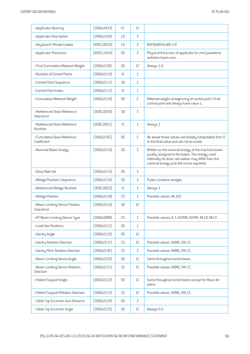| >Applicator Opening                         | [300A, 0433] | FL.                    | 1 <sup>C</sup> |                                                                                                                                                                                                       |
|---------------------------------------------|--------------|------------------------|----------------|-------------------------------------------------------------------------------------------------------------------------------------------------------------------------------------------------------|
| >Applicator Description                     | [300A, 010A] | L <sub>0</sub>         | 3              |                                                                                                                                                                                                       |
| >RaySearch Private Creator                  | (4001, 0010) | L <sub>0</sub>         | 3              | RAYSEARCHLABS 2.0                                                                                                                                                                                     |
| >Applicator Thickness                       | [4001, 1054] | <b>DS</b>              | 3              | Physical thickness of applicator (in mm) parallel to<br>radiation beam axis.                                                                                                                          |
| >Final Cumulative Meterset Weight           | [300A, 010E] | <b>DS</b>              | 1C             | Always 1.0.                                                                                                                                                                                           |
| >Number of Control Points                   | [300A, 0110] | IS                     | $\mathbf{1}$   |                                                                                                                                                                                                       |
| >Control Point Sequence                     | (300A, 0111) | SQ                     | $\mathbf{1}$   |                                                                                                                                                                                                       |
| >Control Point Index                        | [300A, 0112] | IS                     | $\mathbf{1}$   |                                                                                                                                                                                                       |
| >Cumulative Meterset Weight                 | [300A, 0134] | <b>DS</b>              | $\overline{c}$ | Meterset weight at beginning of control point. Final<br>control point will always have value 1.                                                                                                       |
| >Referenced Dose Reference<br>Sequence      | [300C, 0050] | SQ                     | 3              |                                                                                                                                                                                                       |
| >Referenced Dose Reference<br>Number        | [300C, 0051] | IS                     | $\mathbf{1}$   | Always 1.                                                                                                                                                                                             |
| >Cumulative Dose Reference<br>Coefficient   | [300A, 010C] | <b>DS</b>              | $\overline{c}$ | Be aware these values are linearly interpolated from 0<br>to the final value and are not accurate.                                                                                                    |
| >Nominal Beam Energy                        | [300A, 0114] | <b>DS</b>              | 3              | Written as the nominal energy of the machine beam<br>quality assigned to the beam. The energy used<br>internally for dose calculation may differ from the<br>nominal energy and will not be exported. |
| >Dose Rate Set                              | [300A, 0115] | <b>DS</b>              | 3              |                                                                                                                                                                                                       |
| >Wedge Positions Sequence                   | [300A, 0116] | SQ                     | 3              | If plan contains wedges.                                                                                                                                                                              |
| >Referenced Wedge Number                    | [300C, 00C0] | IS                     | $\mathbf{1}$   | Always 1.                                                                                                                                                                                             |
| >Wedge Position                             | [300A, 0118] | CS                     | $\mathbf{1}$   | Possible values: IN, OUT.                                                                                                                                                                             |
| >Beam Limiting Device Position<br>Sequence  | [300A, 011A] | SQ                     | 1C             |                                                                                                                                                                                                       |
| >RT Beam Limiting Device Type               | (300A, 00B8) | CS                     | $\mathbf{1}$   | Possible values: X, Y, ASYMX, ASYMY, MLCX, MLCY.                                                                                                                                                      |
| >Leaf/Jaw Positions                         | [300A, 011C] | <b>DS</b>              | $\mathbf{1}$   |                                                                                                                                                                                                       |
| >Gantry Angle                               | [300A, 011E] | <b>DS</b>              | $1\mathsf{C}$  |                                                                                                                                                                                                       |
| >Gantry Rotation Direction                  | [300A, 011F] | $\mathbb{C}\mathsf{S}$ | 1C             | Possible values: NONE, CW, CC.                                                                                                                                                                        |
| >Gantry Pitch Rotation Direction            | [300A, 014C] | $\mathbb{C}\mathsf{S}$ | 3              | Possible values: NONE, CW, CC.                                                                                                                                                                        |
| >Beam Limiting Device Angle                 | [300A, 0120] | <b>DS</b>              | 1C             | Same throughout entire beam.                                                                                                                                                                          |
| >Beam Limiting Device Rotation<br>Direction | [300A, 0121] | $\mathbb{C}\mathsf{S}$ | $1\mathsf{C}$  | Possible values: NONE, CW, CC.                                                                                                                                                                        |
| >Patient Support Angle                      | [300A, 0122] | <b>DS</b>              | $1\mathsf{C}$  | Same throughout entire beam except for Wave Arc<br>plans.                                                                                                                                             |
| >Patient Support Rotation Direction         | [300A, 0123] | $\mathbb{C}\mathsf{S}$ | 1C             | Possible values: NONE, CW, CC.                                                                                                                                                                        |
| >Table Top Eccentric Axis Distance          | [300A, 0124] | <b>DS</b>              | $\mathsf 3$    |                                                                                                                                                                                                       |
| >Table Top Eccentric Angle                  | [300A, 0125] | DS                     | $1\mathsf{C}$  | Always 0.0.                                                                                                                                                                                           |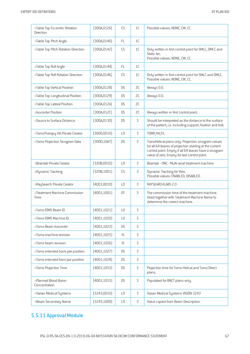| >Table Top Eccentric Rotation<br>Direction | [300A, 0126] | CS             | 1C | Possible values: NONE, CW, CC.                                                                                                                                                                                         |
|--------------------------------------------|--------------|----------------|----|------------------------------------------------------------------------------------------------------------------------------------------------------------------------------------------------------------------------|
| >Table Top Pitch Angle                     | (300A, 0140) | FL.            | 1C |                                                                                                                                                                                                                        |
| >Table Top Pitch Rotation Direction        | [300A, 0142] | CS             | 1C | Only written in first control point for SMLC, DMLC and<br>Static Arc.<br>Possible values: NONE, CW, CC.                                                                                                                |
| >Table Top Roll Angle                      | (300A, 0144) | <b>FL</b>      | 1C |                                                                                                                                                                                                                        |
| >Table Top Roll Rotation Direction         | (300A, 0146) | CS             | 1C | Only written in first control point for SMLC and DMLC.<br>Possible values: NONE, CW, CC.                                                                                                                               |
| >Table Top Vertical Position               | [300A, 0128] | <b>DS</b>      | SC | Always 0.0.                                                                                                                                                                                                            |
| >Table Top Longitudinal Position           | (300A, 0129) | <b>DS</b>      | SC | Always 0.0.                                                                                                                                                                                                            |
| >Table Top Lateral Position                | [300A, 012A] | <b>DS</b>      | SC |                                                                                                                                                                                                                        |
| >Isocenter Position                        | [300A, 012C] | <b>DS</b>      | SC | Always written in first control point.                                                                                                                                                                                 |
| >Source to Surface Distance                | (300A, 0130) | <b>DS</b>      | 3  | Should be interpreted as the distance to the surface<br>of the patient, i.e. including support, fixation and boli.                                                                                                     |
| >TomoTherapy HA Private Creator            | (300D, 0010) | L <sub>0</sub> | 3  | <b>TOMO HA 01</b>                                                                                                                                                                                                      |
| >Tomo Projection Sinogram Data             | (300D, 10A7) | <b>DS</b>      | 3  | TomoHelical plans only. Projection sinogram values<br>for all 64 leaves of projection starting at the current<br>control point. Empty if all 64 leaves have a sinogram<br>value of zero. Empty for last control point. |
| >Brainlab Private Creator                  | (320B,0010)  | L <sub>0</sub> | 3  | Brainlab - ONC - Multi-axial treatment machine                                                                                                                                                                         |
| >Dynamic Tracking                          | (320B, 1001) | CS             | 3  | Dynamic Tracking for Vero.<br>Possible values: ENABLED, DISABLED.                                                                                                                                                      |
| >RaySearch Private Creator                 | (4001,0010)  | L <sub>0</sub> | 3  | RAYSEARCHLABS 2.0                                                                                                                                                                                                      |
| >Treatment Machine Commission<br>Time      | (4001, 1001) | DT             | 3  | The commission time of the treatment machine.<br>Used together with Treatment Machine Name to<br>determine the correct machine.                                                                                        |
| >Tomo IDMS Beam ID                         | (4001, 1021) | L0             | 3  |                                                                                                                                                                                                                        |
| >Tomo IDMS Machine ID                      | [4001, 1020] | L <sub>0</sub> | 3  |                                                                                                                                                                                                                        |
| >Tomo Beam Isocenter                       | [4001, 1023] | <b>DS</b>      | 3  |                                                                                                                                                                                                                        |
| >Tomo machine revision                     | [4001, 1025] | IS             | 3  |                                                                                                                                                                                                                        |
| >Tomo beam revision                        | [4001, 1026] | IS             | 3  |                                                                                                                                                                                                                        |
| >Tomo intended back jaw position           | [4001, 1027] | <b>DS</b>      | 3  |                                                                                                                                                                                                                        |
| >Tomo intended front jaw position          | [4001, 1028] | <b>DS</b>      | 3  |                                                                                                                                                                                                                        |
| >Tomo Projection Time                      | [4001, 1053] | <b>DS</b>      | 3  | Projection time for Tomo Helical and Tomo Direct<br>plans.                                                                                                                                                             |
| >Planned Blood Boron<br>Concentration      | (4001, 1015) | <b>DS</b>      | 3  | Populated for BNCT plans only.                                                                                                                                                                                         |
| >Varian Medical Systems                    | [3243,0010]  | L <sub>0</sub> | 3  | Varian Medical Systems VISION 3243                                                                                                                                                                                     |
| >Beam Secondary Name                       | [3243, 1009] | L <sub>0</sub> | 3  | Value copied from Beam Description.                                                                                                                                                                                    |

# 5.5.11 Approval Module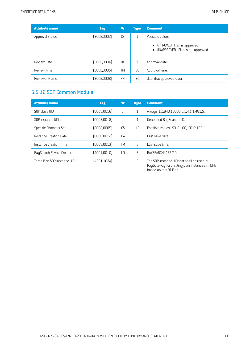| <b>Attribute name</b> | <b>Tag</b>   | <b>Vr</b> | <b>Type</b>   | <b>Comment</b>                                                         |
|-----------------------|--------------|-----------|---------------|------------------------------------------------------------------------|
| Approval Status       | [300E,0002]  | CS        | 1             | Possible values:                                                       |
|                       |              |           |               | • APPROVED - Plan is approved.<br>• UNAPPROVED - Plan is not approved. |
| Review Date           | (300E, 0004) | DA        | <sub>2C</sub> | Approval date.                                                         |
| <b>Review Time</b>    | (300E, 0005) | <b>TM</b> | SC            | Approval time.                                                         |
| Reviewer Name         | [300E,0008]  | PN        | <sub>2C</sub> | User that approved data.                                               |

# 5.5.12 SOP Common Module

| <b>Attribute name</b>      | <b>Tag</b>   | <b>Vr</b>       | <b>Type</b>    | <b>Comment</b>                                                                                                         |
|----------------------------|--------------|-----------------|----------------|------------------------------------------------------------------------------------------------------------------------|
| SOP Class UID              | [0008,0016]  | $\mathsf{III}$  | $\mathbf{1}$   | Always 1.2.840.10008.5.1.4.1.1.481.5.                                                                                  |
| SOP Instance UID           | [0008,0018]  | UI              | $\mathbf{1}$   | Generated RaySearch UID.                                                                                               |
| Specific Character Set     | [0008,0005]  | CS              | 1 <sup>C</sup> | Possible values: ISO IR 100, ISO IR 192.                                                                               |
| Instance Creation Date     | [0008,0012]  | <b>DA</b>       | 3              | Last save date.                                                                                                        |
| Instance Creation Time     | [0008,0013]  | <b>TM</b>       | 3              | Last save time.                                                                                                        |
| RaySearch Private Creator  | (4001,0010)  | $\overline{10}$ | 3              | RAYSEARCHLABS 2.0                                                                                                      |
| Tomo Plan SOP Instance UID | [4001, 102A] | U               | 3              | The SOP Instance UID that shall be used by<br>RayGateway for creating plan instances in IDMS<br>based on this RT Plan. |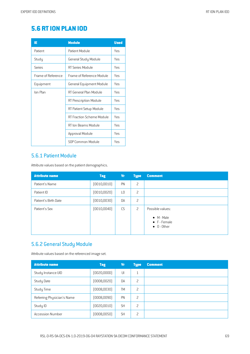# **5.6 RTION PLAN IOD**

| IE                 | <b>Module</b>                    | <b>Used</b> |
|--------------------|----------------------------------|-------------|
| Patient            | Patient Module                   | Yes         |
| Study              | General Study Module             | Yes         |
| Series             | RT Series Module                 | Yes         |
| Frame of Reference | Frame of Reference Module        | Yes         |
| Equipment          | General Equipment Module         | Yes         |
| Ion Plan           | RT General Plan Module           | Yes         |
|                    | RT Prescription Module           | Yes         |
|                    | RT Patient Setup Module          | Yes         |
|                    | <b>RT Fraction Scheme Module</b> | Yes         |
|                    | RT Ion Beams Module              | Yes         |
|                    | Approval Module                  | Yes         |
|                    | SOP Common Module                | Yes         |

#### 5.6.1 Patient Module

Attribute values based on the patient demographics.

| <b>Attribute name</b> | <b>Tag</b>   | <b>Vr</b>      | <b>Type</b>    | <b>Comment</b>                                                    |
|-----------------------|--------------|----------------|----------------|-------------------------------------------------------------------|
| Patient's Name        | (0010, 0010) | PN             | 2              |                                                                   |
| Patient ID            | (0010, 0020) | L <sub>0</sub> | 2              |                                                                   |
| Patient's Birth Date  | (0010, 0030) | DA             | 2              |                                                                   |
| Patient's Sex         | (0010, 0040) | CS             | $\overline{c}$ | Possible values:                                                  |
|                       |              |                |                | $\bullet$ M - Male<br>$\bullet$ F - Female<br>$\bullet$ 0 - Other |

## 5.6.2 General Study Module

Attribute values based on the referenced image set.

| <b>Attribute name</b>      | <b>Tag</b>   | Vr        | <b>Type</b>  | <b>Comment</b> |
|----------------------------|--------------|-----------|--------------|----------------|
| Study Instance UID         | [0020,0000]  | UI        | $\mathbf{1}$ |                |
| Study Date                 | (0008, 0020) | DA        | 2            |                |
| Study Time                 | (0008, 0030) | <b>TM</b> | 2            |                |
| Referring Physician's Name | (0008,0090)  | PN        | 2            |                |
| Study ID                   | (0020, 0010) | <b>SH</b> | 2            |                |
| <b>Accession Number</b>    | (0008, 0050) | <b>SH</b> | 2            |                |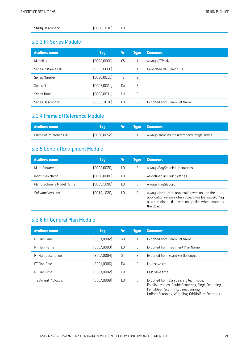|--|

#### 5.6.3 RT Series Module

| <b>Attribute name</b> | <b>Tag</b>   | <b>Vr</b>       | <b>Type</b>  | <b>Comment</b>               |
|-----------------------|--------------|-----------------|--------------|------------------------------|
| Modality              | (0008, 0060) | <b>CS</b>       | $\mathbf{1}$ | Always RTPLAN.               |
| Series Instance UID   | [0020,000E]  | UI              | $\mathbf{1}$ | Generated RaySearch UID.     |
| Series Number         | (0020, 0011) | IS.             | 2            |                              |
| Series Date           | (0008, 0021) | DA              | 3            |                              |
| Series Time           | (0008, 0031) | <b>TM</b>       | 3            |                              |
| Series Description    | (0008, 103E) | $\overline{10}$ | 3            | Exported from Beam Set Name. |

# 5.6.4 Frame of Reference Module

| Attribute name         |              |  | <b>Type Comment</b>                         |
|------------------------|--------------|--|---------------------------------------------|
| Frame of Reference UID | (0020, 0052) |  | Always same as the referenced image series. |

# 5.6.5 General Equipment Module

| <b>Attribute name</b>     | <b>Tag</b>   | <b>Vr</b>       | <b>Type</b> | <b>Comment</b>                                                                                                                                                                 |
|---------------------------|--------------|-----------------|-------------|--------------------------------------------------------------------------------------------------------------------------------------------------------------------------------|
| Manufacturer              | (0008, 0070) | $\overline{10}$ | 2           | Always RaySearch Laboratories.                                                                                                                                                 |
| <b>Institution Name</b>   | (0008,0080)  | ΙO              | 3           | As defined in Clinic Settings.                                                                                                                                                 |
| Manufacturer's Model Name | (0008, 1090) | ΙO              | 3           | Always RayStation.                                                                                                                                                             |
| Software Versions         | (0018, 1020) | ΙO              | 3           | Always the current application version and the<br>application version when object was last saved. May<br>also contain the filter version applied when exporting<br>the object. |

# 5.6.6 RT General Plan Module

| <b>Attribute name</b> | <b>Tag</b>  | Vr              | <b>Type</b>              | <b>Comment</b>                                                                                                                                                                         |
|-----------------------|-------------|-----------------|--------------------------|----------------------------------------------------------------------------------------------------------------------------------------------------------------------------------------|
| RT Plan Label         | [300A,0002] | <b>SH</b>       | 1                        | Exported from Beam Set Name.                                                                                                                                                           |
| RT Plan Name          | (300A,0003) | $\overline{10}$ | 3                        | Exported from Treatment Plan Name.                                                                                                                                                     |
| RT Plan Description   | (300A,0004) | <b>ST</b>       | 3                        | Exported from Beam Set Description.                                                                                                                                                    |
| RT Plan Date          | [300A,0006] | <b>DA</b>       | 2                        | Last save time.                                                                                                                                                                        |
| RT Plan Time          | (300A,0007) | <b>TM</b>       | $\overline{\phantom{0}}$ | Last save time.                                                                                                                                                                        |
| Treatment Protocols   | [300A,0009] | $\overline{10}$ | 3                        | Exported from plan delivery technique.<br>Possible values: DoubleScattering, SingleScattering,<br>PencilBeamScanning, LineScanning,<br>UniformScanning, Wobbling, GridUniformScanning. |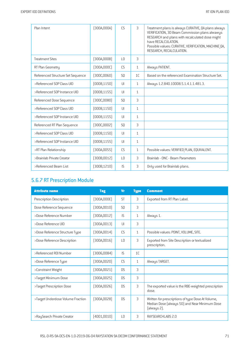| Plan Intent                       | [300A,000A]  | CS              | 3              | Treatment plans is always CURATIVE, QA plans always<br>VERIFICATION, 3D Beam Commission plans alwawys<br>RESEARCH and plans with recalculated dose might<br>have RECALCULATION.<br>Possible values: CURATIVE, VERIFICATION, MACHINE QA,<br>RESEARCH, RECALCULATION. |
|-----------------------------------|--------------|-----------------|----------------|---------------------------------------------------------------------------------------------------------------------------------------------------------------------------------------------------------------------------------------------------------------------|
| <b>Treatment Sites</b>            | [300A,000B]  | $\overline{10}$ | 3              |                                                                                                                                                                                                                                                                     |
| RT Plan Geometry                  | (300A,000C)  | <b>CS</b>       | $\mathbf{1}$   | Always PATIENT.                                                                                                                                                                                                                                                     |
| Referenced Structure Set Sequence | [300C, 0060] | S <sub>0</sub>  | 1 <sup>C</sup> | Based on the referenced Examination Structure Set.                                                                                                                                                                                                                  |
| >Referenced SOP Class UID         | (0008, 1150) | $\mathsf{U}$    | $\mathbf{1}$   | Always 1.2.840.10008.5.1.4.1.1.481.3.                                                                                                                                                                                                                               |
| >Referenced SOP Instance UID      | (0008, 1155) | J               | $\mathbf{1}$   |                                                                                                                                                                                                                                                                     |
| Referenced Dose Sequence          | (300C,0080)  | S <sub>0</sub>  | 3              |                                                                                                                                                                                                                                                                     |
| >Referenced SOP Class UID         | (0008, 1150) | $\mathsf{U}$    | $\mathbf{1}$   |                                                                                                                                                                                                                                                                     |
| >Referenced SOP Instance UID      | [0008, 1155] | $\mathsf{U}$    | $\mathbf{1}$   |                                                                                                                                                                                                                                                                     |
| Referenced RT Plan Sequence       | (300C, 0002) | S <sub>0</sub>  | 3              |                                                                                                                                                                                                                                                                     |
| >Referenced SOP Class UID         | (0008, 1150) | U               | $\mathbf{1}$   |                                                                                                                                                                                                                                                                     |
| >Referenced SOP Instance UID      | [0008, 1155] | $\mathsf{U}$    | $\mathbf{1}$   |                                                                                                                                                                                                                                                                     |
| >RT Plan Relationship             | [300A, 0055] | <b>CS</b>       | $\mathbf{1}$   | Possible values: VERIFIED PLAN, EQUIVALENT.                                                                                                                                                                                                                         |
| >Brainlab Private Creator         | (300B, 0012) | $\overline{10}$ | 3              | Brainlab - ONC - Beam Parameters                                                                                                                                                                                                                                    |
| >Referenced Beam List             | [300B, 1210] | IS.             | 3              | Only used for Brainlab plans.                                                                                                                                                                                                                                       |

# 5.6.7 RT Prescription Module

| <b>Attribute name</b>             | <b>Tag</b>   | <b>V<sub>r</sub></b> | <b>Type</b>    | <b>Comment</b>                                                                                                    |
|-----------------------------------|--------------|----------------------|----------------|-------------------------------------------------------------------------------------------------------------------|
| Prescription Description          | (300A,000E)  | <b>ST</b>            | 3              | Exported from RT Plan Label.                                                                                      |
| Dose Reference Sequence           | [300A, 0010] | S <sub>0</sub>       | 3              |                                                                                                                   |
| >Dose Reference Number            | [300A, 0012] | IS.                  | $\mathbf{1}$   | Always 1.                                                                                                         |
| >Dose Reference UID               | [300A, 0013] | $\mathsf{U}$         | 3              |                                                                                                                   |
| >Dose Reference Structure Type    | [300A, 0014] | <b>CS</b>            | $\mathbf{1}$   | Possible values: POINT, VOLUME, SITE.                                                                             |
| >Dose Reference Description       | [300A, 0016] | L <sub>0</sub>       | 3              | Exported from Site Description or textualized<br>prescription.                                                    |
| >Referenced ROI Number            | (3006,0084)  | IS.                  | 1 <sup>C</sup> |                                                                                                                   |
| >Dose Reference Type              | (300A, 0020) | CS                   | 1              | Always TARGET.                                                                                                    |
| >Constraint Weight                | [300A, 0021] | D.S.                 | 3              |                                                                                                                   |
| >Target Minimum Dose              | [300A, 0025] | <b>DS</b>            | 3              |                                                                                                                   |
| >Target Prescription Dose         | [300A, 0026] | D.S                  | 3              | The exported value is the RBE-weighted prescription<br>dose.                                                      |
| >Target Underdose Volume Fraction | [300A, 0028] | D.S                  | 3              | Written for prescriptions of type Dose At Volume,<br>Median Dose (always 50) and Near Minimum Dose<br>(always 2). |
| >RaySearch Private Creator        | (4001, 0010) | LO                   | 3              | RAYSEARCHLABS 2.0                                                                                                 |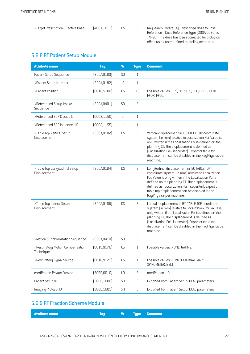| >Target Prescription Effective Dose | DS | (4001, 1011) |  | RaySearch Private Tag. Prescribed dose to Dose<br>Reference if Dose Reference Type (300A,0020) is<br>TARGET. The dose has been corrected for biological<br>effect using user-defined modeling technique. |
|-------------------------------------|----|--------------|--|----------------------------------------------------------------------------------------------------------------------------------------------------------------------------------------------------------|
|-------------------------------------|----|--------------|--|----------------------------------------------------------------------------------------------------------------------------------------------------------------------------------------------------------|

## 5.6.8 RT Patient Setup Module

| <b>Attribute name</b>                         | <b>Tag</b>   | <b>Vr</b>              | <b>Type</b>  | <b>Comment</b>                                                                                                                                                                                                                                                                                                                                   |
|-----------------------------------------------|--------------|------------------------|--------------|--------------------------------------------------------------------------------------------------------------------------------------------------------------------------------------------------------------------------------------------------------------------------------------------------------------------------------------------------|
| Patient Setup Sequence                        | (300A, 0180) | SQ                     | $\mathbf{1}$ |                                                                                                                                                                                                                                                                                                                                                  |
| >Patient Setup Number                         | [300A, 0182] | IS                     | $\mathbf{1}$ |                                                                                                                                                                                                                                                                                                                                                  |
| >Patient Position                             | (0018, 5100) | CS                     | 1C           | Possible values: HFS, HFP, FFS, FFP, HFDR, HFDL,<br>FFDR, FFDL.                                                                                                                                                                                                                                                                                  |
| >Referenced Setup Image<br>Sequence           | (300A, 0401) | SQ                     | 3            |                                                                                                                                                                                                                                                                                                                                                  |
| >Referenced SOP Class UID                     | (0008, 1150) | $\mathsf{U}\mathsf{I}$ | $\mathbf{1}$ |                                                                                                                                                                                                                                                                                                                                                  |
| >Referenced SOP Instance UID                  | [0008, 1155] | $\mathsf{U}\mathsf{I}$ | $\mathbf{1}$ |                                                                                                                                                                                                                                                                                                                                                  |
| >Table Top Vertical Setup<br>Displacement     | (300A, 01D2) | <b>DS</b>              | 3            | Vertical displacement in IEC TABLE TOP coordinate<br>system (in mm) relative to Localization Poi. Value is<br>only written if the Localization Poi is defined on the<br>planning CT. The displacement is defined as<br>(Localization Poi - isocenter). Export of table top<br>displacement can be disabled in the RayPhysics per<br>machine.     |
| >Table Top Longitudinal Setup<br>Displacement | [300A, 01D4] | <b>DS</b>              | 3            | Longitudinal displacement in IEC TABLE TOP<br>coordinate system (in mm) relative to Localization<br>Poi. Value is only written if the Localization Poi is<br>defined on the planning CT. The displacement is<br>defined as (Localization Poi - isocenter). Export of<br>table top displacement can be disabled in the<br>RayPhysics per machine. |
| >Table Top Lateral Setup<br>Displacement      | (300A, 01D6) | <b>DS</b>              | 3            | Lateral displacement in IEC TABLE TOP coordinate<br>system (in mm) relative to Localization Poi. Value is<br>only written if the Localization Poi is defined on the<br>planning CT. The displacement is defined as<br>(Localization Poi - isocenter). Export of table top<br>displacement can be disabled in the RayPhysics per<br>machine.      |
| >Motion Synchronization Sequence              | (300A, 0410) | SQ                     | 3            |                                                                                                                                                                                                                                                                                                                                                  |
| >Respiratory Motion Compensation<br>lechnique | (0018, 9170) | CS                     | $\mathbf{1}$ | Possible values: NONE, GATING.                                                                                                                                                                                                                                                                                                                   |
| >Respiratory Signal Source                    | [0018, 9171] | CS                     | $\mathbf{1}$ | Possible values: NONE, EXTERNAL MARKER,<br>SPIROMETER, BELT.                                                                                                                                                                                                                                                                                     |
| medPhoton Private Creator                     | [30BB,0010]  | L <sub>0</sub>         | 3            | medPhoton 1.0                                                                                                                                                                                                                                                                                                                                    |
| Patient Setup ID                              | (30BB, 1000) | <b>SH</b>              | 3            | Exported from Patient Setup IDCAS parameters.                                                                                                                                                                                                                                                                                                    |
| Imaging Protocol ID                           | (30BB, 1001) | SH                     | 3            | Exported from Patient Setup IDCAS parameters.                                                                                                                                                                                                                                                                                                    |

## 5.6.9 RT Fraction Scheme Module

| <b>Attribute name</b><br><b>Example 2</b> Vr Type Comment |
|-----------------------------------------------------------|
|-----------------------------------------------------------|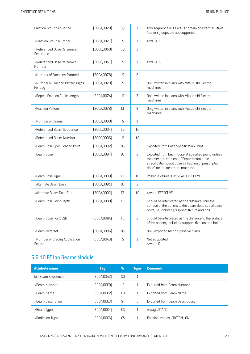| Fraction Group Sequence                       | (300A, 0070) | SQ        | $\mathbf{1}$   | This sequence will always contain one item. Multiple<br>fraction groups are not supported.                                                                                                 |
|-----------------------------------------------|--------------|-----------|----------------|--------------------------------------------------------------------------------------------------------------------------------------------------------------------------------------------|
| >Fraction Group Number                        | [300A, 0071] | IS        | $\mathbf{1}$   | Always 1.                                                                                                                                                                                  |
| >Referenced Dose Reference<br>Sequence        | [300C, 0050] | SQ        | 3              |                                                                                                                                                                                            |
| >Referenced Dose Reference<br>Number          | [300C, 0051] | IS        | $\mathbf{1}$   | Always 1.                                                                                                                                                                                  |
| >Number of Fractions Planned                  | (300A, 0078) | IS        | $\overline{c}$ |                                                                                                                                                                                            |
| >Number of Fraction Pattern Digits<br>Per Day | (300A, 0079) | IS        | 3              | Only written in plans with Mitsubishi Electric<br>machines.                                                                                                                                |
| >Repeat Fraction Cycle Length                 | [300A, 007A] | IS        | 3              | Only written in plans with Mitsubishi Electric<br>machines.                                                                                                                                |
| >Fraction Pattern                             | [300A, 007B] | LT        | 3              | Only written in plans with Mitsubishi Electric<br>machines.                                                                                                                                |
| >Number of Beams                              | (300A,0080)  | IS        | $\mathbf{1}$   |                                                                                                                                                                                            |
| >Referenced Beam Sequence                     | [300C,0004]  | SQ        | 1C             |                                                                                                                                                                                            |
| >Referenced Beam Number                       | [300C,0006]  | IS        | 1C             |                                                                                                                                                                                            |
| >Beam Dose Specification Point                | [300A,0082]  | <b>DS</b> | 3              | Exported from Dose Specification Point.                                                                                                                                                    |
| >Beam Dose                                    | [300A,0084]  | <b>DS</b> | 3              | Exported from Beam Dose at specified point, unless<br>the user has chosen to "Export beam dose<br>specification point dose as fraction of prescription<br>dose" for the treatment machine. |
| >Beam Dose Type                               | (300A,0090)  | <b>CS</b> | 1C             | Possible values: PHYSICAL, EFFECTIVE.                                                                                                                                                      |
| >Alternate Beam Dose                          | (300A,0091)  | <b>DS</b> | 3              |                                                                                                                                                                                            |
| >Alternate Beam Dose Type                     | (300A,0092)  | <b>CS</b> | 1 <sup>C</sup> | Always EFFECTIVE.                                                                                                                                                                          |
| >Beam Dose Point Depth                        | (300A,0088)  | FL.       | 3              | Should be interpreted as the distance from the<br>surface of the patient to the beam dose specification<br>point, i.e. including support, fixture and boli.                                |
| >Beam Dose Point SSD                          | [300A,008A]  | <b>FL</b> | 3              | Should be interpreted as the distance to the surface<br>of the patient, including support, fixation and boli.                                                                              |
| >Beam Meterset                                | [300A,0086]  | <b>DS</b> | 3              | Only exported for non-passive plans.                                                                                                                                                       |
| >Number of Brachy Application<br>Setups       | (300A,00A0)  | IS        | $\mathbf{1}$   | Not supported.<br>Always 0.                                                                                                                                                                |

#### 5.6.10 RT Ion Beams Module

| <b>Attribute name</b> | <b>Tag</b>   | Vr             | <b>Type</b>  | <b>Comment</b>                  |
|-----------------------|--------------|----------------|--------------|---------------------------------|
| Ion Beam Sequence     | [300A,03A2]  | S <sub>0</sub> | $\mathbf{1}$ |                                 |
| >Beam Number          | (300A,00CO)  | <b>IS</b>      | 1            | Exported from Beam Number.      |
| >Beam Name            | [300A, 00C2] | LО             | 1            | Exported from Beam Name.        |
| >Beam Description     | (300A,00C3)  | <b>ST</b>      | 3            | Exported from Beam Description. |
| >Beam Type            | [300A, 00C4] | CS             |              | Always STATIC.                  |
| >Radiation Type       | [300A, 00C6] | CS             | ┸            | Possible values: PROTON, ION.   |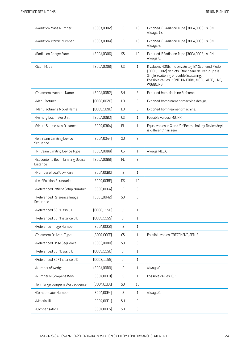| >Radiation Mass Number                                | [300A, 0302] | IS                     | 1C             | Exported if Radiation Type (300A,00C6) is ION.<br>Always 12.                                                                                                                                                          |
|-------------------------------------------------------|--------------|------------------------|----------------|-----------------------------------------------------------------------------------------------------------------------------------------------------------------------------------------------------------------------|
| >Radiation Atomic Number                              | [300A, 0304] | IS                     | 1C             | Exported if Radiation Type (300A,00C6) is ION.<br>Always 6.                                                                                                                                                           |
| >Radiation Charge State                               | [300A, 0306] | SS                     | 1C             | Exported if Radiation Type (300A,00C6) is ION.<br>Always 6.                                                                                                                                                           |
| >Scan Mode                                            | (300A, 0308) | CS                     | $\mathbf{1}$   | If value is NONE, the private tag IBA Scattered Mode<br>(300D, 1002) depicts if the beam delivery type is<br>Single Scattering or Double Scattering.<br>Possible values: NONE, UNIFORM, MODULATED, LINE,<br>WOBBLING. |
| >Treatment Machine Name                               | (300A, 00B2) | <b>SH</b>              | $\overline{c}$ | Exported from Machine Reference.                                                                                                                                                                                      |
| >Manufacturer                                         | (0008, 0070) | L <sub>0</sub>         | 3              | Exported from treament machine design.                                                                                                                                                                                |
| >Manufacturer's Model Name                            | (0008, 1090) | L <sub>0</sub>         | 3              | Exported from treament machine.                                                                                                                                                                                       |
| >Primary Dosimeter Unit                               | [300A, 00B3] | CS                     | $\mathbf{1}$   | Possible values: MU, NP.                                                                                                                                                                                              |
| >Virtual Source-Axis Distances                        | [300A, 030A] | FL                     | $\mathbf{1}$   | Equal values in X and Y if Beam Limiting Device Angle<br>is different than zero                                                                                                                                       |
| >Ion Beam Limiting Device<br>Sequence                 | [300A, 03A4] | SQ                     | 3              |                                                                                                                                                                                                                       |
| >RT Beam Limiting Device Type                         | [300A,00B8]  | CS                     | $\mathbf{1}$   | Always MLCX.                                                                                                                                                                                                          |
| >Isocenter to Beam Limiting Device<br><b>Distance</b> | [300A,00BB]  | FL.                    | $\overline{c}$ |                                                                                                                                                                                                                       |
| >Number of Leaf/Jaw Pairs                             | (300A,00BC)  | IS                     | $1\,$          |                                                                                                                                                                                                                       |
| >Leaf Position Boundaries                             | [300A,00BE]  | <b>DS</b>              | 1C             |                                                                                                                                                                                                                       |
| >Referenced Patient Setup Number                      | [300C,006A]  | 1S                     | 3              |                                                                                                                                                                                                                       |
| >Referenced Reference Image<br>Sequence               | [300C, 0042] | S <sub>0</sub>         | 3              |                                                                                                                                                                                                                       |
| >Referenced SOP Class UID                             | (0008, 1150) | $\cup$                 | $\mathbf{1}$   |                                                                                                                                                                                                                       |
| >Referenced SOP Instance UID                          | (0008, 1155) | U                      | $\mathbf{1}$   |                                                                                                                                                                                                                       |
| >Reference Image Number                               | [300A, 00C8] | IS                     | $\mathbf{1}$   |                                                                                                                                                                                                                       |
| >Treatment Delivery Type                              | [300A,00CE]  | CS                     | $\mathbf{1}$   | Possible values: TREATMENT, SETUP.                                                                                                                                                                                    |
| >Referenced Dose Sequence                             | [300C, 0080] | SQ                     | $\mathfrak{Z}$ |                                                                                                                                                                                                                       |
| >Referenced SOP Class UID                             | (0008, 1150) | $\mathsf{U}\mathsf{I}$ | $\mathbf{1}$   |                                                                                                                                                                                                                       |
| >Referenced SOP Instance UID                          | [0008, 1155] | $\mathsf{U}\mathsf{I}$ | $\mathbf{1}$   |                                                                                                                                                                                                                       |
| >Number of Wedges                                     | [300A,00D0]  | IS                     | $\mathbf{1}$   | Always 0.                                                                                                                                                                                                             |
| >Number of Compensators                               | [300A, 00E0] | IS                     | $\mathbf{1}$   | Possible values: 0, 1.                                                                                                                                                                                                |
| >Ion Range Compensator Sequence                       | [300A, 02EA] | SQ                     | 1C             |                                                                                                                                                                                                                       |
| >Compensator Number                                   | [300A, 00E4] | IS                     | $\mathbf{1}$   | Always 0.                                                                                                                                                                                                             |
| >Material ID                                          | (300A, 00E1) | SH                     | $\overline{c}$ |                                                                                                                                                                                                                       |
| >Compensator ID                                       | (300A, 00E5) | SH                     | $\mathsf 3$    |                                                                                                                                                                                                                       |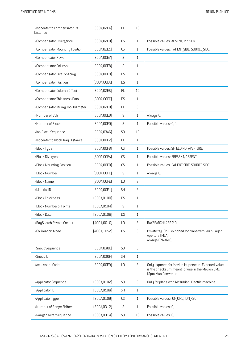| >Isocenter to Compensator Tray<br>Distance | [300A, 02E4] | <b>FL</b>      | 1C             |                                                                                                                                |
|--------------------------------------------|--------------|----------------|----------------|--------------------------------------------------------------------------------------------------------------------------------|
| >Compensator Divergence                    | (300A, 02E0) | CS             | $\mathbf{1}$   | Possible values: ABSENT, PRESENT.                                                                                              |
| >Compensator Mounting Position             | [300A, 02E1] | CS             | $\mathbf{1}$   | Possible values: PATIENT SIDE, SOURCE SIDE.                                                                                    |
| >Compensator Rows                          | [300A, 00E7] | IS             | $\mathbf{1}$   |                                                                                                                                |
| >Compensator Columns                       | (300A, 00E8) | IS             | $\mathbf{1}$   |                                                                                                                                |
| >Compensator Pixel Spacing                 | (300A, 00E9) | <b>DS</b>      | $\mathbf{1}$   |                                                                                                                                |
| >Compensator Position                      | [300A,00EA]  | <b>DS</b>      | $\mathbf{1}$   |                                                                                                                                |
| >Compensator Column Offset                 | [300A, 02E5] | FL.            | 1 <sup>C</sup> |                                                                                                                                |
| >Compensator Thickness Data                | [300A,00EC]  | <b>DS</b>      | $\mathbf{1}$   |                                                                                                                                |
| >Compensator Milling Tool Diameter         | [300A, 02E8] | <b>FL</b>      | 3              |                                                                                                                                |
| >Number of Boli                            | (300A,00ED)  | IS             | $\mathbf{1}$   | Always 0.                                                                                                                      |
| >Number of Blocks                          | [300A, 00F0] | IS             | $\mathbf{1}$   | Possible values: 0, 1.                                                                                                         |
| >Ion Block Sequence                        | [300A, 03A6] | SQ             | 1C             |                                                                                                                                |
| >Isocenter to Block Tray Distance          | [300A, 00F7] | FL.            | $\mathbf{1}$   |                                                                                                                                |
| >Block Type                                | (300A, 00F8) | CS             | 1              | Possible values: SHIELDING, APERTURE.                                                                                          |
| >Block Divergence                          | [300A,00FA]  | CS             | $\mathbf{1}$   | Possible values: PRESENT, ABSENT.                                                                                              |
| >Block Mounting Position                   | (300A,00FB)  | CS             | $\mathbf{1}$   | Possible values: PATIENT SIDE, SOURCE SIDE.                                                                                    |
| >Block Number                              | [300A,00FC]  | IS             | $\mathbf{1}$   | Always 0.                                                                                                                      |
| >Block Name                                | [300A,00FE]  | LO             | 3              |                                                                                                                                |
| >Material ID                               | [300A, 00E1] | <b>SH</b>      | $\overline{c}$ |                                                                                                                                |
| >Block Thickness                           | (300A, 0100) | <b>DS</b>      | $\mathbf{1}$   |                                                                                                                                |
| >Block Number of Points                    | [300A, 0104] | IS             | $\mathbf{1}$   |                                                                                                                                |
| >Block Data                                | [300A, 0106] | <b>DS</b>      | $\mathbf{1}$   |                                                                                                                                |
| >RaySearch Private Creator                 | (4001, 0010) | L <sub>0</sub> | 3              | RAYSEARCHLABS 2.0                                                                                                              |
| >Collimation Mode                          | [4001, 1057] | CS             | 3              | Private tag. Only exported for plans with Multi-Layer<br>Aperture (MLA).<br>Always DYNAMIC.                                    |
| >Snout Sequence                            | [300A, 030C] | SQ             | 3              |                                                                                                                                |
| >Snout ID                                  | [300A, 030F] | <b>SH</b>      | $\mathbf{1}$   |                                                                                                                                |
| >Accessory Code                            | [300A, 00F9] | L <sub>0</sub> | 3              | Only exported for Mevion Hyperscan. Exported value<br>is the checksum meant for use in the Mevion SMC<br>(Spot Map Converter). |
| >Applicator Sequence                       | [300A, 0107] | <b>SQ</b>      | 3              | Only for plans with Mitsubishi Electric machine.                                                                               |
| >Applicator ID                             | [300A, 0108] | <b>SH</b>      | $\mathbf{1}$   |                                                                                                                                |
| >Applicator Type                           | (300A, 0109) | CS             | $\mathbf{1}$   | Possible values: ION CIRC, ION RECT.                                                                                           |
| >Number of Range Shifters                  | [300A, 0312] | IS             | $\mathbf{1}$   | Possible values: 0, 1.                                                                                                         |
| >Range Shifter Sequence                    | [300A, 0314] | SQ             | 1C             | Possible values: 0, 1.                                                                                                         |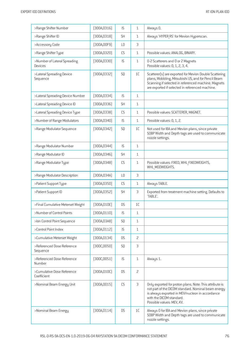| >Range Shifter Number                     | [300A, 0316] | IS             | $\mathbf{1}$   | Always 0.                                                                                                                                                                                                                  |
|-------------------------------------------|--------------|----------------|----------------|----------------------------------------------------------------------------------------------------------------------------------------------------------------------------------------------------------------------------|
| >Range Shifter ID                         | [300A, 0318] | <b>SH</b>      | $\mathbf{1}$   | Always 'HYPER RS' for Mevion Hyperscan.                                                                                                                                                                                    |
| >Accessory Code                           | (300A, 00F9) | L <sub>0</sub> | 3              |                                                                                                                                                                                                                            |
| >Range Shifter Type                       | (300A, 0320) | CS             | $\mathbf{1}$   | Possible values: ANALOG, BINARY.                                                                                                                                                                                           |
| >Number of Lateral Spreading<br>Devices   | [300A, 0330] | IS             | $\mathbf{1}$   | 0-2 Scatterers and 0 or 2 Magnets<br>Possible values: 0, 1, 2, 3, 4.                                                                                                                                                       |
| >Lateral Spreading Device<br>Sequence     | [300A, 0332] | SQ             | 1C             | Scatterer[s] are exported for Mevion Double Scattering<br>plans, Wobbling, Mitsubishi US, and for Pencil Beam<br>Scanning if selected in referenced machine. Magnets<br>are exported if selected in referenced machine.    |
| >Lateral Spreading Device Number          | [300A, 0334] | IS             | $\mathbf{1}$   |                                                                                                                                                                                                                            |
| >Lateral Spreading Device ID              | [300A, 0336] | SH             | $\mathbf{1}$   |                                                                                                                                                                                                                            |
| >Lateral Spreading Device Type            | [300A, 0338] | CS             | $\mathbf{1}$   | Possible values: SCATTERER, MAGNET.                                                                                                                                                                                        |
| >Number of Range Modulators               | [300A, 0340] | IS             | $\mathbf{1}$   | Possible values: 0, 1, 2.                                                                                                                                                                                                  |
| >Range Modulator Sequence                 | (300A, 0342) | SQ             | 1C             | Not used for IBA and Mevion plans, since private<br>SOBP Width and Depth tags are used to communicate<br>nozzle settings.                                                                                                  |
| >Range Modulator Number                   | [300A, 0344] | IS             | $\mathbf{1}$   |                                                                                                                                                                                                                            |
| >Range Modulator ID                       | [300A, 0346] | SH             | $\mathbf{1}$   |                                                                                                                                                                                                                            |
| >Range Modulator Type                     | (300A, 0348) | CS             | $\mathbf{1}$   | Possible values: FIXED, WHL FIXEDWEIGHTS,<br>WHL_MODWEIGHTS.                                                                                                                                                               |
| >Range Modulator Description              | [300A, 034A] | L <sub>0</sub> | 3              |                                                                                                                                                                                                                            |
| >Patient Support Type                     | (300A, 0350) | CS             | $\mathbf{1}$   | Always TABLE.                                                                                                                                                                                                              |
| >Patient Support ID                       | (300A, 0352) | <b>SH</b>      | 3              | Exported from treatment machine setting. Defaults to<br>'TABLE'.                                                                                                                                                           |
| >Final Cumulative Meterset Weight         | [300A, 010E] | <b>DS</b>      | 1C             |                                                                                                                                                                                                                            |
| >Number of Control Points                 | (300A, 0110) | IS             | 1              |                                                                                                                                                                                                                            |
| >Ion Control Point Sequence               | [300A, 03A8] | SQ             | $\mathbf{1}$   |                                                                                                                                                                                                                            |
| >Control Point Index                      | (300A, 0112) | IS             | $\mathbf{1}$   |                                                                                                                                                                                                                            |
| >Cumulative Meterset Weight               | [300A, 0134] | <b>DS</b>      | $\overline{c}$ |                                                                                                                                                                                                                            |
| >Referenced Dose Reference<br>Sequence    | (300C, 0050) | SQ             | 3              |                                                                                                                                                                                                                            |
| >Referenced Dose Reference<br>Number      | [300C, 0051] | IS             | $\mathbf{1}$   | Always 1.                                                                                                                                                                                                                  |
| >Cumulative Dose Reference<br>Coefficient | [300A, 010C] | <b>DS</b>      | $\overline{c}$ |                                                                                                                                                                                                                            |
| >Nominal Beam Energy Unit                 | [300A, 0015] | CS             | 3              | Only exported for proton plans. Note: This attribute is<br>not part of the DICOM standard. Nominal beam energy<br>is always exported in MEV/nucleon in accordance<br>with the DICOM standard.<br>Possible values: MEV, KV. |
| >Nominal Beam Energy                      | [300A, 0114] | <b>DS</b>      | $1\mathsf{C}$  | Always 0 for IBA and Mevion plans, since private<br>SOBP Width and Depth tags are used to communicate<br>nozzle settings.                                                                                                  |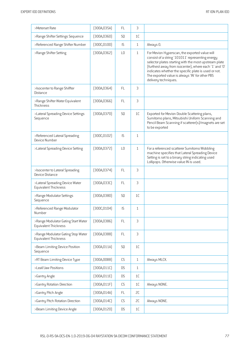| >Meterset Rate                                              | [300A, 035A] | FL.            | 3              |                                                                                                                                                                                                                                                                                                                                                         |
|-------------------------------------------------------------|--------------|----------------|----------------|---------------------------------------------------------------------------------------------------------------------------------------------------------------------------------------------------------------------------------------------------------------------------------------------------------------------------------------------------------|
| >Range Shifter Settings Sequence                            | [300A, 0360] | SQ             | 1C             |                                                                                                                                                                                                                                                                                                                                                         |
| >Referenced Range Shifter Number                            | [300C, 0100] | IS             | $\mathbf{1}$   | Always 0.                                                                                                                                                                                                                                                                                                                                               |
| >Range Shifter Setting                                      | [300A, 0362] | L <sub>0</sub> | $\mathbf{1}$   | For Mevion Hyperscan, the exported value will<br>consist of a string '101011' representing energy<br>selector plates starting with the most upstream plate<br>(furthest away from isocenter), where each '1' and '0'<br>indicates whether the specific plate is used or not.<br>The exported value is always 'IN' for other PBS<br>delivery techniques. |
| >Isocenter to Range Shiffter<br><b>Distance</b>             | [300A, 0364] | <b>FL</b>      | 3              |                                                                                                                                                                                                                                                                                                                                                         |
| >Range Shifter Water Equivalent<br>Thickness                | [300A, 0366] | FL             | 3              |                                                                                                                                                                                                                                                                                                                                                         |
| >Lateral Spreading Device Settings<br>Sequence              | [300A, 0370] | SQ             | 1C             | Exported for Mevion Double Scattering plans,<br>Sumitomo plans, Mitsubishi Uniform Scanning and<br>Pencil Beam Scanning if scatterer(s)/magnets are set<br>to be exported                                                                                                                                                                               |
| >Referenced Lateral Spreading<br>Device Number              | [300C, 0102] | IS             | $\mathbf{1}$   |                                                                                                                                                                                                                                                                                                                                                         |
| >Lateral Spreading Device Setting                           | [300A, 0372] | L <sub>0</sub> | $\mathbf{1}$   | For a referenced scatterer Sumitomo Wobbling<br>machine specifies that Lateral Spreading Device<br>Setting is set to a binary string indicating used<br>Lollipops. Otherwise value IN is used.                                                                                                                                                          |
| >Isocenter to Lateral Spreading<br>Device Distance          | [300A, 0374] | <b>FL</b>      | 3              |                                                                                                                                                                                                                                                                                                                                                         |
| >Lateral Spreading Device Water<br>Equivalent Thickness     | [300A, 033C] | <b>FL</b>      | 3              |                                                                                                                                                                                                                                                                                                                                                         |
| >Range Modulator Settings<br>Sequence                       | [300A, 0380] | SQ             | 1 <sup>C</sup> |                                                                                                                                                                                                                                                                                                                                                         |
| >Referenced Range Modulator<br>Number                       | [300C, 0104] | IS             | $\mathbf{1}$   |                                                                                                                                                                                                                                                                                                                                                         |
| >Range Modulator Gating Start Water<br>Equivalent Thickness | [300A, 0386] | <b>FL</b>      | 3              |                                                                                                                                                                                                                                                                                                                                                         |
| >Range Modulator Gating Stop Water<br>Equivalent Thickness  | [300A, 0388] | FL             | 3              |                                                                                                                                                                                                                                                                                                                                                         |
| >Beam Limiting Device Position<br>Sequence                  | [300A, 011A] | SQ             | 1C             |                                                                                                                                                                                                                                                                                                                                                         |
| >RT Beam Limiting Device Type                               | (300A, 00B8) | CS             | $\mathbf{1}$   | Always MLCX.                                                                                                                                                                                                                                                                                                                                            |
| >Leaf/Jaw Positions                                         | [300A, 011C] | <b>DS</b>      | $\mathbf{1}$   |                                                                                                                                                                                                                                                                                                                                                         |
| >Gantry Angle                                               | [300A, 011E] | <b>DS</b>      | 1 <sup>C</sup> |                                                                                                                                                                                                                                                                                                                                                         |
| >Gantry Rotation Direction                                  | [300A, 011F] | CS             | 1C             | Always NONE.                                                                                                                                                                                                                                                                                                                                            |
| >Gantry Pitch Angle                                         | [300A, 014A] | FL             | SC             |                                                                                                                                                                                                                                                                                                                                                         |
| >Gantry Pitch Rotation Direction                            | (300A, 014C) | CS             | SC             | Always NONE.                                                                                                                                                                                                                                                                                                                                            |
| >Beam Limiting Device Angle                                 | (300A, 0120) | <b>DS</b>      | 1C             |                                                                                                                                                                                                                                                                                                                                                         |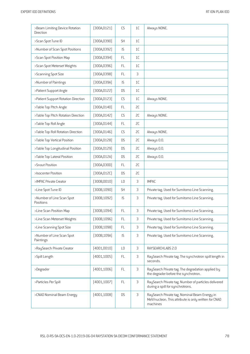| >Beam Limiting Device Rotation<br>Direction | [300A, 0121] | CS                   | 1C             | Always NONE.                                                                                                      |
|---------------------------------------------|--------------|----------------------|----------------|-------------------------------------------------------------------------------------------------------------------|
| >Scan Spot Tune ID                          | (300A, 0390) | <b>SH</b>            | 1 <sup>C</sup> |                                                                                                                   |
| >Number of Scan Spot Positions              | (300A, 0392) | IS                   | 1C             |                                                                                                                   |
| >Scan Spot Position Map                     | [300A, 0394] | <b>FL</b>            | 1C             |                                                                                                                   |
| >Scan Spot Meterset Weights                 | (300A, 0396) | <b>FL</b>            | 1C             |                                                                                                                   |
| >Scanning Spot Size                         | (300A, 0398) | FL                   | 3              |                                                                                                                   |
| >Number of Paintings                        | [300A, 039A] | IS                   | 1C             |                                                                                                                   |
| >Patient Support Angle                      | [300A, 0122] | <b>DS</b>            | 1C             |                                                                                                                   |
| >Patient Support Rotation Direction         | [300A, 0123] | CS                   | 1C             | Always NONE.                                                                                                      |
| >Table Top Pitch Angle                      | (300A, 0140) | FL.                  | 2C             |                                                                                                                   |
| >Table Top Pitch Rotation Direction         | [300A, 0142] | CS                   | SC             | Always NONE.                                                                                                      |
| >Table Top Roll Angle                       | [300A, 0144] | <b>FL</b>            | 2C             |                                                                                                                   |
| >Table Top Roll Rotation Direction          | (300A, 0146) | CS                   | SC             | Always NONE.                                                                                                      |
| >Table Top Vertical Position                | [300A, 0128] | <b>DS</b>            | SC             | Always 0.0.                                                                                                       |
| >Table Top Longitudinal Position            | [300A, 0129] | <b>DS</b>            | 2C             | Always 0.0.                                                                                                       |
| >Table Top Lateral Position                 | [300A, 012A] | <b>DS</b>            | 2C             | Always 0.0.                                                                                                       |
| >Snout Position                             | (300A, 030D) | FL                   | 2C             |                                                                                                                   |
| >Isocenter Position                         | [300A, 012C] | <b>DS</b>            | 2C             |                                                                                                                   |
| >IMPAC Private Creator                      | (300B,0010)  | L <sub>0</sub>       | 3              | <b>IMPAC</b>                                                                                                      |
| >Line Spot Tune ID                          | (300B, 1090) | <b>SH</b>            | 3              | Private tag. Used for Sumitomo Line Scanning.                                                                     |
| >Number of Line Scan Spot<br>Positions      | [300B, 1092] | IS                   | 3              | Private tag. Used for Sumitomo Line Scanning.                                                                     |
| >Line Scan Position Map                     | (300B, 1094) | FL                   | 3              | Private tag. Used for Sumitomo Line Scanning.                                                                     |
| >Line Scan Meterset Weights                 | [300B, 1096] | <b>FL</b>            | 3              | Private tag. Used for Sumitomo Line Scanning.                                                                     |
| >Line Scanning Spot Size                    | [300B, 1098] | FL                   | 3              | Private tag. Used for Sumitomo Line Scanning.                                                                     |
| >Number of Line Scan Spot<br>Paintings      | [300B, 109A] | $\mathsf{IS}\xspace$ | 3              | Private tag. Used for Sumitomo Line Scanning.                                                                     |
| >RaySearch Private Creator                  | (4001,0010)  | L <sub>0</sub>       | 3              | RAYSEARCHLABS 2.0                                                                                                 |
| >Spill Length                               | (4001, 1005) | FL                   | 3              | RaySearch Private tag. The synchrotron spill length in<br>seconds.                                                |
| >Degrader                                   | [4001, 1006] | FL                   | 3              | RaySearch Private tag. The degradation applied by<br>the degrader before the synchrotron.                         |
| >Particles Per Spill                        | [4001, 1007] | FL                   | 3              | RaySearch Private tag. Number of particles delivered<br>during a spill for synchrotrons.                          |
| >CNAO Nominal Beam Energy                   | (4001, 1008) | <b>DS</b>            | 3              | RaySearch Private tag. Nominal Beam Energy in<br>MeV/nucleon. This attribute is only written for CNAO<br>machines |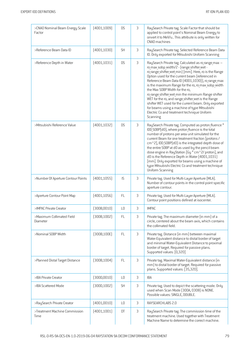| >CNAO Nominal Beam Energy Scale<br>Factor | (4001, 1009) | <b>DS</b>      | 3              | RaySearch Private tag. Scale Factor that should be<br>applied to control point's Nominal Beam Energy to<br>onvert it to MeV/u This attribute is only written for<br>CNAO machines                                                                                                                                                                                                                                                                                                                                                                                                                                                         |
|-------------------------------------------|--------------|----------------|----------------|-------------------------------------------------------------------------------------------------------------------------------------------------------------------------------------------------------------------------------------------------------------------------------------------------------------------------------------------------------------------------------------------------------------------------------------------------------------------------------------------------------------------------------------------------------------------------------------------------------------------------------------------|
| >Reference Beam Data ID                   | (4001, 1030) | <b>SH</b>      | 3              | RaySearch Private tag. Selected Reference Beam Data<br>ID. Only exported for Mitsubishi Uniform Scanning                                                                                                                                                                                                                                                                                                                                                                                                                                                                                                                                  |
| >Reference Depth in Water                 | [4001, 1031] | <b>DS</b>      | $\mathfrak{Z}$ | RaySearch Private tag. Calculated as ro range max -<br>ro max sobp width/2 - (range shifter wet -<br>ro range shifter wet min) [mm]. Here, ro is the Range<br>Option used for the current beam (referenced in<br>Reference Beam Data ID (4001,1030)), ro range max<br>is the maximum Range for the ro, ro max sobp width<br>the Max SOBP Width for the ro,<br>ro range shifter wet min the minimum Range shifter<br>WET for the ro, and range shifter wet is the Range<br>shifter WET used for the current beam. Only exported<br>for beams using a machine of type Mitsubishi<br>Electric Co and treatment technique Uniform<br>Scanning |
| >Mitsubishi Reference Value               | [4001, 1032] | <b>DS</b>      | 3              | RaySearch Private tag. Computed as proton fluence *<br>IDD SOBP[d0], where proton fluence is the total<br>number of protons per area unit simulated for the<br>current Beam for one treatment fraction [protons /<br>cm^2], IDD SOBP(dO) is the integrated depth dose of<br>the entire SOBP at dO as used by the pencil beam<br>dose engine in RayStation [Gy * cm^2/ proton], and<br>d0 is the Reference Depth in Water [4001,1031]<br>[mm]. Only exported for beams using a machine of<br>type Mitsubishi Electric Co and treatment technique<br>Uniform Scanning                                                                       |
| >Number Of Aperture Contour Points        | (4001, 1055) | IS             | 3              | Private tag. Used for Multi-Layer Aperture (MLA).<br>Number of contour points in the control point specific<br>aperture contour.                                                                                                                                                                                                                                                                                                                                                                                                                                                                                                          |
| >Aperture Contour Point Map               | (4001, 1056) | FL             | $\mathfrak{Z}$ | Private tag. Used for Multi-Layer Aperture (MLA).<br>Contour point positions defined at isocenter.                                                                                                                                                                                                                                                                                                                                                                                                                                                                                                                                        |
| >IMPAC Private Creator                    | (300B, 0010) | L <sub>0</sub> | 3              | <b>IMPAC</b>                                                                                                                                                                                                                                                                                                                                                                                                                                                                                                                                                                                                                              |
| >Maximum Collimated Field<br>Diameter     | (300B, 1002) | <b>FL</b>      | 3              | Private tag. The maximum diameter (in mm) of a<br>circle, centered about the beam axis, which contains<br>the collimated field.                                                                                                                                                                                                                                                                                                                                                                                                                                                                                                           |
| >Nominal SOBP Width                       | [300B, 100E] | <b>FL</b>      | 3              | Private tag. Distance (in mm) between maximal<br>Water-Equivalent distance to distal border of target<br>and minimal Water-Equivalent Distance to proximal<br>border of target. Required for passive plans.<br>Supported values: [0,320]                                                                                                                                                                                                                                                                                                                                                                                                  |
| >Planned Distal Target Distance           | [300B, 1004] | <b>FL</b>      | 3              | Private tag. Maximal Water-Equivalent distance (in<br>mm) to distal border of target. Required for passive<br>plans. Supported values: [35,320].                                                                                                                                                                                                                                                                                                                                                                                                                                                                                          |
| >IBA Private Creator                      | (300D, 0010) | L <sub>0</sub> | 3              | <b>IBA</b>                                                                                                                                                                                                                                                                                                                                                                                                                                                                                                                                                                                                                                |
| >IBA Scattered Mode                       | (300D, 1002) | <b>SH</b>      | 3              | Private tag. Used to depict the scattering mode. Only<br>used when Scan Mode (300A, 0308) is NONE.<br>Possible values: SINGLE, DOUBLE.                                                                                                                                                                                                                                                                                                                                                                                                                                                                                                    |
| >RaySearch Private Creator                | (4001, 0010) | L <sub>0</sub> | 3              | RAYSEARCHLABS 2.0                                                                                                                                                                                                                                                                                                                                                                                                                                                                                                                                                                                                                         |
| >Treatment Machine Commission<br>Time     | (4001, 1001) | DT             | 3              | RaySearch Private tag. The commission time of the<br>treatment machine. Used together with Treatment<br>Machine Name to determine the correct machine.                                                                                                                                                                                                                                                                                                                                                                                                                                                                                    |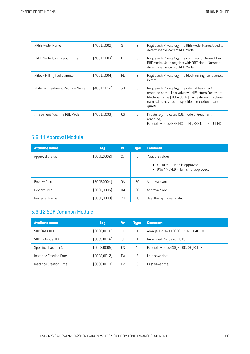| >RBE Model Name                  | (4001, 1002) | <b>ST</b> | 3 | RaySearch Private tag. The RBE Model Name. Used to<br>determine the correct RBE Model.                                                                                                                                |
|----------------------------------|--------------|-----------|---|-----------------------------------------------------------------------------------------------------------------------------------------------------------------------------------------------------------------------|
| >RBE Model Commission Time       | [4001, 1003] | DT        | 3 | RaySearch Private tag. The commission time of the<br>RBE Model. Used together with RBE Model Name to<br>determine the correct RBE Model.                                                                              |
| >Block Milling Tool Diameter     | (4001, 1004) | FL.       | 3 | RaySearch Private tag. The block milling tool diameter<br>in mm.                                                                                                                                                      |
| >Internal Treatment Machine Name | [4001, 1012] | <b>SH</b> | 3 | RaySearch Private tag. The internal treatment<br>machine name. This value will differ from Treatment<br>Machine Name [300A,00B2] if a treatment machine<br>name alias have been specified on the ion beam<br>quality. |
| >Treatment Machine RBE Mode      | (4001, 1033) | CS.       | 3 | Private tag. Indicates RBE mode of treatment<br>machine.<br>Possible values: RBE INCLUDED, RBE NOT INCLUDED.                                                                                                          |

# 5.6.11 Approval Module

| <b>Attribute name</b> | Tag          | <b>Vr</b> | <b>Type</b> | <b>Comment</b>                                                         |
|-----------------------|--------------|-----------|-------------|------------------------------------------------------------------------|
| Approval Status       | [300E, 0002] | CS        |             | Possible values:                                                       |
|                       |              |           |             | • APPROVED - Plan is approved.<br>• UNAPPROVED - Plan is not approved. |
| <b>Review Date</b>    | [300E, 0004] | DA        | SC          | Approval date.                                                         |
| <b>Review Time</b>    | [300E, 0005] | <b>TM</b> | 2C          | Approval time.                                                         |
| Reviewer Name         | [300E,0008]  | PN        | SC.         | User that approved data.                                               |

## 5.6.12 SOP Common Module

| <b>Attribute name</b>  | <b>Tag</b>   | Vr        | <b>Tupe</b> | <b>Comment</b>                           |
|------------------------|--------------|-----------|-------------|------------------------------------------|
| SOP Class UID          | (0008, 0016) | UI        |             | Always 1.2.840.10008.5.1.4.1.1.481.8.    |
| SOP Instance UID       | (0008, 0018) | UI        |             | Generated RaySearch UID.                 |
| Specific Character Set | (0008,0005)  | CS.       | 1C          | Possible values: ISO IR 100, ISO IR 192. |
| Instance Creation Date | (0008, 0012) | <b>DA</b> | 3           | Last save date.                          |
| Instance Creation Time | (0008, 0013) | <b>TM</b> |             | Last save time.                          |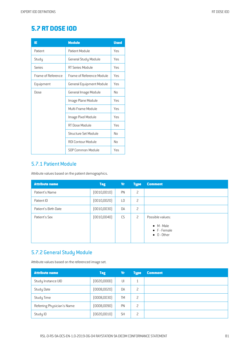## **5.7 RT DOSE IOD**

| IE                 | <b>Module</b>             | <b>Used</b> |
|--------------------|---------------------------|-------------|
| Patient            | Patient Module            | Yes         |
| Study              | General Study Module      | Yes         |
| Series             | RT Series Module          | Yes         |
| Frame of Reference | Frame of Reference Module | Yes         |
| Equipment          | General Equipment Module  | Yes         |
| Dose               | General Image Module      | No          |
|                    | Image Plane Module        | Yes         |
|                    | Multi-Frame Module        | Yes         |
|                    | Image Pixel Module        | Yes         |
|                    | RT Dose Module            | Yes         |
|                    | Structure Set Module      | No          |
|                    | ROI Contour Module        | No          |
|                    | SOP Common Module         | Yes         |

#### 5.7.1 Patient Module

Attribute values based on the patient demographics.

| <b>Attribute name</b> | <b>Tag</b>   | Vr             | <b>Type</b> | <b>Comment</b>                                                                        |
|-----------------------|--------------|----------------|-------------|---------------------------------------------------------------------------------------|
| Patient's Name        | (0010, 0010) | PN             | 2           |                                                                                       |
| Patient ID            | (0010, 0020) | L <sub>0</sub> | 2           |                                                                                       |
| Patient's Birth Date  | (0010, 0030) | DA             | 2           |                                                                                       |
| Patient's Sex         | (0010,0040)  | <b>CS</b>      | 2           | Possible values:<br>$\bullet$ M - Male<br>$\bullet$ F - Female<br>$\bullet$ 0 - Other |

## 5.7.2 General Study Module

Attribute values based on the referenced image set.

| <b>Attribute name</b>      | <b>Tag</b>   | <b>Vr</b> | <b>Type</b>              | <b>Comment</b> |
|----------------------------|--------------|-----------|--------------------------|----------------|
| Study Instance UID         | [0020,0000]  | UI        | $\mathbf{1}$             |                |
| <b>Study Date</b>          | (0008, 0020) | DA        | 2                        |                |
| Study Time                 | (0008, 0030) | <b>TM</b> | $\overline{\phantom{0}}$ |                |
| Referring Physician's Name | (0008, 0090) | PN        | 2                        |                |
| Study ID                   | (0020, 0010) | <b>SH</b> | 2                        |                |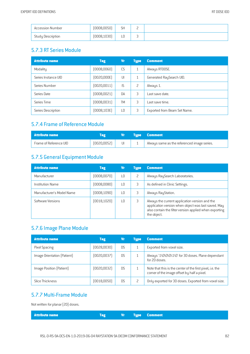| <b>Accession Number</b> | (0008, 0050) | <b>SH</b> | ∽<br>- |  |
|-------------------------|--------------|-----------|--------|--|
| Study Description       | (0008, 1030) | LU        | -<br>ັ |  |

#### 5.7.3 RT Series Module

| <b>Attribute name</b> | <b>Tag</b>   | Vr        | <b>Type</b>  | <b>Comment</b>               |
|-----------------------|--------------|-----------|--------------|------------------------------|
| Modality              | (0008,0060)  | CS        | $\mathbf{1}$ | Always RTDOSE.               |
| Series Instance UID   | [0020,000E]  | UI        | 1            | Generated RaySearch UID.     |
| Series Number         | [0020,0011]  | IS.       | 2            | Always 1.                    |
| Series Date           | [0008,0021]  | DA        | 3            | ast save date.               |
| Series Time           | (0008,0031)  | <b>TM</b> | 3            | ast save time.               |
| Series Description    | [0008, 103E] | LО        | 3            | Exported from Beam Set Name. |

#### 5.7.4 Frame of Reference Module

| Attribute name         |              |  | <b>Type Comment</b>                         |
|------------------------|--------------|--|---------------------------------------------|
| Frame of Reference UID | [0020, 0052] |  | Always same as the referenced image series. |

## 5.7.5 General Equipment Module

| <b>Attribute name</b>     | <b>Tag</b>   | Vr              | <b>Type</b> | <b>Comment</b>                                                                                                                                                                 |
|---------------------------|--------------|-----------------|-------------|--------------------------------------------------------------------------------------------------------------------------------------------------------------------------------|
| Manufacturer              | (0008, 0070) | $\overline{10}$ | 2           | Always RaySearch Laboratories.                                                                                                                                                 |
| Institution Name          | (0008,0080)  | ТŪ              | 3           | As defined in Clinic Settings.                                                                                                                                                 |
| Manufacturer's Model Name | (0008, 1090) | ТŪ              | 3           | Always RayStation.                                                                                                                                                             |
| Software Versions         | [0018, 1020] | L0              | 3           | Always the current application version and the<br>application version when object was last saved. May<br>also contain the filter version applied when exporting<br>the object. |

#### 5.7.6 Image Plane Module

| <b>Attribute name</b>       | <b>Tag</b>   | Vr        | Type | <b>Comment</b>                                                                                           |
|-----------------------------|--------------|-----------|------|----------------------------------------------------------------------------------------------------------|
| Pixel Spacing               | [0028,0030]  | <b>DS</b> |      | Exported from voxel size.                                                                                |
| Image Orientation (Patient) | [0020,0037]  | <b>DS</b> |      | Always '1\0\0\0\1\0' for 3D doses. Plane dependant<br>for 2D doses.                                      |
| Image Position (Patient)    | [0020,0032]  | <b>DS</b> |      | Note that this is the center of the first pixel, i.e. the<br>corner of the image offset by half a pixel. |
| Slice Thickness             | (0018, 0050) | <b>DS</b> | 2    | Only exported for 3D doses. Exported from voxel size.                                                    |

#### 5.7.7 Multi-Frame Module

Not written for planar (2D) doses.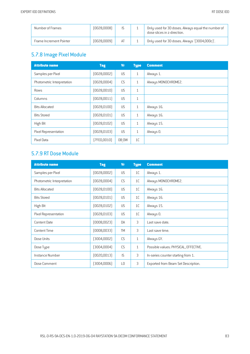| Number of Frames        | [0028,0008] |    | Only used for 3D doses. Always equal the number of<br>dose slices in z-direction. |
|-------------------------|-------------|----|-----------------------------------------------------------------------------------|
| Frame Increment Pointer | (0028,0009) | AT | Only used for 3D doses. Always '(3004,000c)'.                                     |

## 5.7.8 Image Pixel Module

| <b>Attribute name</b>      | <b>Tag</b>   | <b>Vr</b> | <b>Type</b>  | <b>Comment</b>      |
|----------------------------|--------------|-----------|--------------|---------------------|
| Samples per Pixel          | (0028,0002)  | <b>US</b> | $\mathbf{1}$ | Always 1.           |
| Photometric Interpretation | (0028,0004)  | CS        | $\mathbf{1}$ | Always MONOCHROME2. |
| Rows                       | (0028, 0010) | US        | $\mathbf{1}$ |                     |
| Columns                    | (0028, 0011) | US        | $\mathbf{1}$ |                     |
| <b>Bits Allocated</b>      | (0028, 0100) | <b>US</b> | $\mathbf{1}$ | Always 16.          |
| <b>Bits Stored</b>         | (0028, 0101) | <b>US</b> | $\mathbf{1}$ | Always 16.          |
| High Bit                   | (0028, 0102) | US        | $\mathbf{1}$ | Always 15.          |
| Pixel Representation       | [0028, 0103] | <b>US</b> | $\mathbf{1}$ | Always 0.           |
| Pixel Data                 | (7FE0,0010)  | OB OW     | 1C           |                     |

#### 5.7.9 RT Dose Module

| <b>Attribute name</b>      | <b>Tag</b>   | <b>Vr</b>      | <b>Type</b>  | <b>Comment</b>                        |
|----------------------------|--------------|----------------|--------------|---------------------------------------|
| Samples per Pixel          | (0028,0002)  | <b>US</b>      | 1C           | Always 1.                             |
| Photometric Interpretation | (0028,0004)  | CS             | 1C           | Always MONOCHROME2.                   |
| <b>Bits Allocated</b>      | (0028, 0100) | <b>US</b>      | 1C           | Always 16.                            |
| <b>Bits Stored</b>         | (0028, 0101) | <b>US</b>      | 1C           | Always 16.                            |
| High Bit                   | (0028, 0102) | <b>US</b>      | 1C           | Always 15.                            |
| Pixel Representation       | (0028, 0103) | <b>US</b>      | 1C           | Always 0.                             |
| Content Date               | [0008, 0023] | DA             | 3            | Last save date.                       |
| <b>Content Time</b>        | (0008, 0033) | <b>TM</b>      | 3            | Last save time.                       |
| Dose Units                 | (3004,0002)  | CS             | $\mathbf{1}$ | Always GY.                            |
| Dose Type                  | (3004,0004)  | <b>CS</b>      | $\mathbf{1}$ | Possible values: PHYSICAL, EFFECTIVE. |
| Instance Number            | (0020, 0013) | IS             | 3            | In-series counter starting from 1.    |
| Dose Comment               | [3004,0006]  | L <sub>0</sub> | 3            | Exported from Beam Set Description.   |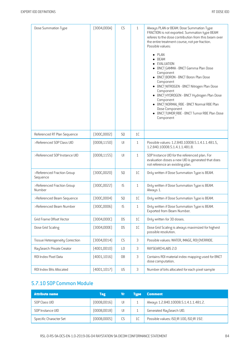| Dose Summation Type                    | [3004,000A]  | CS             | $\mathbf{1}$   | Always PLAN or BEAM. Dose Summation Type<br>FRACTION is not exported. Summation type BEAM<br>referes to the dose contribution from this beam over<br>the entire treatment course, not per fraction.<br>Possible values:<br>PLAN<br><b>BEAM</b><br>EVALUATION<br>• BNCT_GAMMA - BNCT Gamma Plan Dose<br>Component<br>• BNCT_BORON - BNCT Boron Plan Dose<br>Component<br>• BNCT NITROGEN - BNCT Nitrogen Plan Dose<br>Component<br>• BNCT HYDROGEN - BNCT Hydrogen Plan Dose<br>Component<br>• BNCT NORMAL RBE - BNCT Normal RBE Plan<br>Dose Component<br>• BNCT TUMOR RBE - BNCT Tumor RBE Plan Dose<br>Component |
|----------------------------------------|--------------|----------------|----------------|--------------------------------------------------------------------------------------------------------------------------------------------------------------------------------------------------------------------------------------------------------------------------------------------------------------------------------------------------------------------------------------------------------------------------------------------------------------------------------------------------------------------------------------------------------------------------------------------------------------------|
| Referenced RT Plan Sequence            | [300C,0002]  | SQ             | 1C             |                                                                                                                                                                                                                                                                                                                                                                                                                                                                                                                                                                                                                    |
| >Referenced SOP Class UID              | (0008, 1150) | $\cup$         | $\mathbf{1}$   | Possible values: 1.2.840.10008.5.1.4.1.1.481.5,<br>1.2.840.10008.5.1.4.1.1.481.8.                                                                                                                                                                                                                                                                                                                                                                                                                                                                                                                                  |
| >Referenced SOP Instance UID           | [0008, 1155] | $\cup$         | $\mathbf{1}$   | SOP Instance UID for the referenced plan. For<br>evaluation doses a new UID is generated that does<br>not reference an existing plan.                                                                                                                                                                                                                                                                                                                                                                                                                                                                              |
| >Referenced Fraction Group<br>Sequence | [300C, 0020] | SQ             | 1C             | Only written if Dose Summation Type is BEAM.                                                                                                                                                                                                                                                                                                                                                                                                                                                                                                                                                                       |
| >Referenced Fraction Group<br>Number   | [300C, 0022] | IS             | $\mathbf{1}$   | Only written if Dose Summation Type is BEAM.<br>Always 1.                                                                                                                                                                                                                                                                                                                                                                                                                                                                                                                                                          |
| >Referenced Beam Sequence              | [300C,0004]  | SQ             | 1C             | Only written if Dose Summation Type is BEAM.                                                                                                                                                                                                                                                                                                                                                                                                                                                                                                                                                                       |
| >Referenced Beam Number                | [300C,0006]  | IS             | $\mathbf{1}$   | Only written if Dose Summation Type is BEAM.<br>Exported from Beam Number.                                                                                                                                                                                                                                                                                                                                                                                                                                                                                                                                         |
| Grid Frame Offset Vector               | [3004,000C]  | <b>DS</b>      | 1C             | Only written for 3D doses.                                                                                                                                                                                                                                                                                                                                                                                                                                                                                                                                                                                         |
| Dose Grid Scaling                      | [3004,000E]  | <b>DS</b>      | 1C             | Dose Grid Scaling is always maximized for highest<br>possible resolution.                                                                                                                                                                                                                                                                                                                                                                                                                                                                                                                                          |
| Tissue Heterogeneity Correction        | [3004, 0014] | CS             | 3              | Possible values: WATER, IMAGE, ROI OVERRIDE.                                                                                                                                                                                                                                                                                                                                                                                                                                                                                                                                                                       |
| RaySearch Private Creator              | (4001,0010)  | L <sub>0</sub> | 3              | RAYSEARCHLABS 2.0                                                                                                                                                                                                                                                                                                                                                                                                                                                                                                                                                                                                  |
| ROI Index Pixel Data                   | [4001, 1016] | 0B             | 3              | Contains ROI material index mapping used for BNCT<br>dose computation.                                                                                                                                                                                                                                                                                                                                                                                                                                                                                                                                             |
| ROI Index Bits Allocated               | [4001, 1017] | US             | $\mathfrak{Z}$ | Number of bits allocated for each pixel sample                                                                                                                                                                                                                                                                                                                                                                                                                                                                                                                                                                     |

## 5.7.10 SOP Common Module

| <b>Attribute name</b>  | <b>Tag</b>  | Vr | <b>Tupe</b> | <b>Comment</b>                           |
|------------------------|-------------|----|-------------|------------------------------------------|
| SOP Class UID          | (0008,0016) | UI |             | Always 1.2.840.10008.5.1.4.1.1.481.2.    |
| SOP Instance UID       | [0008,0018] | UI |             | Generated RaySearch UID.                 |
| Specific Character Set | (0008,0005) | CS | 1C          | Possible values: ISO IR 100, ISO IR 192. |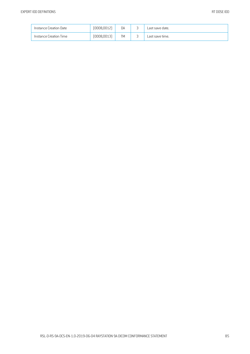| Instance Creation Date | [0008, 0012] | DA | $\overline{\phantom{0}}$<br>÷ | Last save date. |
|------------------------|--------------|----|-------------------------------|-----------------|
| Instance Creation Time | [0008, 0013] | TM | $\overline{\phantom{0}}$<br>ັ | Last save time. |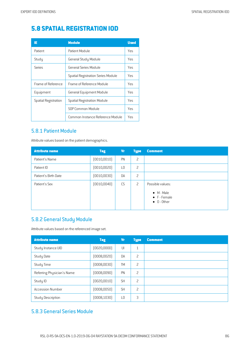# **5.8 SPATIAL REGISTRATION IOD**

| IE                   | <b>Module</b>                             | <b>Used</b> |
|----------------------|-------------------------------------------|-------------|
| Patient              | Patient Module                            | Yes         |
| Study                | General Study Module                      | Yes         |
| Series               | General Series Module                     | Yes         |
|                      | <b>Spatial Registration Series Module</b> | Yes         |
| Frame of Reference   | Frame of Reference Module                 | Yes         |
| Equipment            | <b>General Equipment Module</b>           | Yes         |
| Spatial Registration | <b>Spatial Registration Module</b>        | Yes         |
|                      | SOP Common Module                         | Yes         |
|                      | Common Instance Reference Module          | Yes         |

#### 5.8.1 Patient Module

Attribute values based on the patient demographics.

| <b>Attribute name</b> | <b>Tag</b>   | Vr | <b>Type</b>    | <b>Comment</b>                                                    |
|-----------------------|--------------|----|----------------|-------------------------------------------------------------------|
| Patient's Name        | (0010, 0010) | PN | 2              |                                                                   |
| Patient ID            | (0010, 0020) | L0 | $\overline{c}$ |                                                                   |
| Patient's Birth Date  | [0010,0030]  | DA | $\overline{c}$ |                                                                   |
| Patient's Sex         | (0010, 0040) | CS | $\overline{c}$ | Possible values:                                                  |
|                       |              |    |                | $\bullet$ M - Male<br>$\bullet$ F - Female<br>$\bullet$ 0 - Other |

#### 5.8.2 General Study Module

Attribute values based on the referenced image set.

| <b>Attribute name</b>      | <b>Tag</b>   | Vr             | <b>Type</b>    | <b>Comment</b> |
|----------------------------|--------------|----------------|----------------|----------------|
| Study Instance UID         | (0020,0000)  | UI             | $\mathbf{1}$   |                |
| <b>Study Date</b>          | (0008, 0020) | <b>DA</b>      | $\overline{c}$ |                |
| Study Time                 | (0008, 0030) | <b>TM</b>      | 2              |                |
| Referring Physician's Name | (0008, 0090) | PN             | 2              |                |
| Study ID                   | [0020, 0010] | <b>SH</b>      | 2              |                |
| <b>Accession Number</b>    | (0008, 0050) | <b>SH</b>      | $\overline{c}$ |                |
| Study Description          | (0008, 1030) | L <sub>0</sub> | 3              |                |

#### 5.8.3 General Series Module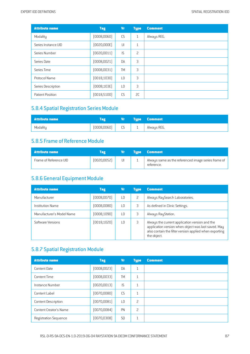| <b>Attribute name</b> | <b>Tag</b>   | <b>Vr</b>      | <b>Type</b>    | <b>Comment</b> |
|-----------------------|--------------|----------------|----------------|----------------|
| Modality              | (0008, 0060) | CS             | 1              | Always REG.    |
| Series Instance UID   | (0020,000E)  | UI             | $\mathbf{1}$   |                |
| Series Number         | (0020, 0011) | IS             | $\overline{c}$ |                |
| Series Date           | (0008, 0021) | DA             | 3              |                |
| Series Time           | (0008, 0031) | <b>TM</b>      | 3              |                |
| Protocol Name         | [0018, 1030] | L <sub>0</sub> | 3              |                |
| Series Description    | (0008, 103E) | L <sub>0</sub> | 3              |                |
| Patient Position      | (0018, 5100) | CS             | 2C             |                |

#### **5.8.4 Spatial Registration Series Module**

| <b>Attribute name</b> |             |         |          | <b>Type Comment</b> |
|-----------------------|-------------|---------|----------|---------------------|
| Modality              | (0008,0060) | ΓÇ<br>ت | <b>.</b> | Always REG.         |

#### 5.8.5 Frame of Reference Module

| Attribute name         | Tag         | Vr. | <b>Type Comment</b>                                               |
|------------------------|-------------|-----|-------------------------------------------------------------------|
| Frame of Reference UID | [0020,0052] | UI  | Always same as the referenced image series frame of<br>reference. |

## 5.8.6 General Equipment Module

| <b>Attribute name</b>     | <b>Tag</b>   | Vr | <b>Type</b>   | <b>Comment</b>                                                                                                                                                                 |
|---------------------------|--------------|----|---------------|--------------------------------------------------------------------------------------------------------------------------------------------------------------------------------|
| Manufacturer              | (0008, 0070) | LΟ | $\mathcal{P}$ | Always RaySearch Laboratories.                                                                                                                                                 |
| <b>Institution Name</b>   | (0008,0080)  | ıη | 3             | As defined in Clinic Settings.                                                                                                                                                 |
| Manufacturer's Model Name | (0008, 1090) | ıη |               | Always RayStation.                                                                                                                                                             |
| Software Versions         | [0018, 1020] | LΟ | 3             | Always the current application version and the<br>application version when object was last saved. May<br>also contain the filter version applied when exporting<br>the object. |

## 5.8.7 Spatial Registration Module

| <b>Attribute name</b>         | <b>Tag</b>   | Vr             | <b>Type</b>  | <b>Comment</b> |
|-------------------------------|--------------|----------------|--------------|----------------|
| Content Date                  | (0008, 0023) | DA             | $\mathbf{1}$ |                |
| Content Time                  | (0008, 0033) | <b>TM</b>      | $\mathbf{1}$ |                |
| Instance Number               | [0020, 0013] | IS             | $\mathbf{1}$ |                |
| Content Label                 | [0070,0080]  | CS             | $\mathbf{1}$ |                |
| <b>Content Description</b>    | (0070,0081)  | L0             | 2            |                |
| <b>Content Creator's Name</b> | [0070,0084]  | PN             | 2            |                |
| <b>Registration Sequence</b>  | [0070, 0308] | S <sub>0</sub> | $\mathbf{1}$ |                |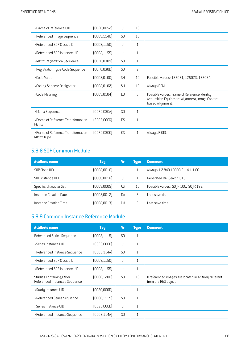| >Frame of Reference UID                           | (0020, 0052) | $\cup$         | 1 <sup>C</sup> |                                                                                                                      |
|---------------------------------------------------|--------------|----------------|----------------|----------------------------------------------------------------------------------------------------------------------|
| >Referenced Image Sequence                        | [0008, 1140] | S <sub>0</sub> | 1C             |                                                                                                                      |
| >Referenced SOP Class UID                         | [0008, 1150] | $\cup$         | $\mathbf{1}$   |                                                                                                                      |
| >Referenced SOP Instance UID                      | [0008, 1155] | $\cup$         | $\mathbf{1}$   |                                                                                                                      |
| >Matrix Registration Sequence                     | (0070, 0309) | S <sub>0</sub> | $\mathbf{1}$   |                                                                                                                      |
| >Registration Type Code Sequence                  | (0070,030D)  | <b>SQ</b>      | $\overline{c}$ |                                                                                                                      |
| >Code Value                                       | [0008, 0100] | <b>SH</b>      | 1C             | Possible values: 125021, 125023, 125024.                                                                             |
| >Coding Scheme Designator                         | [0008, 0102] | <b>SH</b>      | 1C             | Always DCM.                                                                                                          |
| >Code Meaning                                     | (0008, 0104) | L <sub>0</sub> | 3              | Possible values: Frame of Reference Identity,<br>Acquisition Equipment Alignment, Image Content-<br>based Alignment. |
| >Matrix Sequence                                  | [0070, 030A] | S <sub>0</sub> | $\mathbf{1}$   |                                                                                                                      |
| >Frame of Reference Transformation<br>Matrix      | (3006,0006)  | <b>DS</b>      | $\mathbf{1}$   |                                                                                                                      |
| >Frame of Reference Transformation<br>Matrix Type | (0070, 0300) | <b>CS</b>      | $\mathbf{1}$   | Always RIGID.                                                                                                        |

#### 5.8.8 SOP Common Module

| <b>Attribute name</b>  | <b>Tag</b>   | Vr        | <b>Tupe</b> | <b>Comment</b>                           |
|------------------------|--------------|-----------|-------------|------------------------------------------|
| SOP Class UID          | (0008,0016)  | UI        |             | Always 1.2.840.10008.5.1.4.1.1.66.1.     |
| SOP Instance UID       | (0008, 0018) | UI        |             | Generated RaySearch UID.                 |
| Specific Character Set | (0008,0005)  | CS.       | 1C          | Possible values: ISO IR 100, ISO IR 192. |
| Instance Creation Date | (0008, 0012) | <b>DA</b> | 3           | Last save date.                          |
| Instance Creation Time | (0008, 0013) | TМ        |             | Last save time.                          |

## 5.8.9 Common Instance Reference Module

| <b>Attribute name</b>                                     | <b>Tag</b>   | <b>Vr</b>      | <b>Type</b>  | <b>Comment</b>                                                                |
|-----------------------------------------------------------|--------------|----------------|--------------|-------------------------------------------------------------------------------|
| Referenced Series Sequence                                | [0008, 1115] | S <sub>0</sub> | $\mathbf{1}$ |                                                                               |
| >Series Instance UID                                      | (0020,000E)  | $  \cdot  $    | $\mathbf{1}$ |                                                                               |
| >Referenced Instance Sequence                             | (0008, 114A) | S <sub>0</sub> | $\mathbf{1}$ |                                                                               |
| >Referenced SOP Class UID                                 | [0008, 1150] | $  \cdot  $    | $\mathbf{1}$ |                                                                               |
| >Referenced SOP Instance UID                              | [0008, 1155] | $\cup$         | $\mathbf{1}$ |                                                                               |
| Studies Containing Other<br>Referenced Instances Sequence | [0008, 1200] | S <sub>0</sub> | 1C           | If referenced images are located in a Study different<br>from the REG object. |
| >Study Instance UID                                       | [0020,0000]  | $\cup$         | $\mathbf{1}$ |                                                                               |
| >Referenced Series Sequence                               | [0008, 1115] | S <sub>0</sub> | $\mathbf{1}$ |                                                                               |
| >Series Instance UID                                      | [0020,000E]  | $\cup$         | $\mathbf{1}$ |                                                                               |
| >Referenced Instance Sequence                             | (0008,114A)  | S <sub>0</sub> | $\mathbf{1}$ |                                                                               |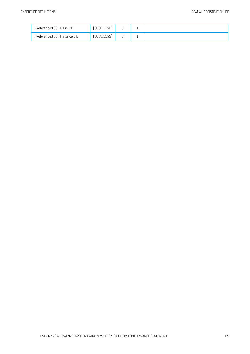| >Referenced SOP Class UID    | (0008,1150)  | JI | <b>.</b> |  |
|------------------------------|--------------|----|----------|--|
| >Referenced SOP Instance UID | (0008, 1155) | J١ | <b>.</b> |  |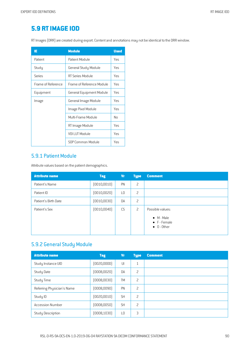## **5.9 RTIMAGE IOD**

RT Images (DRR) are created during export. Content and annotations may not be identical to the DRR window.

| ΙE                 | <b>Module</b>             | <b>Used</b> |
|--------------------|---------------------------|-------------|
| Patient            | Patient Module            | Yes         |
| Study              | General Study Module      | Yes         |
| Series             | RT Series Module          | Yes         |
| Frame of Reference | Frame of Reference Module | Yes         |
| Equipment          | General Equipment Module  | Yes         |
| Image              | General Image Module      | Yes         |
|                    | lmage Pixel Module        | Yes         |
|                    | Multi-Frame Module        | No          |
|                    | RT Image Module           | Yes         |
|                    | VOLLUT Module             | Yes         |
|                    | SOP Common Module         | Yes         |

#### 5.9.1 Patient Module

Attribute values based on the patient demographics.

| <b>Attribute name</b> | <b>Tag</b>   | Vr | <b>Type</b> | <b>Comment</b>                                                                |
|-----------------------|--------------|----|-------------|-------------------------------------------------------------------------------|
| Patient's Name        | (0010, 0010) | PN | 2           |                                                                               |
| Patient ID            | (0010, 0020) | L0 | 2           |                                                                               |
| Patient's Birth Date  | (0010, 0030) | DA | 2           |                                                                               |
| Patient's Sex         | (0010, 0040) | CS | 2           | Possible values:<br>$\bullet$ M - Male<br>• F - Female<br>$\bullet$ 0 - Other |

## 5.9.2 General Study Module

| <b>Attribute name</b>      | <b>Tag</b>   | Vr        | <b>Type</b>              | <b>Comment</b> |
|----------------------------|--------------|-----------|--------------------------|----------------|
| Study Instance UID         | [0020,0000]  | UI        | 1                        |                |
| <b>Study Date</b>          | (0008, 0020) | <b>DA</b> | 2                        |                |
| Study Time                 | (0008, 0030) | <b>TM</b> | 2                        |                |
| Referring Physician's Name | (0008, 0090) | PN        | 2                        |                |
| Study ID                   | (0020, 0010) | <b>SH</b> | 2                        |                |
| <b>Accession Number</b>    | (0008, 0050) | <b>SH</b> | $\overline{\phantom{0}}$ |                |
| Study Description          | (0008, 1030) | L0        | 3                        |                |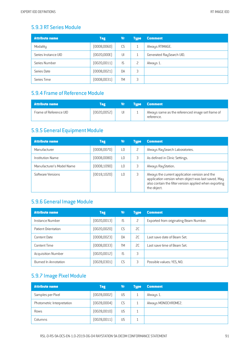#### 5.9.3 RT Series Module

| <b>Attribute name</b> | <b>Tag</b>   | <b>Vr</b> | <b>Type</b>              | <b>Comment</b>           |
|-----------------------|--------------|-----------|--------------------------|--------------------------|
| Modality              | (0008, 0060) | CS        | 1                        | Always RTIMAGE.          |
| Series Instance UID   | (0020,000E)  | UI        |                          | Generated RaySearch UID. |
| Series Number         | [0020, 0011] | IS.       | $\overline{\phantom{0}}$ | Always 1.                |
| Series Date           | (0008, 0021) | <b>DA</b> | 3                        |                          |
| Series Time           | (0008, 0031) | <b>TM</b> | 3                        |                          |

## 5.9.4 Frame of Reference Module

| <b>Attribute name</b>  | Tag          |    | <b>Tupe</b> | <b>Comment</b>                                                 |
|------------------------|--------------|----|-------------|----------------------------------------------------------------|
| Frame of Reference UID | [0020, 0052] | UI |             | Always same as the referenced image set frame of<br>reterence. |

#### 5.9.5 General Equipment Module

| <b>Attribute name</b>     | <b>Tag</b>   | Vr              | <b>Tupe</b>              | <b>Comment</b>                                                                                                                                                                 |
|---------------------------|--------------|-----------------|--------------------------|--------------------------------------------------------------------------------------------------------------------------------------------------------------------------------|
| Manufacturer              | (0008, 0070) | $\overline{10}$ | $\overline{\phantom{0}}$ | Always RaySearch Laboratories.                                                                                                                                                 |
| Institution Name          | (0008,0080)  | $\overline{10}$ | 3                        | As defined in Clinic Settings.                                                                                                                                                 |
| Manufacturer's Model Name | (0008, 1090) | ΙO              | 3                        | Always RayStation.                                                                                                                                                             |
| Software Versions         | (0018, 1020) | ΙO              | 3                        | Always the current application version and the<br>application version when object was last saved. May<br>also contain the filter version applied when exporting<br>the object. |

## 5.9.6 General Image Module

| <b>Attribute name</b>     | <b>Tag</b>   | Vr        | <b>Type</b> | <b>Comment</b>                         |
|---------------------------|--------------|-----------|-------------|----------------------------------------|
| Instance Number           | (0020, 0013) | IS.       | 2           | Exported from originating Beam Number. |
| Patient Orientation       | (0020,0020)  | CS.       | SC.         |                                        |
| Content Date              | (0008,0023)  | <b>DA</b> | 2C          | Last save date of Beam Set.            |
| Content Time              | (0008,0033)  | <b>TM</b> | 2C          | Last save time of Beam Set.            |
| <b>Acquisition Number</b> | (0020, 0012) | IS.       | 3           |                                        |
| Burned In Annotation      | [0028, 0301] | CS        | 3           | Possible values: YES, NO.              |

## 5.9.7 Image Pixel Module

| <b>Attribute name</b>      | <b>Tag</b>   | Vr | <b>Type</b> | <b>Comment</b>      |
|----------------------------|--------------|----|-------------|---------------------|
| Samples per Pixel          | (0028,0002)  | US |             | Always 1.           |
| Photometric Interpretation | (0028,0004)  | CS |             | Always MONOCHROME2. |
| Rows                       | (0028,0010)  | US |             |                     |
| Columns                    | (0028, 0011) | US |             |                     |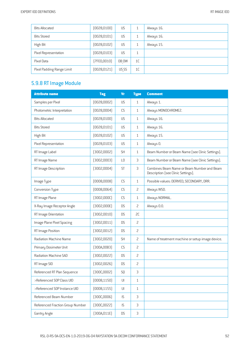| <b>Bits Allocated</b>     | [0028, 0100] | <b>US</b> |                | Always 16. |
|---------------------------|--------------|-----------|----------------|------------|
| <b>Bits Stored</b>        | [0028, 0101] | <b>US</b> |                | Always 16. |
| High Bit                  | [0028, 0102] | <b>US</b> |                | Always 15. |
| Pixel Representation      | [0028, 0103] | US        | 1              |            |
| Pixel Data                | [7FE0,0010]  | OB OW     | 1 <sup>C</sup> |            |
| Pixel Padding Range Limit | [0028, 0121] | US SS     | 1 <sup>C</sup> |            |

## 5.9.8 RTImage Module

| <b>Attribute name</b>            | <b>Tag</b>   | <b>Vr</b>              | <b>Type</b>    | <b>Comment</b>                                                                   |
|----------------------------------|--------------|------------------------|----------------|----------------------------------------------------------------------------------|
| Samples per Pixel                | (0028,0002)  | US                     | 1              | Always 1.                                                                        |
| Photometric Interpretation       | (0028,0004)  | CS                     | $\mathbf{1}$   | Always MONOCHROME2.                                                              |
| <b>Bits Allocated</b>            | (0028, 0100) | US                     | $\mathbf{1}$   | Always 16.                                                                       |
| <b>Bits Stored</b>               | (0028, 0101) | US                     | 1              | Always 16.                                                                       |
| High Bit                         | (0028, 0102) | US                     | $\mathbf{1}$   | Always 15.                                                                       |
| Pixel Representation             | [0028, 0103] | <b>US</b>              | $\mathbf{1}$   | Always 0.                                                                        |
| RT Image Label                   | (3002,0002)  | <b>SH</b>              | $\mathbf{1}$   | Beam Number or Beam Name (see Clinic Settings).                                  |
| RT Image Name                    | (3002,0003)  | L <sub>0</sub>         | 3              | Beam Number or Beam Name (see Clinic Settings).                                  |
| RT Image Description             | [3002,0004]  | <b>ST</b>              | 3              | Combines Beam Name or Beam Number and Beam<br>Description (see Clinic Settings). |
| Image Type                       | (0008,0008)  | CS                     | $\mathbf{1}$   | Possible values: DERIVED, SECONDARY, DRR.                                        |
| Conversion Type                  | (0008, 0064) | CS                     | 2              | Always WSD.                                                                      |
| RT Image Plane                   | [3002,000C]  | CS                     | 1              | Always NORMAL.                                                                   |
| X-Ray Image Receptor Angle       | [3002,000E]  | <b>DS</b>              | $\overline{c}$ | Always 0.0.                                                                      |
| RT Image Orientation             | (3002,0010)  | <b>DS</b>              | SC             |                                                                                  |
| Image Plane Pixel Spacing        | (3002,0011)  | <b>DS</b>              | $\overline{c}$ |                                                                                  |
| RT Image Position                | (3002,0012)  | <b>DS</b>              | $\overline{c}$ |                                                                                  |
| Radiation Machine Name           | (3002,0020)  | <b>SH</b>              | $\overline{c}$ | Name of treatment machine or setup image device.                                 |
| Primary Dosimeter Unit           | [300A,00B3]  | CS                     | $\overline{c}$ |                                                                                  |
| Radiation Machine SAD            | (3002,0022)  | <b>DS</b>              | $\overline{c}$ |                                                                                  |
| RT Image SID                     | (3002,0026)  | <b>DS</b>              | $\overline{c}$ |                                                                                  |
| Referenced RT Plan Sequence      | [300C,0002]  | SQ                     | 3              |                                                                                  |
| >Referenced SOP Class UID        | (0008, 1150) | UI                     | 1              |                                                                                  |
| >Referenced SOP Instance UID     | (0008, 1155) | $\mathsf{U}\mathsf{I}$ | $\mathbf{1}$   |                                                                                  |
| Referenced Beam Number           | [300C,0006]  | IS                     | $\mathfrak{Z}$ |                                                                                  |
| Referenced Fraction Group Number | [300C, 0022] | IS                     | $\mathsf 3$    |                                                                                  |
| Gantry Angle                     | [300A, 011E] | <b>DS</b>              | $\mathsf 3$    |                                                                                  |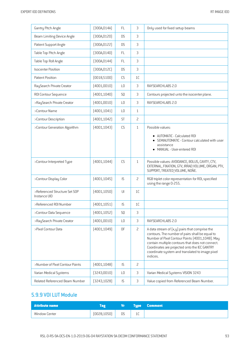| Gantry Pitch Angle                            | [300A, 014A] | <b>FL</b>            | 3              | Only used for fixed setup beams                                                                                                                                                                                                                                                                                             |
|-----------------------------------------------|--------------|----------------------|----------------|-----------------------------------------------------------------------------------------------------------------------------------------------------------------------------------------------------------------------------------------------------------------------------------------------------------------------------|
| Beam Limiting Device Angle                    | [300A, 0120] | <b>DS</b>            | 3              |                                                                                                                                                                                                                                                                                                                             |
| Patient Support Angle                         | [300A, 0122] | <b>DS</b>            | 3              |                                                                                                                                                                                                                                                                                                                             |
| Table Top Pitch Angle                         | (300A, 0140) | <b>FL</b>            | 3              |                                                                                                                                                                                                                                                                                                                             |
| Table Top Roll Angle                          | [300A, 0144] | <b>FL</b>            | 3              |                                                                                                                                                                                                                                                                                                                             |
| <b>Isocenter Position</b>                     | (300A, 012C) | <b>DS</b>            | 3              |                                                                                                                                                                                                                                                                                                                             |
| Patient Position                              | (0018, 5100) | CS                   | 1C             |                                                                                                                                                                                                                                                                                                                             |
| RaySearch Private Creator                     | (4001,0010)  | L <sub>0</sub>       | 3              | RAYSEARCHLABS 2.0                                                                                                                                                                                                                                                                                                           |
| ROI Contour Sequence                          | (4001, 1040) | SQ                   | 3              | Contours projected unto the isocenter plane.                                                                                                                                                                                                                                                                                |
| >RaySearch Private Creator                    | (4001,0010)  | L <sub>0</sub>       | 3              | RAYSEARCHLABS 2.0                                                                                                                                                                                                                                                                                                           |
| >Contour Name                                 | (4001, 1041) | L <sub>0</sub>       | $\mathbf{1}$   |                                                                                                                                                                                                                                                                                                                             |
| >Contour Description                          | [4001, 1042] | <b>ST</b>            | 2              |                                                                                                                                                                                                                                                                                                                             |
| >Contour Generation Algorithm                 | [4001, 1043] | CS                   | $\mathbf{1}$   | Possible values:                                                                                                                                                                                                                                                                                                            |
|                                               |              |                      |                | AUTOMATIC - Calculated ROI<br>SEMIAUTOMATIC - Contour calculated with user<br>assistance<br>MANUAL - User-entered ROI                                                                                                                                                                                                       |
| >Contour Interpreted Type                     | [4001, 1044] | CS                   | $\mathbf{1}$   | Possible values: AVOIDANCE, BOLUS, CAVITY, CTV,<br>EXTERNAL, FIXATION, GTV, IRRAD VOLUME, ORGAN, PTV,<br>SUPPORT, TREATED VOLUME, NONE.                                                                                                                                                                                     |
| >Contour Display Color                        | [4001, 1045] | IS                   | 2              | RGB triplet color representation for ROI, specified<br>using the range 0-255.                                                                                                                                                                                                                                               |
| >Referenced Structure Set SOP<br>Instance UID | (4001, 1050) | U                    | 1C             |                                                                                                                                                                                                                                                                                                                             |
| >Referenced R0I Number                        | [4001, 1051] | IS                   | 1C             |                                                                                                                                                                                                                                                                                                                             |
| >Contour Data Sequence                        | (4001, 1052) | SQ                   | 3              |                                                                                                                                                                                                                                                                                                                             |
| >RaySearch Private Creator                    | (4001,0010)  | LO                   | 3              | RAYSEARCHLABS 2.0                                                                                                                                                                                                                                                                                                           |
| >Pixel Contour Data                           | (4001, 1049) | 0 <sup>F</sup>       | $\overline{c}$ | A data stream of $(x, y)$ pairs that comprise the<br>contours. The number of pairs shall be equal to<br>Number of Pixel Contour Points (4001,1048). May<br>contain multiple contours that does not connect.<br>Coordinates are projected onto the IEC GANTRY<br>coordinate system and translated to image pixel<br>indices. |
| >Number of Pixel Contour Points               | [4001, 1048] | IS                   | $\overline{c}$ |                                                                                                                                                                                                                                                                                                                             |
| Varian Medical Systems                        | [3243,0010]  | L <sub>0</sub>       | 3              | Varian Medical Systems VISION 3243                                                                                                                                                                                                                                                                                          |
| Related Referenced Beam Number                | [3243, 1028] | $\mathsf{IS}\xspace$ | 3              | Value copied from Referenced Beam Number.                                                                                                                                                                                                                                                                                   |

#### 5.9.9 VOILUT Module

| <b>Attribute name</b> |              | $\mathbf{V}$ r i |              | <b>Type Comment</b> |
|-----------------------|--------------|------------------|--------------|---------------------|
| Window Center         | (0028, 1050) | <b>DS</b>        | $\sim$<br>ᅩᄂ |                     |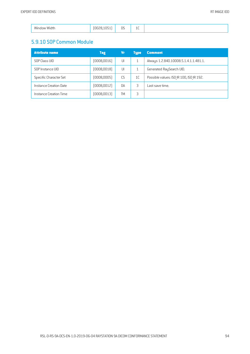|--|

#### 5.9.10 SOP Common Module

| <b>Attribute name</b>  | <b>Tag</b>   | Vr        | <b>Tupe</b>    | <b>Comment</b>                           |
|------------------------|--------------|-----------|----------------|------------------------------------------|
| SOP Class UID          | [0008,0016]  | UI        |                | Always 1.2.840.10008.5.1.4.1.1.481.1.    |
| SOP Instance UID       | (0008, 0018) | UI        |                | Generated RaySearch UID.                 |
| Specific Character Set | (0008,0005)  | CS        | 1 <sup>C</sup> | Possible values: ISO IR 100, ISO IR 192. |
| Instance Creation Date | [0008,0012]  | <b>DA</b> | 3              | Last save time.                          |
| Instance Creation Time | (0008, 0013) | TМ        | 3              |                                          |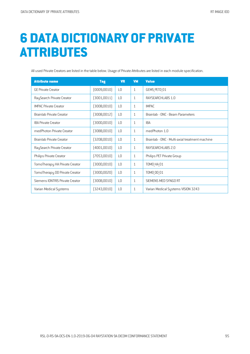# **6 DATA DICTIONARY OF PRIVATE ATTRIBUTES**

All used Private Creators are listed in the table below. Usage of Private Attributes are listed in each module specification.

| <b>Attribute name</b>           | <b>Tag</b>   | <b>VR</b>      | <b>VM</b>   | <b>Value</b>                                   |
|---------------------------------|--------------|----------------|-------------|------------------------------------------------|
| <b>GE Private Creator</b>       | (0009, 0010) | L <sub>0</sub> | $\mathbf 1$ | GEMS PETD 01                                   |
| RaySearch Private Creator       | (3001,0011)  | L <sub>0</sub> | 1           | RAYSEARCHLABS 1.0                              |
| <b>IMPAC Private Creator</b>    | (300B, 0010) | L <sub>0</sub> | 1           | IMPAC.                                         |
| Brainlab Private Creator        | (300B, 0012) | L <sub>0</sub> | 1           | Brainlab - ONC - Beam Parameters               |
| <b>IBA Private Creator</b>      | (300D, 0010) | L <sub>0</sub> | 1           | <b>IBA</b>                                     |
| medPhoton Private Creator       | (30BB,0010)  | L <sub>0</sub> | 1           | medPhoton 1.0                                  |
| Brainlab Private Creator        | (320B, 0010) | L <sub>0</sub> | 1           | Brainlab - ONC - Multi-axial treatment machine |
| RaySearch Private Creator       | (4001, 0010) | L <sub>0</sub> | 1           | RAYSEARCHLABS 2.0                              |
| Philips Private Creator         | [7053,0010]  | L <sub>0</sub> | 1           | Philips PET Private Group                      |
| TomoTherapy HA Private Creator  | (300D, 0010) | L <sub>0</sub> | 1           | <b>TOMO HA 01</b>                              |
| TomoTherapy DD Private Creator  | (300D,0020)  | L <sub>0</sub> | 1           | TOMO DD 01                                     |
| Siemens IONTRIS Private Creator | (300B,0010)  | L <sub>0</sub> | 1           | SIEMENS MED SYNGO RT                           |
| Varian Medical Systems          | [3243,0010]  | L <sub>0</sub> | 1           | Varian Medical Systems VISION 3243             |